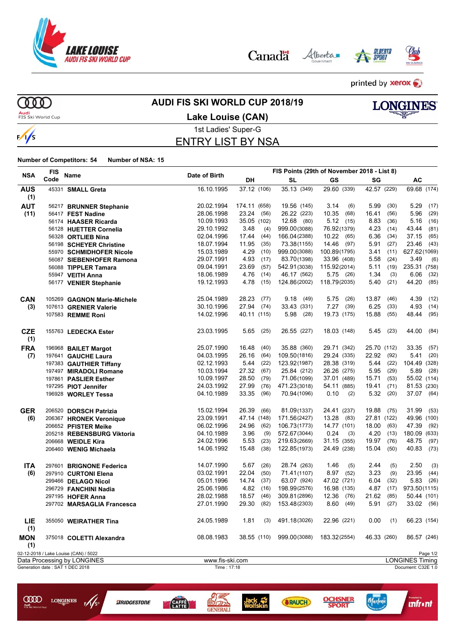

Alberta Canadä



Marlene

**SRAUCH** 

**Infront** 



printed by **xerox** 

**MD Audi**<br>FIS Ski World Cup

**COO** LONGINES

 $\frac{1}{5}$ 

**BRIDGESTONE** 

**CAFE** 

**GENERALI** 

 $\frac{1}{s}$ 

### **AUDI FIS SKI WORLD CUP 2018/19**





# 1st Ladies' Super-G

# ENTRY LIST BY NSA

| <b>NSA</b>        | <b>FIS</b> |                                       | Date of Birth   |               |                           | FIS Points (29th of November 2018 - List 8) |               |                        |
|-------------------|------------|---------------------------------------|-----------------|---------------|---------------------------|---------------------------------------------|---------------|------------------------|
|                   | Code       | Name                                  |                 | DH            | <b>SL</b>                 | GS                                          | SG            | AC                     |
| <b>AUS</b>        |            | 45331 SMALL Greta                     | 16.10.1995      | 37.12 (106)   | 35.13 (349)               | 29.60 (339)                                 | 42.57 (229)   | 69.68 (174)            |
| (1)               |            |                                       |                 |               |                           |                                             |               |                        |
| <b>AUT</b>        |            | 56217 BRUNNER Stephanie               | 20.02.1994      | 174.11 (658)  | 19.56 (145)               | 3.14<br>(6)                                 | 5.99<br>(30)  | $5.29$ (17)            |
| (11)              |            | 56417 FEST Nadine                     | 28.06.1998      | 23.24<br>(56) | 26.22 (223)               | 10.35<br>(68)                               | 16.41<br>(56) | 5.96<br>(29)           |
|                   |            | 56174 HAASER Ricarda                  | 10.09.1993      | 35.05 (102)   | 12.68 (80)                | 5.12(15)                                    | 8.83<br>(36)  | 5.16<br>(16)           |
|                   |            | 56128 HUETTER Cornelia                | 29.10.1992      | 3.48<br>(4)   | 999.00(3088)              | 76.92(1379)                                 | 4.23<br>(14)  | 43.44<br>(81)          |
|                   |            | 56328 ORTLIEB Nina                    | 02.04.1996      | 17.44<br>(44) | 166.04(2388)              | 10.22<br>(65)                               | 6.36<br>(34)  | 37.15<br>(65)          |
|                   |            | 56198 SCHEYER Christine               | 18.07.1994      | 11.95<br>(35) | 73.38(1155)               | 14.46<br>(97)                               | 5.91<br>(27)  | 23.46<br>(43)          |
|                   |            | 55970 SCHMIDHOFER Nicole              | 15.03.1989      | 4.29<br>(10)  | 999.00(3088)              | 100.89(1795)                                | 3.41<br>(11)  | 627.62(1069)           |
|                   |            | 56087 SIEBENHOFER Ramona              | 29.07.1991      | 4.93<br>(17)  | 83.70(1398)               | 33.96 (408)                                 | 5.58<br>(24)  | 3.49<br>(6)            |
|                   |            | 56088 TIPPLER Tamara                  | 09.04.1991      | 23.69<br>(57) | 542.91(3038)              | 115.92(2014)                                | 5.11<br>(19)  | 235.31 (758)           |
|                   |            | 55947 VEITH Anna                      | 18.06.1989      | 4.76<br>(14)  | 46.17 (562)               | $5.75$ (26)                                 | 1.34<br>(3)   | 6.06<br>(32)           |
|                   |            | 56177 VENIER Stephanie                | 19.12.1993      | 4.78<br>(15)  | 124.86(2002)              | 118.79(2035)                                | 5.40<br>(21)  | 44.20<br>(85)          |
| <b>CAN</b>        |            | 105269 GAGNON Marie-Michele           | 25.04.1989      | 28.23<br>(77) | 9.18<br>(49)              | 5.75<br>(26)                                | 13.87<br>(46) | 4.39<br>(12)           |
| (3)               |            | 107613 GRENIER Valerie                | 30.10.1996      | 27.94<br>(74) | 33.43 (331)               | 7.27<br>(39)                                | 6.25<br>(33)  | 4.93<br>(14)           |
|                   |            | 107583 REMME Roni                     | 14.02.1996      | 40.11 (115)   | 5.98<br>(28)              | 19.73 (175)                                 | 15.88<br>(55) | 48.44<br>(95)          |
| <b>CZE</b><br>(1) |            | 155763 LEDECKA Ester                  | 23.03.1995      | $5.65$ (25)   | 26.55 (227)               | 18.03 (148)                                 | 5.45<br>(23)  | 44.00<br>(84)          |
| <b>FRA</b>        |            | 196968 BAILET Margot                  | 25.07.1990      | 16.48<br>(40) | 35.88 (360)               | 29.71 (342)                                 | 25.70 (112)   | 33.35 (57)             |
| (7)               |            | 197641 GAUCHE Laura                   | 04.03.1995      | 26.16<br>(64) | 109.50(1816)              | 29.24 (335)                                 | 22.92 (92)    | $5.41$ (20)            |
|                   |            | 197383 GAUTHIER Tiffany               | 02.12.1993      | 5.44<br>(22)  | 123.92(1987)              | 28.38 (319)                                 | 5.44<br>(22)  | 104.49 (328)           |
|                   |            | 197497 MIRADOLI Romane                | 10.03.1994      | 27.32<br>(67) | 25.84 (212)               | 26.26 (275)                                 | 5.95<br>(29)  | 5.89 (28)              |
|                   |            | 197861 PASLIER Esther                 | 10.09.1997      | 28.50<br>(79) | 71.06(1099)               | 37.01 (489)                                 | 15.71<br>(53) | 55.02 (114)            |
|                   |            | 197295 PIOT Jennifer                  | 24.03.1992      | 27.99<br>(76) | 471.23(3018)              | 54.11 (885)                                 | 19.41<br>(71) | 81.53 (230)            |
|                   |            | 196928 WORLEY Tessa                   | 04.10.1989      | 33.35<br>(96) | 70.94 (1096)              | 0.10<br>(2)                                 | 5.32<br>(20)  | 37.07 (64)             |
| <b>GER</b>        |            | 206520 DORSCH Patrizia                | 15.02.1994      | 26.39<br>(66) | 81.09(1337)               | 24.41 (237)                                 | 19.88<br>(75) | 31.99<br>(53)          |
| (6)               |            | 206367 HRONEK Veronique               | 23.09.1991      | 47.14 (148)   | 171.56(2427)              | 13.28<br>(83)                               | 27.81 (122)   | 49.96 (100)            |
|                   |            | 206652 PFISTER Meike                  | 06.02.1996      | 24.96<br>(62) | 106.73(1773)              | 14.77 (101)                                 | 18.00<br>(63) | 47.39<br>(92)          |
|                   |            | 205218 REBENSBURG Viktoria            | 04.10.1989      | 3.96<br>(9)   | 572.67(3044)              | 0.24<br>(3)                                 | 4.20<br>(13)  | 180.09 (633)           |
|                   |            | 206668 WEIDLE Kira                    | 24.02.1996      | 5.53<br>(23)  | 219.63(2669)              | 31.15 (355)                                 | 19.97<br>(76) | 48.75<br>(97)          |
|                   |            | 206460 WENIG Michaela                 | 14.06.1992      | 15.48<br>(38) | 122.85(1973)              | 24.49 (238)                                 | 15.04<br>(50) | 40.83<br>(73)          |
| <b>ITA</b>        |            | 297601 BRIGNONE Federica              | 14.07.1990      | 5.67<br>(26)  | 28.74 (263)               | 1.46<br>(5)                                 | 2.44<br>(5)   | (3)<br>2.50            |
| (6)               |            | 297910 CURTONI Elena                  | 03.02.1991      | 22.04<br>(50) | 71.41(1107)               | 8.97<br>(52)                                | 3.23<br>(9)   | 23.95<br>(44)          |
|                   |            | 299466 DELAGO Nicol                   | 05.01.1996      | 14.74<br>(37) | 63.07 (924)               | 47.02 (721)                                 | 6.04<br>(32)  | 5.83<br>(26)           |
|                   |            | 296729 FANCHINI Nadia                 | 25.06.1986      | 4.82<br>(16)  | 198.99(2576)              | 16.98 (135)                                 | 4.87<br>(17)  | 973.50(1115)           |
|                   |            | 297195 HOFER Anna                     | 28.02.1988      | 18.57<br>(46) | 309.81 (2896)             | 12.36<br>(76)                               | 21.62<br>(85) | 50.44 (101)            |
|                   |            | 297702 MARSAGLIA Francesca            | 27.01.1990      | 29.30<br>(82) | 153.48(2303)              | 8.60<br>(49)                                | 5.91<br>(27)  | 33.02 (56)             |
| <b>LIE</b><br>(1) |            | 355050 WEIRATHER Tina                 | 24.05.1989      | 1.81          | $(3)$ 491.18 $(3026)$     | 22.96 (221)                                 | 0.00<br>(1)   | 66.23 (154)            |
| <b>MON</b><br>(1) |            | 375018 COLETTI Alexandra              | 08.08.1983      |               | 38.55 (110) 999.00 (3088) | 183.32(2554)                                | 46.33 (260)   | 86.57 (246)            |
|                   |            | 02-12-2018 / Lake Louise (CAN) / 5022 |                 |               |                           |                                             |               | Page 1/2               |
|                   |            | Data Processing by LONGINES           | www.fis-ski.com |               |                           |                                             |               | <b>LONGINES Timing</b> |
|                   |            | Generation date: SAT 1 DEC 2018       | Time: 17:18     |               |                           |                                             |               | Document: C32E 1.0     |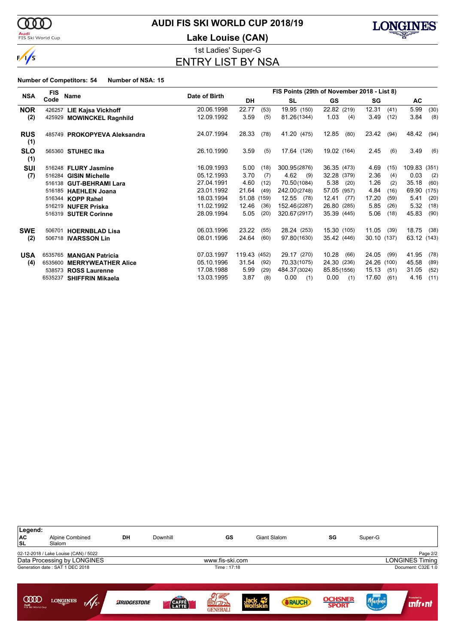

#### **Audi**<br>FIS Ski World Cup

# **AUDI FIS SKI WORLD CUP 2018/19**

**Lake Louise (CAN)**



1st Ladies' Super-G ENTRY LIST BY NSA

|                   | <b>FIS</b> | <b>Name</b>                  | Date of Birth |              | FIS Points (29th of November 2018 - List 8) |              |               |               |                 |  |  |
|-------------------|------------|------------------------------|---------------|--------------|---------------------------------------------|--------------|---------------|---------------|-----------------|--|--|
| <b>NSA</b>        | Code       |                              |               | <b>DH</b>    |                                             | SL           | GS.           | SG            | AC              |  |  |
| <b>NOR</b>        | 426257     | <b>LIE Kajsa Vickhoff</b>    | 20.06.1998    | 22.77        | (53)                                        | 19.95 (150)  | 22.82 (219)   | 12.31<br>(41) | 5.99<br>(30)    |  |  |
| (2)               |            | 425929 MOWINCKEL Ragnhild    | 12.09.1992    | 3.59         | (5)                                         | 81.26(1344)  | 1.03<br>(4)   | 3.49<br>(12)  | 3.84<br>(8)     |  |  |
| <b>RUS</b><br>(1) |            | 485749 PROKOPYEVA Aleksandra | 24.07.1994    | 28.33        | (78)                                        | 41.20 (475)  | 12.85<br>(80) | 23.42<br>(94) | 48.42<br>(94)   |  |  |
| <b>SLO</b><br>(1) |            | 565360 STUHEC IIka           | 26.10.1990    | 3.59         | (5)                                         | 17.64 (126)  | 19.02 (164)   | 2.45<br>(6)   | 3.49<br>(6)     |  |  |
| <b>SUI</b>        |            | 516248 FLURY Jasmine         | 16.09.1993    | 5.00         | (18)                                        | 300.95(2876) | 36.35 (473)   | 4.69<br>(15)  | 109.83<br>(351) |  |  |
| (7)               | 516284     | <b>GISIN Michelle</b>        | 05.12.1993    | 3.70         | (7)                                         | 4.62<br>(9)  | 32.28 (379)   | 2.36<br>(4)   | 0.03<br>(2)     |  |  |
|                   |            | 516138 GUT-BEHRAMI Lara      | 27.04.1991    | 4.60         | (12)                                        | 70.50(1084)  | 5.38<br>(20)  | 1.26<br>(2)   | 35.18<br>(60)   |  |  |
|                   |            | 516185 HAEHLEN Joana         | 23.01.1992    | 21.64        | (49)                                        | 242.00(2748) | 57.05 (957)   | 4.84<br>(16)  | 69.90<br>(175)  |  |  |
|                   |            | 516344 KOPP Rahel            | 18.03.1994    | 51.08        | (159)                                       | 12.55 (78)   | 12.41<br>(77) | 17.20<br>(59) | 5.41<br>(20)    |  |  |
|                   |            | 516219 NUFER Priska          | 11.02.1992    | 12.46        | (36)                                        | 152.46(2287) | 26.80 (285)   | 5.85<br>(26)  | 5.32<br>(18)    |  |  |
|                   |            | 516319 SUTER Corinne         | 28.09.1994    | 5.05         | (20)                                        | 320.67(2917) | 35.39 (445)   | 5.06<br>(18)  | 45.83<br>(90)   |  |  |
| <b>SWE</b>        | 506701     | <b>HOERNBLAD Lisa</b>        | 06.03.1996    | 23.22        | (55)                                        | 28.24 (253)  | 15.30 (105)   | 11.05<br>(39) | 18.75<br>(38)   |  |  |
| (2)               |            | 506718 <b>IVARSSON Lin</b>   | 08.01.1996    | 24.64        | (60)                                        | 97.80(1630)  | 35.42 (446)   | 30.10 (137)   | 63.12 (143)     |  |  |
| <b>USA</b>        |            | 6535765 MANGAN Patricia      | 07.03.1997    | 119.43 (452) |                                             | 29.17 (270)  | 10.28<br>(66) | 24.05<br>(99) | 41.95<br>(78)   |  |  |
| (4)               | 6535600    | <b>MERRYWEATHER Alice</b>    | 05.10.1996    | 31.54        | (92)                                        | 70.33(1075)  | 24.30 (236)   | 24.26 (100)   | 45.58<br>(89)   |  |  |
|                   |            | 538573 ROSS Laurenne         | 17.08.1988    | 5.99         | (29)                                        | 484.37(3024) | 85.85(1556)   | 15.13<br>(51) | 31.05<br>(52)   |  |  |
|                   |            | 6535237 SHIFFRIN Mikaela     | 13.03.1995    | 3.87         | (8)                                         | 0.00<br>(1)  | 0.00<br>(1)   | 17.60<br>(61) | 4.16<br>(11)    |  |  |

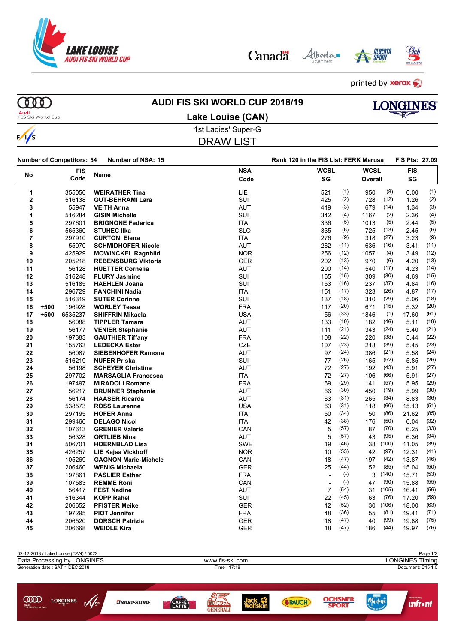

Alberta Canadä





printed by **xerox** 

 $\frac{1}{s}$ 

# **AUDI FIS SKI WORLD CUP 2018/19**



**Audi**<br>FIS Ski World Cup

# 1st Ladies' Super-G **Lake Louise (CAN)**

DRAW LIST

|    |        | <b>Number of Competitors: 54</b> | Number of NSA: 15           |            | Rank 120 in the FIS List: FERK Marusa |       |             |       |            |      |
|----|--------|----------------------------------|-----------------------------|------------|---------------------------------------|-------|-------------|-------|------------|------|
|    |        | <b>FIS</b>                       |                             | <b>NSA</b> | <b>WCSL</b>                           |       | <b>WCSL</b> |       | <b>FIS</b> |      |
| No |        | Code                             | Name                        | Code       | SG                                    |       | Overall     |       | SG         |      |
| 1  |        | 355050                           | <b>WEIRATHER Tina</b>       | LIE        | 521                                   | (1)   | 950         | (8)   | 0.00       | (1)  |
| 2  |        | 516138                           | <b>GUT-BEHRAMI Lara</b>     | SUI        | 425                                   | (2)   | 728         | (12)  | 1.26       | (2)  |
| 3  |        | 55947                            | <b>VEITH Anna</b>           | <b>AUT</b> | 419                                   | (3)   | 679         | (14)  | 1.34       | (3)  |
| 4  |        | 516284                           | <b>GISIN Michelle</b>       | SUI        | 342                                   | (4)   | 1167        | (2)   | 2.36       | (4)  |
| 5  |        | 297601                           | <b>BRIGNONE Federica</b>    | <b>ITA</b> | 336                                   | (5)   | 1013        | (5)   | 2.44       | (5)  |
| 6  |        | 565360                           | <b>STUHEC IIka</b>          | <b>SLO</b> | 335                                   | (6)   | 725         | (13)  | 2.45       | (6)  |
| 7  |        | 297910                           | <b>CURTONI Elena</b>        | <b>ITA</b> | 276                                   | (9)   | 318         | (27)  | 3.23       | (9)  |
| 8  |        | 55970                            | <b>SCHMIDHOFER Nicole</b>   | <b>AUT</b> | 262                                   | (11)  | 636         | (16)  | 3.41       | (11) |
| 9  |        | 425929                           | <b>MOWINCKEL Ragnhild</b>   | <b>NOR</b> | 256                                   | (12)  | 1057        | (4)   | 3.49       | (12) |
| 10 |        | 205218                           | <b>REBENSBURG Viktoria</b>  | <b>GER</b> | 202                                   | (13)  | 970         | (6)   | 4.20       | (13) |
| 11 |        | 56128                            | <b>HUETTER Cornelia</b>     | <b>AUT</b> | 200                                   | (14)  | 540         | (17)  | 4.23       | (14) |
| 12 |        | 516248                           | <b>FLURY Jasmine</b>        | SUI        | 165                                   | (15)  | 309         | (30)  | 4.69       | (15) |
| 13 |        | 516185                           | <b>HAEHLEN Joana</b>        | SUI        | 153                                   | (16)  | 237         | (37)  | 4.84       | (16) |
| 14 |        | 296729                           | <b>FANCHINI Nadia</b>       | <b>ITA</b> | 151                                   | (17)  | 323         | (26)  | 4.87       | (17) |
| 15 |        | 516319                           | <b>SUTER Corinne</b>        | SUI        | 137                                   | (18)  | 310         | (29)  | 5.06       | (18) |
| 16 | $+500$ | 196928                           | <b>WORLEY Tessa</b>         | <b>FRA</b> | 117                                   | (20)  | 671         | (15)  | 5.32       | (20) |
| 17 | $+500$ | 6535237                          | <b>SHIFFRIN Mikaela</b>     | <b>USA</b> | 56                                    | (33)  | 1846        | (1)   | 17.60      | (61) |
| 18 |        | 56088                            | <b>TIPPLER Tamara</b>       | <b>AUT</b> | 133                                   | (19)  | 182         | (46)  | 5.11       | (19) |
| 19 |        | 56177                            | <b>VENIER Stephanie</b>     | <b>AUT</b> | 111                                   | (21)  | 343         | (24)  | 5.40       | (21) |
| 20 |        | 197383                           | <b>GAUTHIER Tiffany</b>     | <b>FRA</b> | 108                                   | (22)  | 220         | (38)  | 5.44       | (22) |
| 21 |        | 155763                           | <b>LEDECKA Ester</b>        | CZE        | 107                                   | (23)  | 218         | (39)  | 5.45       | (23) |
| 22 |        | 56087                            | <b>SIEBENHOFER Ramona</b>   | <b>AUT</b> | 97                                    | (24)  | 386         | (21)  | 5.58       | (24) |
| 23 |        | 516219                           | <b>NUFER Priska</b>         | <b>SUI</b> | 77                                    | (26)  | 165         | (52)  | 5.85       | (26) |
| 24 |        | 56198                            | <b>SCHEYER Christine</b>    | <b>AUT</b> | 72                                    | (27)  | 192         | (43)  | 5.91       | (27) |
| 25 |        | 297702                           | <b>MARSAGLIA Francesca</b>  | <b>ITA</b> | 72                                    | (27)  | 106         | (66)  | 5.91       | (27) |
| 26 |        | 197497                           | <b>MIRADOLI Romane</b>      | <b>FRA</b> | 69                                    | (29)  | 141         | (57)  | 5.95       | (29) |
| 27 |        | 56217                            | <b>BRUNNER Stephanie</b>    | <b>AUT</b> | 66                                    | (30)  | 450         | (19)  | 5.99       | (30) |
| 28 |        | 56174                            | <b>HAASER Ricarda</b>       | <b>AUT</b> | 63                                    | (31)  | 265         | (34)  | 8.83       | (36) |
| 29 |        | 538573                           | <b>ROSS Laurenne</b>        | <b>USA</b> | 63                                    | (31)  | 118         | (60)  | 15.13      | (51) |
| 30 |        | 297195                           | <b>HOFER Anna</b>           | <b>ITA</b> | 50                                    | (34)  | 50          | (86)  | 21.62      | (85) |
| 31 |        | 299466                           | <b>DELAGO Nicol</b>         | <b>ITA</b> | 42                                    | (38)  | 176         | (50)  | 6.04       | (32) |
| 32 |        | 107613                           | <b>GRENIER Valerie</b>      | CAN        | 5                                     | (57)  | 87          | (70)  | 6.25       | (33) |
| 33 |        | 56328                            | <b>ORTLIEB Nina</b>         | <b>AUT</b> | 5                                     | (57)  | 43          | (95)  | 6.36       | (34) |
| 34 |        | 506701                           | <b>HOERNBLAD Lisa</b>       | <b>SWE</b> | 19                                    | (46)  | 38          | (100) | 11.05      | (39) |
| 35 |        | 426257                           | <b>LIE Kajsa Vickhoff</b>   | <b>NOR</b> | 10                                    | (53)  | 42          | (97)  | 12.31      | (41) |
| 36 |        | 105269                           | <b>GAGNON Marie-Michele</b> | CAN        | 18                                    | (47)  | 197         | (42)  | 13.87      | (46) |
| 37 |        | 206460                           | <b>WENIG Michaela</b>       | <b>GER</b> | 25                                    | (44)  | 52          | (85)  | 15.04      | (50) |
| 38 |        | 197861                           | <b>PASLIER Esther</b>       | <b>FRA</b> | $\overline{\phantom{a}}$              | $(-)$ | 3           | (140) | 15.71      | (53) |
| 39 |        | 107583                           | <b>REMME Roni</b>           | CAN        | $\overline{\phantom{a}}$              | $(-)$ | 47          | (90)  | 15.88      | (55) |
| 40 |        | 56417                            | <b>FEST Nadine</b>          | <b>AUT</b> | $\overline{7}$                        | (54)  | 31          | (105) | 16.41      | (56) |
| 41 |        | 516344                           | <b>KOPP Rahel</b>           | SUI        | 22                                    | (45)  | 63          | (76)  | 17.20      | (59) |
| 42 |        | 206652                           | <b>PFISTER Meike</b>        | <b>GER</b> | 12                                    | (52)  | 30          | (106) | 18.00      | (63) |
| 43 |        | 197295                           | <b>PIOT Jennifer</b>        | <b>FRA</b> | 48                                    | (36)  | 55          | (81)  | 19.41      | (71) |
| 44 |        | 206520                           | <b>DORSCH Patrizia</b>      | <b>GER</b> | 18                                    | (47)  | 40          | (99)  | 19.88      | (75) |
| 45 |        | 206668                           | <b>WEIDLE Kira</b>          | <b>GER</b> | 18                                    | (47)  | 186         | (44)  | 19.97      | (76) |

02-12-2018 / Lake Louise (CAN) / 5022<br>Data Processing by LONGINES **Page 1/2**<br>Data Processing by LONGINES **Page 1/2** Data Processing by LONGINES www.fis-ski.com Generation date : SAT 1 DEC 2018 Time : 17:18 Document: C45 1.0 Marlene **LONGINES**  $\sqrt{s}$ **BRIDGESTONE SRAUCH** *<u><u>Infront</u>*</u> **CAFFE** 

**GENERALI**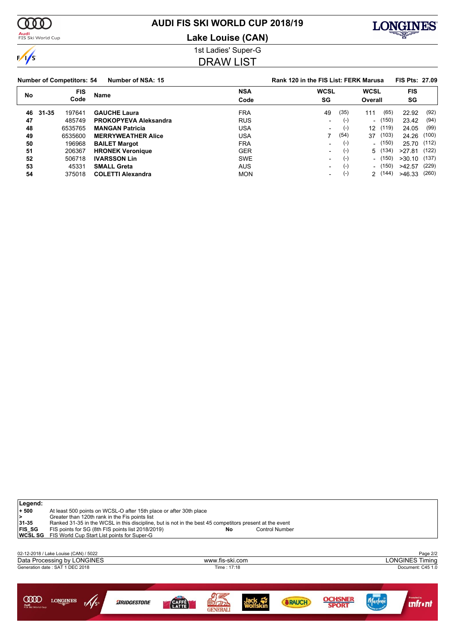

# **AUDI FIS SKI WORLD CUP 2018/19**

**Audi**<br>FIS Ski World Cup

# **Lake Louise (CAN)**



1st Ladies' Super-G

# DRAW LIST

|    | <b>Number of Competitors: 54</b><br>Number of NSA: 15 |            |                              |            | Rank 120 in the FIS List: FERK Marusa |       |                          |         |                |       |
|----|-------------------------------------------------------|------------|------------------------------|------------|---------------------------------------|-------|--------------------------|---------|----------------|-------|
| No |                                                       | <b>FIS</b> | Name                         | <b>NSA</b> | <b>WCSL</b>                           |       | <b>WCSL</b>              |         | <b>FIS</b>     |       |
|    |                                                       | Code       | Code                         |            | SG                                    |       |                          | Overall |                |       |
| 46 | 31-35                                                 | 197641     | <b>GAUCHE Laura</b>          | <b>FRA</b> | 49                                    | (35)  | 111                      | (65)    | 22.92          | (92)  |
| 47 |                                                       | 485749     | <b>PROKOPYEVA Aleksandra</b> | <b>RUS</b> | ٠                                     | $(-)$ |                          | (150)   | 23.42          | (94)  |
| 48 |                                                       | 6535765    | <b>MANGAN Patricia</b>       | USA        | $\overline{\phantom{0}}$              | $(-)$ | 12 <sup>1</sup>          | (119)   | 24.05          | (99)  |
| 49 |                                                       | 6535600    | <b>MERRYWEATHER Alice</b>    | USA        |                                       | (54)  | 37                       | (103)   | 24.26 (100)    |       |
| 50 |                                                       | 196968     | <b>BAILET Margot</b>         | <b>FRA</b> | ٠                                     | $(-)$ |                          | (150)   | 25.70 (112)    |       |
| 51 |                                                       | 206367     | <b>HRONEK Veronique</b>      | <b>GER</b> | -                                     | $(-)$ |                          | 5 (134) | >27.81         | (122) |
| 52 |                                                       | 506718     | <b>IVARSSON Lin</b>          | <b>SWE</b> | $\overline{\phantom{0}}$              | $(-)$ | $\overline{\phantom{0}}$ | (150)   | $>30.10$ (137) |       |
| 53 |                                                       | 45331      | <b>SMALL Greta</b>           | <b>AUS</b> | $\overline{\phantom{0}}$              | $(-)$ |                          | (150)   | >42.57         | (229) |
| 54 |                                                       | 375018     | <b>COLETTI Alexandra</b>     | <b>MON</b> | $\overline{\phantom{0}}$              | $(-)$ | $\mathcal{P}$            | (144)   | >46.33         | (260) |

| Legend:<br>$+500$<br>⋗<br>31-35<br><b>FIS_SG</b><br><b>WCSLSG</b> | At least 500 points on WCSL-O after 15th place or after 30th place<br>Greater than 120th rank in the Fis points list<br>Ranked 31-35 in the WCSL in this discipline, but is not in the best 45 competitors present at the event<br>FIS points for SG (8th FIS points list 2018/2019)<br><b>Control Number</b><br>No<br>FIS World Cup Start List points for Super-G |  |                    |                |                 |  |               |                |         |                                      |  |
|-------------------------------------------------------------------|--------------------------------------------------------------------------------------------------------------------------------------------------------------------------------------------------------------------------------------------------------------------------------------------------------------------------------------------------------------------|--|--------------------|----------------|-----------------|--|---------------|----------------|---------|--------------------------------------|--|
|                                                                   | 02-12-2018 / Lake Louise (CAN) / 5022                                                                                                                                                                                                                                                                                                                              |  |                    |                |                 |  |               |                |         | Page 2/2                             |  |
|                                                                   | Data Processing by LONGINES                                                                                                                                                                                                                                                                                                                                        |  |                    |                | www.fis-ski.com |  |               |                |         | <b>LONGINES Timing</b>               |  |
|                                                                   | Generation date: SAT 1 DEC 2018                                                                                                                                                                                                                                                                                                                                    |  |                    | Time: 17:18    |                 |  |               |                |         | Document: C45 1.0                    |  |
|                                                                   |                                                                                                                                                                                                                                                                                                                                                                    |  |                    |                |                 |  |               |                |         |                                      |  |
| OOOC<br>Audi<br>FIS Ski World Cup                                 | <b>LONGINES</b>                                                                                                                                                                                                                                                                                                                                                    |  | <b>ARIDGESTONE</b> | CAFFÈ<br>LATTE | 国力の<br>GENERAI  |  | <b>BRAUCH</b> | <b>OCHSNEI</b> | Marlens | <b>Promoted by</b><br><b>Infront</b> |  |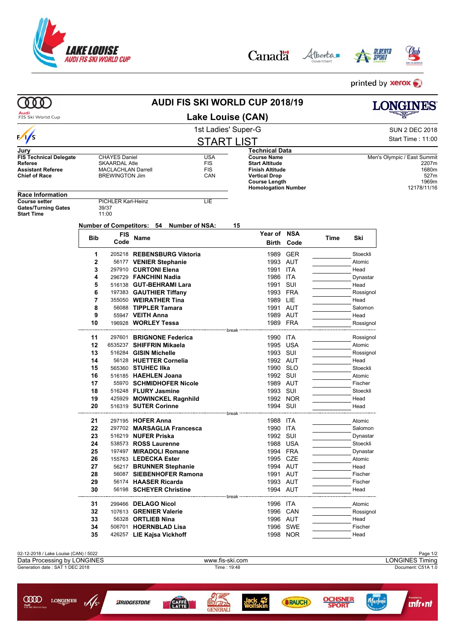

Alberta Canadä





printed by **xerox** 

| Audi<br><b>Lake Louise (CAN)</b><br>FIS Ski World Cup<br>1st Ladies' Super-G<br>$\frac{1}{s}$<br><b>START LIST</b><br>Technical Data<br>Jurv<br><b>USA</b><br><b>Course Name</b><br><b>FIS Technical Delegate</b><br><b>CHAYES Daniel</b><br>Referee<br><b>SKAARDAL Atle</b><br><b>FIS</b><br><b>Start Altitude</b><br><b>FIS</b><br><b>Assistant Referee</b><br><b>MACLACHLAN Darrell</b><br><b>Finish Altitude</b><br>CAN<br><b>Chief of Race</b><br><b>BREWINGTON Jim</b><br><b>Vertical Drop</b><br><b>Course Length</b><br><b>Homologation Number</b><br><b>Race Information</b><br><b>Course setter</b><br>PICHLER Karl-Heinz<br>LIE<br><b>Gates/Turning Gates</b><br>39/37<br>11:00<br><b>Start Time</b><br>Number of Competitors: 54 Number of NSA:<br>15<br>Year of NSA<br><b>FIS</b><br>Bib<br>Name<br>Code<br>Birth<br>Code<br>1<br>205218 REBENSBURG Viktoria<br>1989<br><b>GER</b><br>2<br>1993 AUT<br>56177 VENIER Stephanie<br>3<br>297910 CURTONI Elena<br>1991 ITA<br>296729 FANCHINI Nadia<br>1986<br>ITA<br>4<br>5<br>1991<br>SUI<br>516138 GUT-BEHRAMI Lara<br>6<br>197383 GAUTHIER Tiffany<br>1993 FRA<br>7<br>355050 WEIRATHER Tina<br>1989 LIE<br>8<br>56088 TIPPLER Tamara<br>1991<br>AUT<br>9<br>55947 VEITH Anna<br>1989 AUT<br>10<br>1989 FRA<br>196928 WORLEY Tessa<br>break<br>297601 BRIGNONE Federica<br>11<br>1990 ITA<br>12<br>6535237 SHIFFRIN Mikaela<br>1995 USA<br>13<br>516284 GISIN Michelle<br>1993 SUI<br>14<br>56128 HUETTER Cornelia<br>1992 AUT<br>15<br>565360 STUHEC IIka<br>1990<br><b>SLO</b><br>16<br>516185 HAEHLEN Joana<br>1992 SUI<br>17<br>55970 SCHMIDHOFER Nicole<br>1989 AUT<br>18<br>516248 FLURY Jasmine<br>1993 SUI<br>19<br>425929 MOWINCKEL Ragnhild<br>1992 NOR<br>20<br>1994 SUI<br>516319 SUTER Corinne<br>break --<br>21<br>297195 <b>HOFER Anna</b><br>1988 ITA<br>22<br>297702 MARSAGLIA Francesca<br>1990 ITA<br>1992 SUI<br>23<br>516219 NUFER Priska<br>24<br>538573 ROSS Laurenne<br>1988 USA<br>25<br>197497 MIRADOLI Romane<br>1994 FRA<br>26<br>155763 LEDECKA Ester<br>1995<br>CZE<br>27<br>56217 BRUNNER Stephanie<br>1994 AUT<br>28<br>56087 SIEBENHOFER Ramona<br>1991 AUT<br>29<br>56174 HAASER Ricarda<br>1993 AUT<br>30<br>56198 SCHEYER Christine<br>1994 AUT<br>break<br>31<br>1996 ITA<br>299466 DELAGO Nicol<br>32<br>107613 GRENIER Valerie<br>1996 CAN<br>33<br>56328 ORTLIEB Nina<br>1996 AUT<br>34<br>506701 HOERNBLAD Lisa<br>1996 SWE<br>35<br>426257 LIE Kajsa Vickhoff<br>1998 NOR<br>02-12-2018 / Lake Louise (CAN) / 5022<br>Data Processing by LONGINES<br>www.fis-ski.com<br>Generation date: SAT 1 DEC 2018<br>Time: 19:48 |                   | LONGINES                           |
|-------------------------------------------------------------------------------------------------------------------------------------------------------------------------------------------------------------------------------------------------------------------------------------------------------------------------------------------------------------------------------------------------------------------------------------------------------------------------------------------------------------------------------------------------------------------------------------------------------------------------------------------------------------------------------------------------------------------------------------------------------------------------------------------------------------------------------------------------------------------------------------------------------------------------------------------------------------------------------------------------------------------------------------------------------------------------------------------------------------------------------------------------------------------------------------------------------------------------------------------------------------------------------------------------------------------------------------------------------------------------------------------------------------------------------------------------------------------------------------------------------------------------------------------------------------------------------------------------------------------------------------------------------------------------------------------------------------------------------------------------------------------------------------------------------------------------------------------------------------------------------------------------------------------------------------------------------------------------------------------------------------------------------------------------------------------------------------------------------------------------------------------------------------------------------------------------------------------------------------------------------------------------------------------------------------------------------------------------------------------------------------------------------------------------------------------------------------------------------------------------------------------------------------------------------------------------------------------------------------------------------|-------------------|------------------------------------|
|                                                                                                                                                                                                                                                                                                                                                                                                                                                                                                                                                                                                                                                                                                                                                                                                                                                                                                                                                                                                                                                                                                                                                                                                                                                                                                                                                                                                                                                                                                                                                                                                                                                                                                                                                                                                                                                                                                                                                                                                                                                                                                                                                                                                                                                                                                                                                                                                                                                                                                                                                                                                                               |                   |                                    |
|                                                                                                                                                                                                                                                                                                                                                                                                                                                                                                                                                                                                                                                                                                                                                                                                                                                                                                                                                                                                                                                                                                                                                                                                                                                                                                                                                                                                                                                                                                                                                                                                                                                                                                                                                                                                                                                                                                                                                                                                                                                                                                                                                                                                                                                                                                                                                                                                                                                                                                                                                                                                                               |                   | <b>SUN 2 DEC 2018</b>              |
|                                                                                                                                                                                                                                                                                                                                                                                                                                                                                                                                                                                                                                                                                                                                                                                                                                                                                                                                                                                                                                                                                                                                                                                                                                                                                                                                                                                                                                                                                                                                                                                                                                                                                                                                                                                                                                                                                                                                                                                                                                                                                                                                                                                                                                                                                                                                                                                                                                                                                                                                                                                                                               |                   | Start Time: 11:00                  |
|                                                                                                                                                                                                                                                                                                                                                                                                                                                                                                                                                                                                                                                                                                                                                                                                                                                                                                                                                                                                                                                                                                                                                                                                                                                                                                                                                                                                                                                                                                                                                                                                                                                                                                                                                                                                                                                                                                                                                                                                                                                                                                                                                                                                                                                                                                                                                                                                                                                                                                                                                                                                                               |                   |                                    |
|                                                                                                                                                                                                                                                                                                                                                                                                                                                                                                                                                                                                                                                                                                                                                                                                                                                                                                                                                                                                                                                                                                                                                                                                                                                                                                                                                                                                                                                                                                                                                                                                                                                                                                                                                                                                                                                                                                                                                                                                                                                                                                                                                                                                                                                                                                                                                                                                                                                                                                                                                                                                                               |                   | Men's Olympic / East Summit        |
|                                                                                                                                                                                                                                                                                                                                                                                                                                                                                                                                                                                                                                                                                                                                                                                                                                                                                                                                                                                                                                                                                                                                                                                                                                                                                                                                                                                                                                                                                                                                                                                                                                                                                                                                                                                                                                                                                                                                                                                                                                                                                                                                                                                                                                                                                                                                                                                                                                                                                                                                                                                                                               |                   | 2207m                              |
|                                                                                                                                                                                                                                                                                                                                                                                                                                                                                                                                                                                                                                                                                                                                                                                                                                                                                                                                                                                                                                                                                                                                                                                                                                                                                                                                                                                                                                                                                                                                                                                                                                                                                                                                                                                                                                                                                                                                                                                                                                                                                                                                                                                                                                                                                                                                                                                                                                                                                                                                                                                                                               |                   | 1680m<br>527m                      |
|                                                                                                                                                                                                                                                                                                                                                                                                                                                                                                                                                                                                                                                                                                                                                                                                                                                                                                                                                                                                                                                                                                                                                                                                                                                                                                                                                                                                                                                                                                                                                                                                                                                                                                                                                                                                                                                                                                                                                                                                                                                                                                                                                                                                                                                                                                                                                                                                                                                                                                                                                                                                                               |                   | 1969m                              |
|                                                                                                                                                                                                                                                                                                                                                                                                                                                                                                                                                                                                                                                                                                                                                                                                                                                                                                                                                                                                                                                                                                                                                                                                                                                                                                                                                                                                                                                                                                                                                                                                                                                                                                                                                                                                                                                                                                                                                                                                                                                                                                                                                                                                                                                                                                                                                                                                                                                                                                                                                                                                                               |                   | 12178/11/16                        |
|                                                                                                                                                                                                                                                                                                                                                                                                                                                                                                                                                                                                                                                                                                                                                                                                                                                                                                                                                                                                                                                                                                                                                                                                                                                                                                                                                                                                                                                                                                                                                                                                                                                                                                                                                                                                                                                                                                                                                                                                                                                                                                                                                                                                                                                                                                                                                                                                                                                                                                                                                                                                                               |                   |                                    |
|                                                                                                                                                                                                                                                                                                                                                                                                                                                                                                                                                                                                                                                                                                                                                                                                                                                                                                                                                                                                                                                                                                                                                                                                                                                                                                                                                                                                                                                                                                                                                                                                                                                                                                                                                                                                                                                                                                                                                                                                                                                                                                                                                                                                                                                                                                                                                                                                                                                                                                                                                                                                                               |                   |                                    |
|                                                                                                                                                                                                                                                                                                                                                                                                                                                                                                                                                                                                                                                                                                                                                                                                                                                                                                                                                                                                                                                                                                                                                                                                                                                                                                                                                                                                                                                                                                                                                                                                                                                                                                                                                                                                                                                                                                                                                                                                                                                                                                                                                                                                                                                                                                                                                                                                                                                                                                                                                                                                                               |                   |                                    |
|                                                                                                                                                                                                                                                                                                                                                                                                                                                                                                                                                                                                                                                                                                                                                                                                                                                                                                                                                                                                                                                                                                                                                                                                                                                                                                                                                                                                                                                                                                                                                                                                                                                                                                                                                                                                                                                                                                                                                                                                                                                                                                                                                                                                                                                                                                                                                                                                                                                                                                                                                                                                                               |                   |                                    |
|                                                                                                                                                                                                                                                                                                                                                                                                                                                                                                                                                                                                                                                                                                                                                                                                                                                                                                                                                                                                                                                                                                                                                                                                                                                                                                                                                                                                                                                                                                                                                                                                                                                                                                                                                                                                                                                                                                                                                                                                                                                                                                                                                                                                                                                                                                                                                                                                                                                                                                                                                                                                                               |                   |                                    |
|                                                                                                                                                                                                                                                                                                                                                                                                                                                                                                                                                                                                                                                                                                                                                                                                                                                                                                                                                                                                                                                                                                                                                                                                                                                                                                                                                                                                                                                                                                                                                                                                                                                                                                                                                                                                                                                                                                                                                                                                                                                                                                                                                                                                                                                                                                                                                                                                                                                                                                                                                                                                                               | Ski<br>Time       |                                    |
|                                                                                                                                                                                                                                                                                                                                                                                                                                                                                                                                                                                                                                                                                                                                                                                                                                                                                                                                                                                                                                                                                                                                                                                                                                                                                                                                                                                                                                                                                                                                                                                                                                                                                                                                                                                                                                                                                                                                                                                                                                                                                                                                                                                                                                                                                                                                                                                                                                                                                                                                                                                                                               |                   |                                    |
|                                                                                                                                                                                                                                                                                                                                                                                                                                                                                                                                                                                                                                                                                                                                                                                                                                                                                                                                                                                                                                                                                                                                                                                                                                                                                                                                                                                                                                                                                                                                                                                                                                                                                                                                                                                                                                                                                                                                                                                                                                                                                                                                                                                                                                                                                                                                                                                                                                                                                                                                                                                                                               | Stoeckli          |                                    |
|                                                                                                                                                                                                                                                                                                                                                                                                                                                                                                                                                                                                                                                                                                                                                                                                                                                                                                                                                                                                                                                                                                                                                                                                                                                                                                                                                                                                                                                                                                                                                                                                                                                                                                                                                                                                                                                                                                                                                                                                                                                                                                                                                                                                                                                                                                                                                                                                                                                                                                                                                                                                                               | Atomic            |                                    |
|                                                                                                                                                                                                                                                                                                                                                                                                                                                                                                                                                                                                                                                                                                                                                                                                                                                                                                                                                                                                                                                                                                                                                                                                                                                                                                                                                                                                                                                                                                                                                                                                                                                                                                                                                                                                                                                                                                                                                                                                                                                                                                                                                                                                                                                                                                                                                                                                                                                                                                                                                                                                                               | Head              |                                    |
|                                                                                                                                                                                                                                                                                                                                                                                                                                                                                                                                                                                                                                                                                                                                                                                                                                                                                                                                                                                                                                                                                                                                                                                                                                                                                                                                                                                                                                                                                                                                                                                                                                                                                                                                                                                                                                                                                                                                                                                                                                                                                                                                                                                                                                                                                                                                                                                                                                                                                                                                                                                                                               | Dynastar          |                                    |
|                                                                                                                                                                                                                                                                                                                                                                                                                                                                                                                                                                                                                                                                                                                                                                                                                                                                                                                                                                                                                                                                                                                                                                                                                                                                                                                                                                                                                                                                                                                                                                                                                                                                                                                                                                                                                                                                                                                                                                                                                                                                                                                                                                                                                                                                                                                                                                                                                                                                                                                                                                                                                               | Head              |                                    |
|                                                                                                                                                                                                                                                                                                                                                                                                                                                                                                                                                                                                                                                                                                                                                                                                                                                                                                                                                                                                                                                                                                                                                                                                                                                                                                                                                                                                                                                                                                                                                                                                                                                                                                                                                                                                                                                                                                                                                                                                                                                                                                                                                                                                                                                                                                                                                                                                                                                                                                                                                                                                                               | Rossignol         |                                    |
|                                                                                                                                                                                                                                                                                                                                                                                                                                                                                                                                                                                                                                                                                                                                                                                                                                                                                                                                                                                                                                                                                                                                                                                                                                                                                                                                                                                                                                                                                                                                                                                                                                                                                                                                                                                                                                                                                                                                                                                                                                                                                                                                                                                                                                                                                                                                                                                                                                                                                                                                                                                                                               | Head              |                                    |
|                                                                                                                                                                                                                                                                                                                                                                                                                                                                                                                                                                                                                                                                                                                                                                                                                                                                                                                                                                                                                                                                                                                                                                                                                                                                                                                                                                                                                                                                                                                                                                                                                                                                                                                                                                                                                                                                                                                                                                                                                                                                                                                                                                                                                                                                                                                                                                                                                                                                                                                                                                                                                               | Salomon           |                                    |
|                                                                                                                                                                                                                                                                                                                                                                                                                                                                                                                                                                                                                                                                                                                                                                                                                                                                                                                                                                                                                                                                                                                                                                                                                                                                                                                                                                                                                                                                                                                                                                                                                                                                                                                                                                                                                                                                                                                                                                                                                                                                                                                                                                                                                                                                                                                                                                                                                                                                                                                                                                                                                               | Head              |                                    |
|                                                                                                                                                                                                                                                                                                                                                                                                                                                                                                                                                                                                                                                                                                                                                                                                                                                                                                                                                                                                                                                                                                                                                                                                                                                                                                                                                                                                                                                                                                                                                                                                                                                                                                                                                                                                                                                                                                                                                                                                                                                                                                                                                                                                                                                                                                                                                                                                                                                                                                                                                                                                                               | Rossignol         |                                    |
|                                                                                                                                                                                                                                                                                                                                                                                                                                                                                                                                                                                                                                                                                                                                                                                                                                                                                                                                                                                                                                                                                                                                                                                                                                                                                                                                                                                                                                                                                                                                                                                                                                                                                                                                                                                                                                                                                                                                                                                                                                                                                                                                                                                                                                                                                                                                                                                                                                                                                                                                                                                                                               |                   |                                    |
|                                                                                                                                                                                                                                                                                                                                                                                                                                                                                                                                                                                                                                                                                                                                                                                                                                                                                                                                                                                                                                                                                                                                                                                                                                                                                                                                                                                                                                                                                                                                                                                                                                                                                                                                                                                                                                                                                                                                                                                                                                                                                                                                                                                                                                                                                                                                                                                                                                                                                                                                                                                                                               | Rossignol         |                                    |
|                                                                                                                                                                                                                                                                                                                                                                                                                                                                                                                                                                                                                                                                                                                                                                                                                                                                                                                                                                                                                                                                                                                                                                                                                                                                                                                                                                                                                                                                                                                                                                                                                                                                                                                                                                                                                                                                                                                                                                                                                                                                                                                                                                                                                                                                                                                                                                                                                                                                                                                                                                                                                               | Atomic            |                                    |
|                                                                                                                                                                                                                                                                                                                                                                                                                                                                                                                                                                                                                                                                                                                                                                                                                                                                                                                                                                                                                                                                                                                                                                                                                                                                                                                                                                                                                                                                                                                                                                                                                                                                                                                                                                                                                                                                                                                                                                                                                                                                                                                                                                                                                                                                                                                                                                                                                                                                                                                                                                                                                               | Rossignol<br>Head |                                    |
|                                                                                                                                                                                                                                                                                                                                                                                                                                                                                                                                                                                                                                                                                                                                                                                                                                                                                                                                                                                                                                                                                                                                                                                                                                                                                                                                                                                                                                                                                                                                                                                                                                                                                                                                                                                                                                                                                                                                                                                                                                                                                                                                                                                                                                                                                                                                                                                                                                                                                                                                                                                                                               | Stoeckli          |                                    |
|                                                                                                                                                                                                                                                                                                                                                                                                                                                                                                                                                                                                                                                                                                                                                                                                                                                                                                                                                                                                                                                                                                                                                                                                                                                                                                                                                                                                                                                                                                                                                                                                                                                                                                                                                                                                                                                                                                                                                                                                                                                                                                                                                                                                                                                                                                                                                                                                                                                                                                                                                                                                                               | Atomic            |                                    |
|                                                                                                                                                                                                                                                                                                                                                                                                                                                                                                                                                                                                                                                                                                                                                                                                                                                                                                                                                                                                                                                                                                                                                                                                                                                                                                                                                                                                                                                                                                                                                                                                                                                                                                                                                                                                                                                                                                                                                                                                                                                                                                                                                                                                                                                                                                                                                                                                                                                                                                                                                                                                                               | Fischer           |                                    |
|                                                                                                                                                                                                                                                                                                                                                                                                                                                                                                                                                                                                                                                                                                                                                                                                                                                                                                                                                                                                                                                                                                                                                                                                                                                                                                                                                                                                                                                                                                                                                                                                                                                                                                                                                                                                                                                                                                                                                                                                                                                                                                                                                                                                                                                                                                                                                                                                                                                                                                                                                                                                                               | Stoeckli          |                                    |
|                                                                                                                                                                                                                                                                                                                                                                                                                                                                                                                                                                                                                                                                                                                                                                                                                                                                                                                                                                                                                                                                                                                                                                                                                                                                                                                                                                                                                                                                                                                                                                                                                                                                                                                                                                                                                                                                                                                                                                                                                                                                                                                                                                                                                                                                                                                                                                                                                                                                                                                                                                                                                               | Head              |                                    |
|                                                                                                                                                                                                                                                                                                                                                                                                                                                                                                                                                                                                                                                                                                                                                                                                                                                                                                                                                                                                                                                                                                                                                                                                                                                                                                                                                                                                                                                                                                                                                                                                                                                                                                                                                                                                                                                                                                                                                                                                                                                                                                                                                                                                                                                                                                                                                                                                                                                                                                                                                                                                                               | Head              |                                    |
|                                                                                                                                                                                                                                                                                                                                                                                                                                                                                                                                                                                                                                                                                                                                                                                                                                                                                                                                                                                                                                                                                                                                                                                                                                                                                                                                                                                                                                                                                                                                                                                                                                                                                                                                                                                                                                                                                                                                                                                                                                                                                                                                                                                                                                                                                                                                                                                                                                                                                                                                                                                                                               |                   |                                    |
|                                                                                                                                                                                                                                                                                                                                                                                                                                                                                                                                                                                                                                                                                                                                                                                                                                                                                                                                                                                                                                                                                                                                                                                                                                                                                                                                                                                                                                                                                                                                                                                                                                                                                                                                                                                                                                                                                                                                                                                                                                                                                                                                                                                                                                                                                                                                                                                                                                                                                                                                                                                                                               | Atomic            |                                    |
|                                                                                                                                                                                                                                                                                                                                                                                                                                                                                                                                                                                                                                                                                                                                                                                                                                                                                                                                                                                                                                                                                                                                                                                                                                                                                                                                                                                                                                                                                                                                                                                                                                                                                                                                                                                                                                                                                                                                                                                                                                                                                                                                                                                                                                                                                                                                                                                                                                                                                                                                                                                                                               | Salomon           |                                    |
|                                                                                                                                                                                                                                                                                                                                                                                                                                                                                                                                                                                                                                                                                                                                                                                                                                                                                                                                                                                                                                                                                                                                                                                                                                                                                                                                                                                                                                                                                                                                                                                                                                                                                                                                                                                                                                                                                                                                                                                                                                                                                                                                                                                                                                                                                                                                                                                                                                                                                                                                                                                                                               | Dynastar          |                                    |
|                                                                                                                                                                                                                                                                                                                                                                                                                                                                                                                                                                                                                                                                                                                                                                                                                                                                                                                                                                                                                                                                                                                                                                                                                                                                                                                                                                                                                                                                                                                                                                                                                                                                                                                                                                                                                                                                                                                                                                                                                                                                                                                                                                                                                                                                                                                                                                                                                                                                                                                                                                                                                               | Stoeckli          |                                    |
|                                                                                                                                                                                                                                                                                                                                                                                                                                                                                                                                                                                                                                                                                                                                                                                                                                                                                                                                                                                                                                                                                                                                                                                                                                                                                                                                                                                                                                                                                                                                                                                                                                                                                                                                                                                                                                                                                                                                                                                                                                                                                                                                                                                                                                                                                                                                                                                                                                                                                                                                                                                                                               | Dynastar          |                                    |
|                                                                                                                                                                                                                                                                                                                                                                                                                                                                                                                                                                                                                                                                                                                                                                                                                                                                                                                                                                                                                                                                                                                                                                                                                                                                                                                                                                                                                                                                                                                                                                                                                                                                                                                                                                                                                                                                                                                                                                                                                                                                                                                                                                                                                                                                                                                                                                                                                                                                                                                                                                                                                               | Atomic            |                                    |
|                                                                                                                                                                                                                                                                                                                                                                                                                                                                                                                                                                                                                                                                                                                                                                                                                                                                                                                                                                                                                                                                                                                                                                                                                                                                                                                                                                                                                                                                                                                                                                                                                                                                                                                                                                                                                                                                                                                                                                                                                                                                                                                                                                                                                                                                                                                                                                                                                                                                                                                                                                                                                               | Head              |                                    |
|                                                                                                                                                                                                                                                                                                                                                                                                                                                                                                                                                                                                                                                                                                                                                                                                                                                                                                                                                                                                                                                                                                                                                                                                                                                                                                                                                                                                                                                                                                                                                                                                                                                                                                                                                                                                                                                                                                                                                                                                                                                                                                                                                                                                                                                                                                                                                                                                                                                                                                                                                                                                                               | Fischer           |                                    |
|                                                                                                                                                                                                                                                                                                                                                                                                                                                                                                                                                                                                                                                                                                                                                                                                                                                                                                                                                                                                                                                                                                                                                                                                                                                                                                                                                                                                                                                                                                                                                                                                                                                                                                                                                                                                                                                                                                                                                                                                                                                                                                                                                                                                                                                                                                                                                                                                                                                                                                                                                                                                                               | Fischer           |                                    |
|                                                                                                                                                                                                                                                                                                                                                                                                                                                                                                                                                                                                                                                                                                                                                                                                                                                                                                                                                                                                                                                                                                                                                                                                                                                                                                                                                                                                                                                                                                                                                                                                                                                                                                                                                                                                                                                                                                                                                                                                                                                                                                                                                                                                                                                                                                                                                                                                                                                                                                                                                                                                                               | Head              |                                    |
|                                                                                                                                                                                                                                                                                                                                                                                                                                                                                                                                                                                                                                                                                                                                                                                                                                                                                                                                                                                                                                                                                                                                                                                                                                                                                                                                                                                                                                                                                                                                                                                                                                                                                                                                                                                                                                                                                                                                                                                                                                                                                                                                                                                                                                                                                                                                                                                                                                                                                                                                                                                                                               | Atomic            |                                    |
|                                                                                                                                                                                                                                                                                                                                                                                                                                                                                                                                                                                                                                                                                                                                                                                                                                                                                                                                                                                                                                                                                                                                                                                                                                                                                                                                                                                                                                                                                                                                                                                                                                                                                                                                                                                                                                                                                                                                                                                                                                                                                                                                                                                                                                                                                                                                                                                                                                                                                                                                                                                                                               | Rossignol         |                                    |
|                                                                                                                                                                                                                                                                                                                                                                                                                                                                                                                                                                                                                                                                                                                                                                                                                                                                                                                                                                                                                                                                                                                                                                                                                                                                                                                                                                                                                                                                                                                                                                                                                                                                                                                                                                                                                                                                                                                                                                                                                                                                                                                                                                                                                                                                                                                                                                                                                                                                                                                                                                                                                               | Head              |                                    |
|                                                                                                                                                                                                                                                                                                                                                                                                                                                                                                                                                                                                                                                                                                                                                                                                                                                                                                                                                                                                                                                                                                                                                                                                                                                                                                                                                                                                                                                                                                                                                                                                                                                                                                                                                                                                                                                                                                                                                                                                                                                                                                                                                                                                                                                                                                                                                                                                                                                                                                                                                                                                                               | Fischer           |                                    |
|                                                                                                                                                                                                                                                                                                                                                                                                                                                                                                                                                                                                                                                                                                                                                                                                                                                                                                                                                                                                                                                                                                                                                                                                                                                                                                                                                                                                                                                                                                                                                                                                                                                                                                                                                                                                                                                                                                                                                                                                                                                                                                                                                                                                                                                                                                                                                                                                                                                                                                                                                                                                                               | Head              |                                    |
|                                                                                                                                                                                                                                                                                                                                                                                                                                                                                                                                                                                                                                                                                                                                                                                                                                                                                                                                                                                                                                                                                                                                                                                                                                                                                                                                                                                                                                                                                                                                                                                                                                                                                                                                                                                                                                                                                                                                                                                                                                                                                                                                                                                                                                                                                                                                                                                                                                                                                                                                                                                                                               |                   |                                    |
|                                                                                                                                                                                                                                                                                                                                                                                                                                                                                                                                                                                                                                                                                                                                                                                                                                                                                                                                                                                                                                                                                                                                                                                                                                                                                                                                                                                                                                                                                                                                                                                                                                                                                                                                                                                                                                                                                                                                                                                                                                                                                                                                                                                                                                                                                                                                                                                                                                                                                                                                                                                                                               |                   |                                    |
|                                                                                                                                                                                                                                                                                                                                                                                                                                                                                                                                                                                                                                                                                                                                                                                                                                                                                                                                                                                                                                                                                                                                                                                                                                                                                                                                                                                                                                                                                                                                                                                                                                                                                                                                                                                                                                                                                                                                                                                                                                                                                                                                                                                                                                                                                                                                                                                                                                                                                                                                                                                                                               |                   | Page 1/2<br><b>LONGINES Timing</b> |
|                                                                                                                                                                                                                                                                                                                                                                                                                                                                                                                                                                                                                                                                                                                                                                                                                                                                                                                                                                                                                                                                                                                                                                                                                                                                                                                                                                                                                                                                                                                                                                                                                                                                                                                                                                                                                                                                                                                                                                                                                                                                                                                                                                                                                                                                                                                                                                                                                                                                                                                                                                                                                               |                   | Document: C51A 1.0                 |
|                                                                                                                                                                                                                                                                                                                                                                                                                                                                                                                                                                                                                                                                                                                                                                                                                                                                                                                                                                                                                                                                                                                                                                                                                                                                                                                                                                                                                                                                                                                                                                                                                                                                                                                                                                                                                                                                                                                                                                                                                                                                                                                                                                                                                                                                                                                                                                                                                                                                                                                                                                                                                               |                   |                                    |
|                                                                                                                                                                                                                                                                                                                                                                                                                                                                                                                                                                                                                                                                                                                                                                                                                                                                                                                                                                                                                                                                                                                                                                                                                                                                                                                                                                                                                                                                                                                                                                                                                                                                                                                                                                                                                                                                                                                                                                                                                                                                                                                                                                                                                                                                                                                                                                                                                                                                                                                                                                                                                               |                   |                                    |
|                                                                                                                                                                                                                                                                                                                                                                                                                                                                                                                                                                                                                                                                                                                                                                                                                                                                                                                                                                                                                                                                                                                                                                                                                                                                                                                                                                                                                                                                                                                                                                                                                                                                                                                                                                                                                                                                                                                                                                                                                                                                                                                                                                                                                                                                                                                                                                                                                                                                                                                                                                                                                               |                   |                                    |
| <b>CIID</b><br><b>LONGINES</b><br><b>SRAUCH</b><br><b>ARIDGESTONE</b><br>CAFFÉ<br>LATTE                                                                                                                                                                                                                                                                                                                                                                                                                                                                                                                                                                                                                                                                                                                                                                                                                                                                                                                                                                                                                                                                                                                                                                                                                                                                                                                                                                                                                                                                                                                                                                                                                                                                                                                                                                                                                                                                                                                                                                                                                                                                                                                                                                                                                                                                                                                                                                                                                                                                                                                                       | <b>DCHSNER</b>    | <b>unfront</b>                     |

**EVERALI**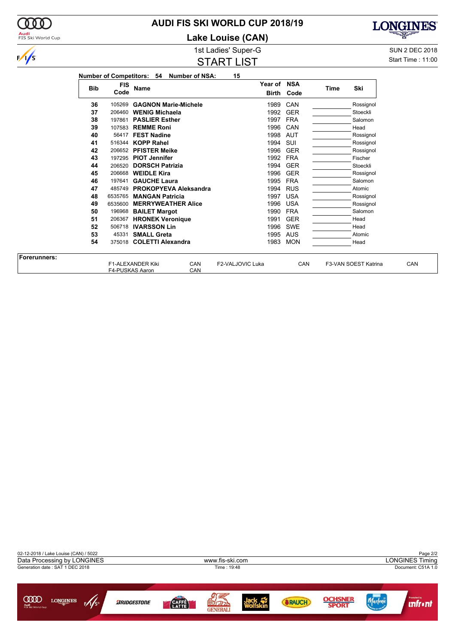# **AUDI FIS SKI WORLD CUP 2018/19**

**Lake Louise (CAN)**



START LIST

1st Ladies' Super-G Super-G SUN 2 DEC 2018 Start Time : 11:00

**LONGINES** 

宻

| <b>Bib</b> | <b>FIS</b><br>Code | <b>Name</b>                  | Year of NSA | <b>Birth Code</b> | Time | Ski       |
|------------|--------------------|------------------------------|-------------|-------------------|------|-----------|
| 36         | 105269             | <b>GAGNON Marie-Michele</b>  | 1989        | CAN               |      | Rossignol |
| 37         |                    | 206460 WENIG Michaela        | 1992        | <b>GER</b>        |      | Stoeckli  |
| 38         | 197861             | <b>PASLIER Esther</b>        | 1997        | <b>FRA</b>        |      | Salomon   |
| 39         | 107583             | <b>REMME Roni</b>            | 1996        | CAN               |      | Head      |
| 40         |                    | 56417 FEST Nadine            | 1998        | AUT               |      | Rossignol |
| 41         |                    | 516344 KOPP Rahel            | 1994        | SUI               |      | Rossignol |
| 42         |                    | 206652 PFISTER Meike         | 1996        | <b>GER</b>        |      | Rossignol |
| 43         |                    | 197295 PIOT Jennifer         | 1992        | FRA               |      | Fischer   |
| 44         |                    | 206520 DORSCH Patrizia       | 1994        | <b>GER</b>        |      | Stoeckli  |
| 45         | 206668             | <b>WEIDLE Kira</b>           | 1996        | <b>GER</b>        |      | Rossignol |
| 46         |                    | 197641 GAUCHE Laura          | 1995        | <b>FRA</b>        |      | Salomon   |
| 47         | 485749             | <b>PROKOPYEVA Aleksandra</b> | 1994        | <b>RUS</b>        |      | Atomic    |
| 48         | 6535765            | <b>MANGAN Patricia</b>       | 1997        | <b>USA</b>        |      | Rossignol |
| 49         | 6535600            | <b>MERRYWEATHER Alice</b>    | 1996        | <b>USA</b>        |      | Rossignol |
| 50         | 196968             | <b>BAILET Margot</b>         | 1990        | <b>FRA</b>        |      | Salomon   |
| 51         | 206367             | <b>HRONEK Veronique</b>      | 1991        | <b>GER</b>        |      | Head      |
| 52         | 506718             | <b>IVARSSON Lin</b>          | 1996        | SWE               |      | Head      |
| 53         |                    | 45331 SMALL Greta            | 1995        | AUS               |      | Atomic    |
| 54         |                    | 375018 COLETTI Alexandra     | 1983        | <b>MON</b>        |      | Head      |

| <b>Forerunners:</b> |                                      |            |                  |     |                      |     |
|---------------------|--------------------------------------|------------|------------------|-----|----------------------|-----|
|                     | F1-ALEXANDER Kiki<br>F4-PUSKAS Aaron | CAN<br>CAN | F2-VALJOVIC Luka | CAN | F3-VAN SOEST Katrina | CAN |





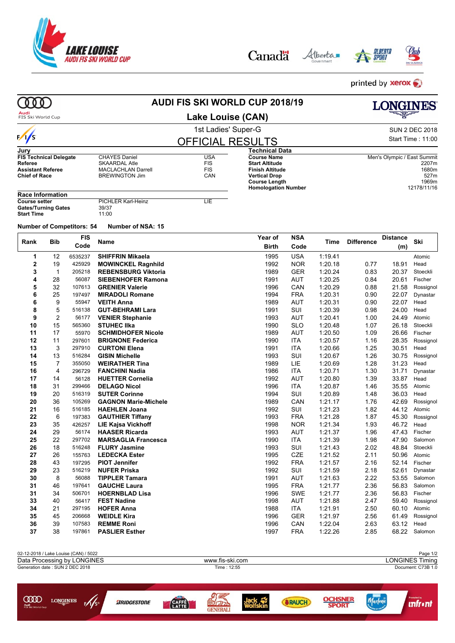

*BRIDGESTONE* 

 $\underset{\underset{\text{piss laword }\text{Cup}}{\text{cond}}}{{\text{QQO}}} \hspace{-0.3cm}\underset{\text{long}}{\text{Longimes}}$ 

| Canadä | Alberta |
|--------|---------|
|        |         |





 $printed$  by **xerox** 

Marlene

**Infront** 

**OCHSNER**<br>SPORT

| O O                                                                                                |                |                                       |                                                                                                    | <b>AUDI FIS SKI WORLD CUP 2018/19</b>  |             |                                                                                                                                                     |                   |                    |                   | <b>LONGINES</b>             |                                                |
|----------------------------------------------------------------------------------------------------|----------------|---------------------------------------|----------------------------------------------------------------------------------------------------|----------------------------------------|-------------|-----------------------------------------------------------------------------------------------------------------------------------------------------|-------------------|--------------------|-------------------|-----------------------------|------------------------------------------------|
| Audi<br>FIS Ski World Cup                                                                          |                |                                       |                                                                                                    | Lake Louise (CAN)                      |             |                                                                                                                                                     |                   |                    |                   |                             |                                                |
|                                                                                                    |                |                                       |                                                                                                    | 1st Ladies' Super-G                    |             |                                                                                                                                                     |                   |                    |                   |                             | <b>SUN 2 DEC 2018</b>                          |
| $\frac{1}{s}$                                                                                      |                |                                       |                                                                                                    | <b>OFFICIAL RESULTS</b>                |             |                                                                                                                                                     |                   |                    |                   |                             | Start Time: 11:00                              |
| Jurv                                                                                               |                |                                       |                                                                                                    |                                        |             | <b>Technical Data</b>                                                                                                                               |                   |                    |                   |                             |                                                |
| <b>FIS Technical Delegate</b><br>Referee<br><b>Assistant Referee</b><br><b>Chief of Race</b>       |                |                                       | <b>CHAYES Daniel</b><br><b>SKAARDAL Atle</b><br><b>MACLACHLAN Darrell</b><br><b>BREWINGTON Jim</b> | <b>USA</b><br><b>FIS</b><br>FIS<br>CAN |             | <b>Course Name</b><br><b>Start Altitude</b><br><b>Finish Altitude</b><br><b>Vertical Drop</b><br><b>Course Length</b><br><b>Homologation Number</b> |                   |                    |                   | Men's Olympic / East Summit | 2207m<br>1680m<br>527m<br>1969m<br>12178/11/16 |
| <b>Race Information</b><br><b>Course setter</b><br><b>Gates/Turning Gates</b><br><b>Start Time</b> |                |                                       | PICHLER Karl-Heinz<br>39/37<br>11:00                                                               | LIE                                    |             |                                                                                                                                                     |                   |                    |                   |                             |                                                |
|                                                                                                    |                | <b>Number of Competitors: 54</b>      | Number of NSA: 15                                                                                  |                                        |             |                                                                                                                                                     |                   |                    |                   |                             |                                                |
| Rank                                                                                               | Bib            | <b>FIS</b>                            | Name                                                                                               |                                        |             | Year of                                                                                                                                             | <b>NSA</b>        | Time               | <b>Difference</b> | <b>Distance</b>             | Ski                                            |
|                                                                                                    |                | Code                                  |                                                                                                    |                                        |             | Birth                                                                                                                                               | Code              |                    |                   | (m)                         |                                                |
| 1                                                                                                  | 12             | 6535237                               | <b>SHIFFRIN Mikaela</b>                                                                            |                                        |             | 1995                                                                                                                                                | <b>USA</b>        | 1.19.41            |                   |                             | Atomic                                         |
| $\mathbf{2}$                                                                                       | 19             | 425929                                | <b>MOWINCKEL Ragnhild</b>                                                                          |                                        |             | 1992                                                                                                                                                | <b>NOR</b>        | 1:20.18            | 0.77              | 18.91                       | Head                                           |
| 3                                                                                                  | $\mathbf{1}$   | 205218<br>56087                       | <b>REBENSBURG Viktoria</b>                                                                         |                                        |             | 1989                                                                                                                                                | <b>GER</b>        | 1:20.24            | 0.83              | 20.37                       | Stoeckli                                       |
| 4<br>5                                                                                             | 28             | 107613                                | <b>SIEBENHOFER Ramona</b><br><b>GRENIER Valerie</b>                                                |                                        |             | 1991                                                                                                                                                | AUT<br>CAN        | 1:20.25            | 0.84              | 20.61                       | Fischer                                        |
| 6                                                                                                  | 32<br>25       | 197497                                | <b>MIRADOLI Romane</b>                                                                             |                                        |             | 1996<br>1994                                                                                                                                        | <b>FRA</b>        | 1:20.29<br>1:20.31 | 0.88<br>0.90      | 21.58<br>22.07              | Rossignol<br>Dynastar                          |
| 6                                                                                                  | 9              | 55947                                 | <b>VEITH Anna</b>                                                                                  |                                        |             | 1989                                                                                                                                                | AUT               | 1:20.31            | 0.90              | 22.07                       | Head                                           |
| 8                                                                                                  | 5              | 516138                                | <b>GUT-BEHRAMI Lara</b>                                                                            |                                        |             | 1991                                                                                                                                                | SUI               | 1:20.39            | 0.98              | 24.00                       | Head                                           |
| 9                                                                                                  | 2              | 56177                                 | <b>VENIER Stephanie</b>                                                                            |                                        |             | 1993                                                                                                                                                | AUT               | 1:20.41            | 1.00              | 24.49                       | Atomic                                         |
| 10                                                                                                 | 15             | 565360                                | <b>STUHEC IIka</b>                                                                                 |                                        |             | 1990                                                                                                                                                | <b>SLO</b>        | 1:20.48            | 1.07              | 26.18                       | Stoeckli                                       |
| 11                                                                                                 | 17             | 55970                                 | <b>SCHMIDHOFER Nicole</b>                                                                          |                                        |             | 1989                                                                                                                                                | AUT               | 1:20.50            | 1.09              | 26.66                       | Fischer                                        |
| 12                                                                                                 | 11             | 297601                                | <b>BRIGNONE Federica</b>                                                                           |                                        |             | 1990                                                                                                                                                | ITA               | 1:20.57            | 1.16              | 28.35                       | Rossignol                                      |
| 13                                                                                                 | 3              | 297910                                | <b>CURTONI Elena</b>                                                                               |                                        |             | 1991                                                                                                                                                | ITA               | 1:20.66            | 1.25              | 30.51                       | Head                                           |
| 14                                                                                                 | 13             | 516284                                | <b>GISIN Michelle</b>                                                                              |                                        |             | 1993                                                                                                                                                | SUI               | 1:20.67            | 1.26              | 30.75                       | Rossignol                                      |
| 15                                                                                                 | $\overline{7}$ | 355050                                | <b>WEIRATHER Tina</b>                                                                              |                                        |             | 1989                                                                                                                                                | LIE               | 1:20.69            | 1.28              | 31.23                       | Head                                           |
| 16                                                                                                 | 4              | 296729                                | <b>FANCHINI Nadia</b>                                                                              |                                        |             | 1986                                                                                                                                                | ITA               | 1:20.71            | 1.30              | 31.71                       | Dynastar                                       |
| 17                                                                                                 | 14             | 56128                                 | <b>HUETTER Cornelia</b>                                                                            |                                        |             | 1992                                                                                                                                                | AUT               | 1:20.80            | 1.39              | 33.87                       | Head                                           |
| 18                                                                                                 | 31             | 299466                                | <b>DELAGO Nicol</b>                                                                                |                                        |             | 1996                                                                                                                                                | ITA               | 1:20.87            | 1.46              | 35.55                       | Atomic                                         |
| 19                                                                                                 | 20             | 516319                                | <b>SUTER Corinne</b>                                                                               |                                        |             | 1994                                                                                                                                                | SUI               | 1:20.89            | 1.48              | 36.03                       | Head                                           |
| 20                                                                                                 | 36             | 105269                                | <b>GAGNON Marie-Michele</b>                                                                        |                                        |             | 1989                                                                                                                                                | CAN               | 1:21.17            | 1.76              | 42.69                       | Rossignol                                      |
| 21                                                                                                 | 16             | 516185                                | <b>HAEHLEN Joana</b>                                                                               |                                        |             | 1992                                                                                                                                                | SUI               | 1:21.23            | 1.82              | 44.12                       | Atomic                                         |
| 22                                                                                                 | 6              | 197383                                | <b>GAUTHIER Tiffany</b>                                                                            |                                        |             | 1993                                                                                                                                                | <b>FRA</b>        | 1:21.28            | 1.87              | 45.30                       | Rossignol                                      |
| 23                                                                                                 | 35             | 426257                                | <b>LIE Kajsa Vickhoff</b>                                                                          |                                        |             | 1998                                                                                                                                                | <b>NOR</b>        | 1:21.34            | 1.93              | 46.72                       | Head                                           |
| 24                                                                                                 | 29             | 56174                                 | <b>HAASER Ricarda</b>                                                                              |                                        |             | 1993                                                                                                                                                | <b>AUT</b>        | 1:21.37            | 1.96              |                             | 47.43 Fischer                                  |
| 25                                                                                                 | 22             | 297702                                | <b>MARSAGLIA Francesca</b>                                                                         |                                        |             | 1990                                                                                                                                                | <b>ITA</b>        | 1:21.39            | 1.98              | 47.90                       | Salomon                                        |
| 26                                                                                                 | 18             | 516248                                | <b>FLURY Jasmine</b>                                                                               |                                        |             | 1993                                                                                                                                                | SUI               | 1:21.43            | 2.02              | 48.84                       | Stoeckli                                       |
| 27                                                                                                 | 26             | 155763                                | <b>LEDECKA Ester</b>                                                                               |                                        |             | 1995                                                                                                                                                | CZE               | 1:21.52            | 2.11              | 50.96                       | Atomic                                         |
| 28                                                                                                 | 43             | 197295                                | <b>PIOT Jennifer</b>                                                                               |                                        |             | 1992                                                                                                                                                | <b>FRA</b>        | 1:21.57            | 2.16              | 52.14                       | Fischer                                        |
| 29                                                                                                 | 23             | 516219                                | <b>NUFER Priska</b>                                                                                |                                        |             | 1992                                                                                                                                                | SUI               | 1:21.59            | 2.18              | 52.61                       | Dynastar                                       |
| 30                                                                                                 | 8              | 56088                                 | <b>TIPPLER Tamara</b>                                                                              |                                        |             | 1991                                                                                                                                                | <b>AUT</b>        | 1.21.63            | 2.22              |                             | 53.55 Salomon                                  |
| 31                                                                                                 | 46             | 197641                                | <b>GAUCHE Laura</b>                                                                                |                                        |             | 1995                                                                                                                                                | <b>FRA</b>        | 1:21.77            | 2.36              | 56.83                       | Salomon                                        |
| 31<br>33                                                                                           | 34             | 506701<br>56417                       | <b>HOERNBLAD Lisa</b>                                                                              |                                        |             | 1996<br>1998                                                                                                                                        | <b>SWE</b><br>AUT | 1.21.77            | 2.36              |                             | 56.83 Fischer<br>59.40 Rossignol               |
| 34                                                                                                 | 40<br>21       | 297195                                | <b>FEST Nadine</b><br><b>HOFER Anna</b>                                                            |                                        |             | 1988                                                                                                                                                | ITA               | 1:21.88<br>1.21.91 | 2.47<br>2.50      | 60.10                       | Atomic                                         |
| 35                                                                                                 | 45             | 206668                                | <b>WEIDLE Kira</b>                                                                                 |                                        |             | 1996                                                                                                                                                | GER               | 1:21.97            | 2.56              | 61.49                       | Rossignol                                      |
| 36                                                                                                 | 39             | 107583                                | <b>REMME Roni</b>                                                                                  |                                        |             | 1996                                                                                                                                                | CAN               | 1:22.04            | 2.63              |                             | 63.12 Head                                     |
| 37                                                                                                 | 38             | 197861                                | <b>PASLIER Esther</b>                                                                              |                                        |             | 1997                                                                                                                                                | <b>FRA</b>        | 1:22.26            | 2.85              | 68.22                       | Salomon                                        |
|                                                                                                    |                |                                       |                                                                                                    |                                        |             |                                                                                                                                                     |                   |                    |                   |                             |                                                |
|                                                                                                    |                | 02-12-2018 / Lake Louise (CAN) / 5022 |                                                                                                    |                                        |             |                                                                                                                                                     |                   |                    |                   |                             | Page 1/2                                       |
| Generation date: SUN 2 DEC 2018                                                                    |                | Data Processing by LONGINES           |                                                                                                    | www.fis-ski.com                        | Time: 12:55 |                                                                                                                                                     |                   |                    |                   |                             | LONGINES Timing<br>Document: C73B 1.0          |
|                                                                                                    |                |                                       |                                                                                                    |                                        |             |                                                                                                                                                     |                   |                    |                   |                             |                                                |

9号<br>**配示** 

CAFE

Jack<br>Wolfskin

**SRAUCH**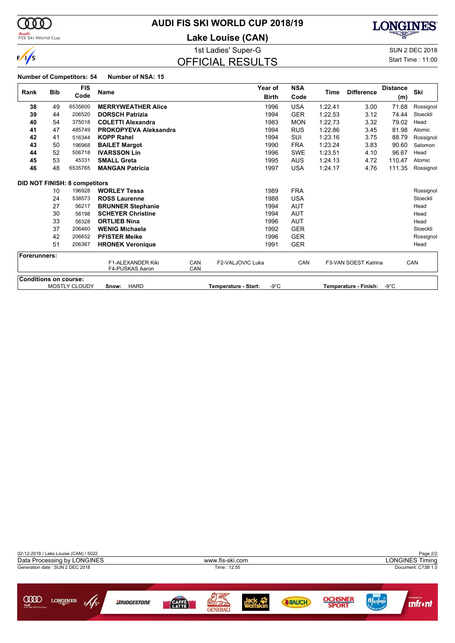

# **AUDI FIS SKI WORLD CUP 2018/19**

**Lake Louise (CAN)**



### $\overline{O}$ FFIQIAL REQUITO

1st Ladies' Super-G Super-G SUN 2 DEC 2018

**LONGINES** 趣

|                              |            |                                      |                                      |            | ist Laures ouper-o      |                |            |         |                          |                 | <b>JUIN Z DEU ZUTO</b> |  |
|------------------------------|------------|--------------------------------------|--------------------------------------|------------|-------------------------|----------------|------------|---------|--------------------------|-----------------|------------------------|--|
| $\sqrt{s}$                   |            |                                      |                                      |            | <b>OFFICIAL RESULTS</b> |                |            |         | <b>Start Time: 11:00</b> |                 |                        |  |
|                              |            | <b>Number of Competitors: 54</b>     | Number of NSA: 15                    |            |                         |                |            |         |                          |                 |                        |  |
|                              | <b>Bib</b> | <b>FIS</b>                           | <b>Name</b>                          |            |                         | Year of        | <b>NSA</b> | Time    | <b>Difference</b>        | <b>Distance</b> | Ski                    |  |
| Rank                         |            | Code                                 |                                      |            |                         | <b>Birth</b>   | Code       |         |                          | (m)             |                        |  |
| 38                           | 49         | 6535600                              | <b>MERRYWEATHER Alice</b>            |            |                         | 1996           | <b>USA</b> | 1:22.41 | 3.00                     | 71.68           | Rossignol              |  |
| 39                           | 44         | 206520                               | <b>DORSCH Patrizia</b>               |            |                         | 1994           | <b>GER</b> | 1:22.53 | 3.12                     | 74.44           | Stoeckli               |  |
| 40                           | 54         | 375018                               | <b>COLETTI Alexandra</b>             |            |                         | 1983           | <b>MON</b> | 1:22.73 | 3.32                     | 79.02           | Head                   |  |
| 41                           | 47         | 485749                               | <b>PROKOPYEVA Aleksandra</b>         |            |                         | 1994           | <b>RUS</b> | 1:22.86 | 3.45                     | 81.98           | Atomic                 |  |
| 42                           | 41         | 516344                               | <b>KOPP Rahel</b>                    |            |                         | 1994           | SUI        | 1:23.16 | 3.75                     | 88.79           | Rossignol              |  |
| 43                           | 50         | 196968                               | <b>BAILET Margot</b>                 |            |                         | 1990           | <b>FRA</b> | 1:23.24 | 3.83                     | 90.60           | Salomon                |  |
| 44                           | 52         | 506718                               | <b>IVARSSON Lin</b>                  |            |                         | 1996           | <b>SWE</b> | 1:23.51 | 4.10                     | 96.67           | Head                   |  |
| 45                           | 53         | 45331                                | <b>SMALL Greta</b>                   |            |                         | 1995           | <b>AUS</b> | 1:24.13 | 4.72                     | 110.47          | Atomic                 |  |
| 46                           | 48         | 6535765                              | <b>MANGAN Patricia</b>               |            |                         | 1997           | <b>USA</b> | 1:24.17 | 4.76                     | 111.35          | Rossignol              |  |
|                              |            | <b>DID NOT FINISH: 8 competitors</b> |                                      |            |                         |                |            |         |                          |                 |                        |  |
|                              | 10         | 196928                               | <b>WORLEY Tessa</b>                  |            |                         | 1989           | <b>FRA</b> |         |                          |                 | Rossignol              |  |
|                              | 24         | 538573                               | <b>ROSS Laurenne</b>                 |            |                         | 1988           | <b>USA</b> |         |                          |                 | Stoeckli               |  |
|                              | 27         | 56217                                | <b>BRUNNER Stephanie</b>             |            |                         | 1994           | <b>AUT</b> |         |                          |                 | Head                   |  |
|                              | 30         | 56198                                | <b>SCHEYER Christine</b>             |            |                         | 1994           | <b>AUT</b> |         |                          |                 | Head                   |  |
|                              | 33         | 56328                                | <b>ORTLIEB Nina</b>                  |            |                         | 1996           | <b>AUT</b> |         |                          |                 | Head                   |  |
|                              | 37         | 206460                               | <b>WENIG Michaela</b>                |            |                         | 1992           | <b>GER</b> |         |                          |                 | Stoeckli               |  |
|                              | 42         | 206652                               | <b>PFISTER Meike</b>                 |            |                         | 1996           | <b>GER</b> |         |                          |                 | Rossignol              |  |
|                              | 51         | 206367                               | <b>HRONEK Veronique</b>              |            |                         | 1991           | <b>GER</b> |         |                          |                 | Head                   |  |
| Forerunners:                 |            |                                      |                                      |            |                         |                |            |         |                          |                 |                        |  |
|                              |            |                                      | F1-ALEXANDER Kiki<br>F4-PUSKAS Aaron | CAN<br>CAN | F2-VALJOVIC Luka        |                | CAN        |         | F3-VAN SOEST Katrina     |                 | CAN                    |  |
| <b>Conditions on course:</b> |            | <b>MOSTLY CLOUDY</b>                 | <b>HARD</b><br>Snow:                 |            | Temperature - Start:    | $-9^{\circ}$ C |            |         | Temperature - Finish:    | $-9^{\circ}$ C  |                        |  |
|                              |            |                                      |                                      |            |                         |                |            |         |                          |                 |                        |  |

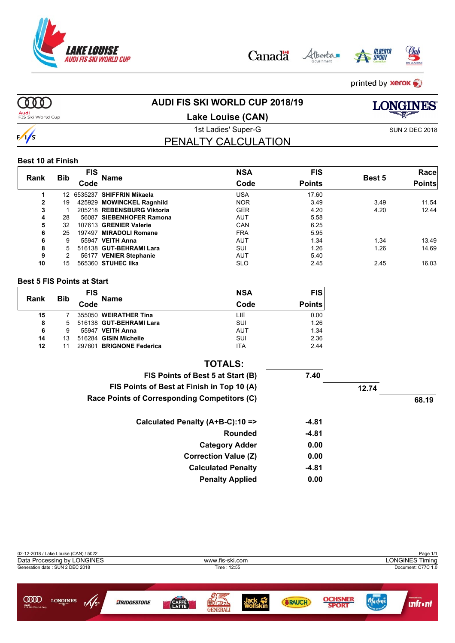

Alberta Canadä





printed by **xerox** 

**OOO** 

# **AUDI FIS SKI WORLD CUP 2018/19**



**Audi**<br>FIS Ski World Cup

**Lake Louise (CAN)**

PENALTY CALCULATION

# $\frac{1}{s}$

#### **Best 10 at Finish**

|              |            | FIS  |                            | <b>NSA</b> | <b>FIS</b>    |        | Race          |
|--------------|------------|------|----------------------------|------------|---------------|--------|---------------|
| Rank         | <b>Bib</b> | Code | <b>Name</b>                | Code       | <b>Points</b> | Best 5 | <b>Points</b> |
|              | 12         |      | 6535237 SHIFFRIN Mikaela   | USA        | 17.60         |        |               |
| $\mathbf{2}$ | 19         |      | 425929 MOWINCKEL Ragnhild  | <b>NOR</b> | 3.49          | 3.49   | 11.54         |
| 3            |            |      | 205218 REBENSBURG Viktoria | <b>GER</b> | 4.20          | 4.20   | 12.44         |
| 4            | 28         |      | 56087 SIEBENHOFER Ramona   | <b>AUT</b> | 5.58          |        |               |
| 5            | 32         |      | 107613 GRENIER Valerie     | CAN        | 6.25          |        |               |
| 6            | 25         |      | 197497 MIRADOLI Romane     | <b>FRA</b> | 5.95          |        |               |
| 6            | 9          |      | 55947 VEITH Anna           | <b>AUT</b> | 1.34          | 1.34   | 13.49         |
| 8            | 5.         |      | 516138 GUT-BEHRAMI Lara    | SUI        | 1.26          | 1.26   | 14.69         |
| 9            |            |      | 56177 VENIER Stephanie     | <b>AUT</b> | 5.40          |        |               |
| 10           | 15         |      | 565360 STUHEC IIka         | <b>SLO</b> | 2.45          | 2.45   | 16.03         |

#### **Best 5 FIS Points at Start**

| Rank | <b>Bib</b> | <b>FIS</b> | <b>Name</b>              | <b>NSA</b> | <b>FIS</b>    |
|------|------------|------------|--------------------------|------------|---------------|
|      |            | Code       |                          | Code       | <b>Points</b> |
| 15   |            |            | 355050 WEIRATHER Tina    | LIE        | 0.00          |
| 8    | 5          |            | 516138 GUT-BEHRAMI Lara  | SUI        | 1.26          |
| 6    | 9          |            | 55947 VEITH Anna         | <b>AUT</b> | 1.34          |
| 14   | 13         |            | 516284 GISIN Michelle    | SUI        | 2.36          |
| 12   |            |            | 297601 BRIGNONE Federica | <b>ITA</b> | 2.44          |

| <b>TOTALS:</b>                               |         |       |       |
|----------------------------------------------|---------|-------|-------|
| FIS Points of Best 5 at Start (B)            | 7.40    |       |       |
| FIS Points of Best at Finish in Top 10 (A)   |         | 12.74 |       |
| Race Points of Corresponding Competitors (C) |         |       | 68.19 |
| Calculated Penalty (A+B-C):10 =>             | $-4.81$ |       |       |
| <b>Rounded</b>                               | $-4.81$ |       |       |
| <b>Category Adder</b>                        | 0.00    |       |       |
| <b>Correction Value (Z)</b>                  | 0.00    |       |       |
| <b>Calculated Penalty</b>                    | $-4.81$ |       |       |
| <b>Penalty Applied</b>                       | 0.00    |       |       |







1st Ladies' Super-G SUN 2 DEC 2018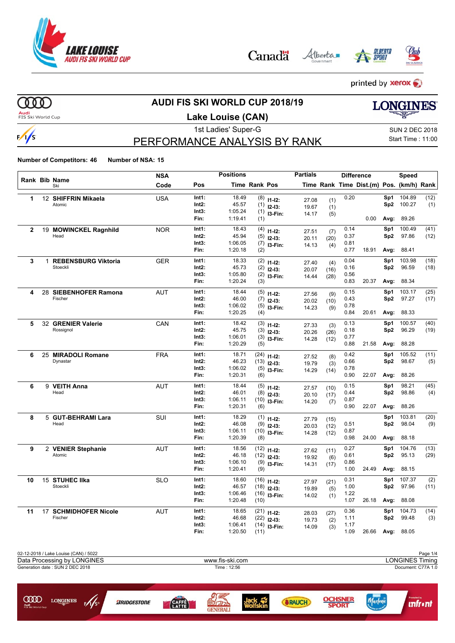

Alberta Canadä





printed by **xerox** 

 $000$ 

 $\frac{1}{s}$ 

# **AUDI FIS SKI WORLD CUP 2018/19**

**Audi**<br>FIS Ski World Cup

### **Lake Louise (CAN)**

# **LONGINES** 1st Ladies' Super-G Super-G SUN 2 DEC 2018

Start Time : 11:00

<u>**unfront**</u>

PERFORMANCE ANALYSIS BY RANK

**Number of Competitors: 46 Number of NSA: 15**

 $F/\sqrt{s}$ 

|              |    |                                        | <b>NSA</b> |                | <b>Positions</b>   |               |             | <b>Partials</b> |      |              | <b>Difference</b>                        |                 | Speed             |      |
|--------------|----|----------------------------------------|------------|----------------|--------------------|---------------|-------------|-----------------|------|--------------|------------------------------------------|-----------------|-------------------|------|
|              |    | Rank Bib Name<br>Ski                   | Code       | Pos            |                    | Time Rank Pos |             |                 |      |              | Time Rank Time Dist.(m) Pos. (km/h) Rank |                 |                   |      |
| 1            |    | 12 SHIFFRIN Mikaela                    | <b>USA</b> | Int1:          | 18.49              | (8)           | $11-12:$    | 27.08           | (1)  | 0.20         |                                          | Sp1             | 104.89            | (12) |
|              |    | Atomic                                 |            | Int2:          | 45.57              | (1)           | $12-13:$    | 19.67           | (1)  |              |                                          |                 | Sp2 100.27        | (1)  |
|              |    |                                        |            | Int3:          | 1:05.24            | (1)           | I3-Fin:     | 14.17           | (5)  |              |                                          |                 |                   |      |
|              |    |                                        |            | Fin:           | 1:19.41            | (1)           |             |                 |      |              | 0.00                                     | Avg:            | 89.26             |      |
| $\mathbf{2}$ |    | 19 MOWINCKEL Ragnhild                  | <b>NOR</b> | Int1:          | 18.43              | (4)           | $11 - 12$ : | 27.51           | (7)  | 0.14         |                                          | Sp1             | 100.49            | (41) |
|              |    | Head                                   |            | Int2:          | 45.94              | (5)           | $12 - 13:$  | 20.11           | (20) | 0.37         |                                          | Sp2             | 97.86             | (12) |
|              |    |                                        |            | Int3:<br>Fin:  | 1:06.05<br>1:20.18 | (7)<br>(2)    | I3-Fin:     | 14.13           | (4)  | 0.81<br>0.77 | 18.91                                    | Avg:            | 88.41             |      |
|              |    |                                        |            |                |                    |               |             |                 |      |              |                                          |                 |                   |      |
| 3            | 1  | <b>REBENSBURG Viktoria</b><br>Stoeckli | <b>GER</b> | Int1:          | 18.33              | (2)           | $11 - 12$ : | 27.40           | (4)  | 0.04         |                                          | Sp1             | 103.98            | (18) |
|              |    |                                        |            | Int2:<br>Int3: | 45.73<br>1:05.80   | (2)           | $12-13:$    | 20.07           | (16) | 0.16<br>0.56 |                                          | Sp <sub>2</sub> | 96.59             | (18) |
|              |    |                                        |            | Fin:           | 1:20.24            | (2)<br>(3)    | I3-Fin:     | 14.44           | (28) | 0.83         | 20.37                                    | Avg:            | 88.34             |      |
| 4            |    | 28 SIEBENHOFER Ramona                  |            | Int1:          | 18.44              |               |             |                 |      | 0.15         |                                          | Sp1             | 103.17            | (25) |
|              |    | Fischer                                | <b>AUT</b> | Int2:          | 46.00              | (5)<br>(7)    | $11 - 12$ : | 27.56           | (9)  | 0.43         |                                          | Sp2             | 97.27             | (17) |
|              |    |                                        |            | Int3:          | 1:06.02            | (5)           | $12-13:$    | 20.02           | (10) | 0.78         |                                          |                 |                   |      |
|              |    |                                        |            | Fin:           | 1:20.25            | (4)           | I3-Fin:     | 14.23           | (9)  | 0.84         | 20.61                                    | Avg:            | 88.33             |      |
| 5            |    | 32 GRENIER Valerie                     | CAN        | Int1:          | 18.42              | (3)           | $11 - 12$ : | 27.33           | (3)  | 0.13         |                                          | Sp1             | 100.57            | (40) |
|              |    | Rossignol                              |            | Int2:          | 45.75              | (3)           | $12-13:$    | 20.26           | (26) | 0.18         |                                          | Sp <sub>2</sub> | 96.29             | (19) |
|              |    |                                        |            | Int3:          | 1:06.01            | (3)           | I3-Fin:     | 14.28           | (12) | 0.77         |                                          |                 |                   |      |
|              |    |                                        |            | Fin:           | 1:20.29            | (5)           |             |                 |      | 0.88         | 21.58                                    | Avg:            | 88.28             |      |
| 6            | 25 | <b>MIRADOLI Romane</b>                 | <b>FRA</b> | Int1:          | 18.71              | (24)          | $11 - 12$ : | 27.52           | (8)  | 0.42         |                                          | Sp1             | 105.52            | (11) |
|              |    | Dynastar                               |            | Int2:          | 46.23              | (13)          | $12 - 13:$  | 19.79           | (3)  | 0.66         |                                          | Sp2             | 98.67             | (5)  |
|              |    |                                        |            | Int3:          | 1:06.02            | (5)           | I3-Fin:     | 14.29           | (14) | 0.78         |                                          |                 |                   |      |
|              |    |                                        |            | Fin:           | 1:20.31            | (6)           |             |                 |      | 0.90         | 22.07                                    | Avg:            | 88.26             |      |
| 6            |    | 9 VEITH Anna                           | AUT        | Int1:          | 18.44              | (5)           | $11 - 12$ : | 27.57           | (10) | 0.15         |                                          | Sp1             | 98.21             | (45) |
|              |    | Head                                   |            | Int2:          | 46.01              | (8)           | $12 - 13:$  | 20.10           | (17) | 0.44         |                                          | Sp <sub>2</sub> | 98.86             | (4)  |
|              |    |                                        |            | Int3:          | 1:06.11            | (10)          | I3-Fin:     | 14.20           | (7)  | 0.87         |                                          |                 |                   |      |
|              |    |                                        |            | Fin:           | 1:20.31            | (6)           |             |                 |      | 0.90         | 22.07                                    | Avg:            | 88.26             |      |
| 8            |    | 5 GUT-BEHRAMI Lara                     | <b>SUI</b> | Int1:          | 18.29              | (1)           | $11-12:$    | 27.79           | (15) |              |                                          | Sp1             | 103.81            | (20) |
|              |    | Head                                   |            | Int2:          | 46.08              | (9)           | $12 - 13:$  | 20.03           | (12) | 0.51         |                                          | Sp2             | 98.04             | (9)  |
|              |    |                                        |            | Int3:          | 1:06.11            | (10)          | I3-Fin:     | 14.28           | (12) | 0.87<br>0.98 |                                          |                 |                   |      |
|              |    |                                        |            | Fin:           | 1:20.39            | (8)           |             |                 |      |              | 24.00                                    | Avg:            | 88.18             |      |
| 9            |    | 2 VENIER Stephanie                     | <b>AUT</b> | Int1:          | 18.56              | (12)          | $11 - 12$ : | 27.62           | (11) | 0.27         |                                          | Sp1             | 104.76            | (13) |
|              |    | Atomic                                 |            | Int2:          | 46.18              | (12)          | $12-13:$    | 19.92           | (6)  | 0.61         |                                          | Sp2             | 95.13             | (29) |
|              |    |                                        |            | Int3:<br>Fin:  | 1:06.10<br>1:20.41 | (9)<br>(9)    | I3-Fin:     | 14.31           | (17) | 0.86<br>1.00 | 24.49                                    | Avg:            | 88.15             |      |
|              |    |                                        |            |                |                    |               |             |                 |      |              |                                          |                 |                   |      |
| 10           |    | 15 STUHEC IIka<br>Stoeckli             | <b>SLO</b> | Int1:<br>Int2: | 18.60<br>46.57     | (16)          | $11 - 12$ : | 27.97           | (21) | 0.31         |                                          | Sp1             | 107.37<br>97.96   | (2)  |
|              |    |                                        |            | Int3:          | 1:06.46            | (18)          | $12-13:$    | 19.89           | (5)  | 1.00<br>1.22 |                                          | Sp <sub>2</sub> |                   | (11) |
|              |    |                                        |            | Fin:           | 1:20.48            | (16)<br>(10)  | I3-Fin:     | 14.02           | (1)  | 1.07         | 26.18                                    | Avg:            | 88.08             |      |
| 11           |    | 17 SCHMIDHOFER Nicole                  | <b>AUT</b> | Int1:          | 18.65              | (21)          |             |                 |      | 0.36         |                                          | Sp1             | 104.73            | (14) |
|              |    | Fischer                                |            | Int2:          | 46.68              | (22)          | $11 - 12$ : | 28.03           | (27) | 1.11         |                                          | Sp <sub>2</sub> | 99.48             | (3)  |
|              |    |                                        |            | Int3:          | 1:06.41            | (14)          | $12 - 13:$  | 19.73           | (2)  | 1.17         |                                          |                 |                   |      |
|              |    |                                        |            | Fin:           | 1:20.50            | (11)          | I3-Fin:     | 14.09           | (3)  | 1.09         | 26.66                                    |                 | <b>Avg: 88.05</b> |      |
|              |    |                                        |            |                |                    |               |             |                 |      |              |                                          |                 |                   |      |

| w<br>LONGINES<br>FZIZS®<br><b>Audit</b> | <b>ARIDGESTONE</b> |                 |  | <b>OCHSNER</b> | <b>Promoted by</b>     |
|-----------------------------------------|--------------------|-----------------|--|----------------|------------------------|
| Generation date: SUN 2 DEC 2018         |                    | Time: 12:56     |  |                | Document: C77A 1.0     |
| Data Processing by LONGINES             |                    | www.fis-ski.com |  |                | <b>LONGINES Timing</b> |
| 02-12-2018 / Lake Louise (CAN) / 5022   |                    |                 |  |                | Page 1/4               |

**GENERAL** 

**ALANTE**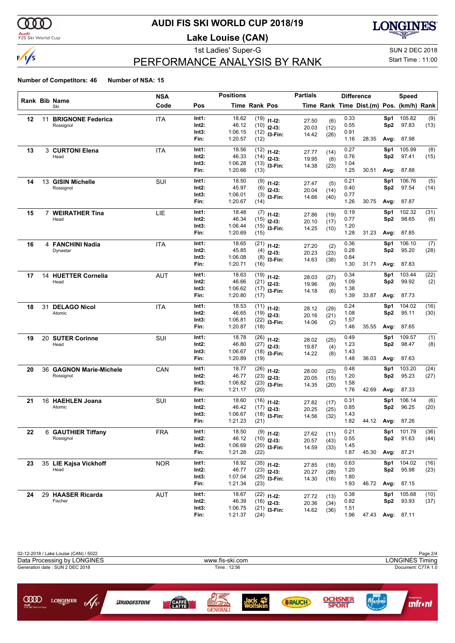

#### **Audi**<br>FIS Ski World Cup

# **AUDI FIS SKI WORLD CUP 2018/19**

**Lake Louise (CAN)**

**LONGINES** 

# PERFORMANCE ANALYSIS BY RANK

#### 1st Ladies' Super-G Super-G SUN 2 DEC 2018 Start Time : 11:00

|    |    |                                 | NSA        |                | <b>Positions</b>   |               |                                | <b>Partials</b> |              |              | <b>Difference</b>                        |                 | Speed               |              |
|----|----|---------------------------------|------------|----------------|--------------------|---------------|--------------------------------|-----------------|--------------|--------------|------------------------------------------|-----------------|---------------------|--------------|
|    |    | Rank Bib Name<br>Ski            | Code       | Pos            |                    | Time Rank Pos |                                |                 |              |              | Time Rank Time Dist.(m) Pos. (km/h) Rank |                 |                     |              |
| 12 | 11 | <b>BRIGNONE Federica</b>        | ITA        | Int1:          | 18.62              |               | $(19)$ $11-12$ :               | 27.50           | (6)          | 0.33         |                                          | Sp1             | 105.82              | (9)          |
|    |    | Rossignol                       |            | Int2:          | 46.12              |               | $(10)$ 12-13:                  | 20.03           | (12)         | 0.55         |                                          | Sp <sub>2</sub> | 97.83               | (13)         |
|    |    |                                 |            | Int3:          | 1:06.15            |               | $(12)$ 13-Fin:                 | 14.42           | (26)         | 0.91         |                                          |                 |                     |              |
|    |    |                                 |            | Fin:           | 1:20.57            | (12)          |                                |                 |              | 1.16         | 28.35                                    | Avg:            | 87.98               |              |
| 13 |    | 3 CURTONI Elena                 | ITA        | Int1:          | 18.56              |               | $(12)$ 11-12:                  | 27.77           | (14)         | 0.27         |                                          | Sp1             | 105.99              | (8)          |
|    |    | Head                            |            | Int2:<br>Int3: | 46.33<br>1:06.28   |               | $(14)$ 12-13:                  | 19.95           | (8)          | 0.76         |                                          | Sp <sub>2</sub> | 97.41               | (15)         |
|    |    |                                 |            | Fin:           | 1:20.66            | (13)          | $(13)$ 13-Fin:                 | 14.38           | (23)         | 1.04<br>1.25 | 30.51                                    | Avg:            | 87.88               |              |
| 14 |    | 13 GISIN Michelle               | SUI        | Int1:          | 18.50              |               | $(9)$ 11-12:                   | 27.47           |              | 0.21         |                                          | Sp1             | 106.76              | (5)          |
|    |    | Rossignol                       |            | Int2:          | 45.97              |               | $(6)$ 12-13:                   | 20.04           | (5)<br>(14)  | 0.40         |                                          | Sp2             | 97.54               | (14)         |
|    |    |                                 |            | Int3:          | 1:06.01            |               | $(3)$ 13-Fin:                  | 14.66           | (40)         | 0.77         |                                          |                 |                     |              |
|    |    |                                 |            | Fin:           | 1:20.67            | (14)          |                                |                 |              | 1.26         | 30.75                                    | Avg:            | 87.87               |              |
| 15 |    | 7 WEIRATHER Tina                | LIE        | Int1:          | 18.48              |               | $(7)$ 11-12:                   | 27.86           | (19)         | 0.19         |                                          | Sp1             | 102.32              | (31)         |
|    |    | Head                            |            | Int2:          | 46.34              |               | $(15)$ 12-13:                  | 20.10           | (17)         | 0.77         |                                          | Sp <sub>2</sub> | 98.65               | (6)          |
|    |    |                                 |            | Int3:          | 1:06.44            |               | $(15)$ 13-Fin:                 | 14.25           | (10)         | 1.20         |                                          |                 |                     |              |
|    |    |                                 |            | Fin:           | 1:20.69            | (15)          |                                |                 |              | 1.28         | 31.23                                    |                 | <b>Avg: 87.85</b>   |              |
| 16 |    | 4 FANCHINI Nadia                | <b>ITA</b> | Int1:          | 18.65              |               | $(21)$ 11-12:                  | 27.20           | (2)          | 0.36         |                                          | Sp1             | 106.10              | (7)          |
|    |    | Dynastar                        |            | Int2:          | 45.85              |               | $(4)$ 12-13:                   | 20.23           | (23)         | 0.28         |                                          | Sp2             | 95.20               | (28)         |
|    |    |                                 |            | Int3:          | 1:06.08            |               | $(8)$ 13-Fin:                  | 14.63           | (38)         | 0.84         |                                          |                 |                     |              |
|    |    |                                 |            | Fin:           | 1:20.71            | (16)          |                                |                 |              | 1.30         | 31.71                                    |                 | <b>Avg: 87.83</b>   |              |
| 17 | 14 | <b>HUETTER Cornelia</b>         | <b>AUT</b> | Int1:          | 18.63              |               | $(19)$ 11-12:                  | 28.03           | (27)         | 0.34         |                                          | Sp1             | 103.44              | (22)         |
|    |    | Head                            |            | Int2:          | 46.66              |               | $(21)$ 12-13:                  | 19.96           | (9)          | 1.09         |                                          | Sp <sub>2</sub> | 99.92               | (2)          |
|    |    |                                 |            | Int3:          | 1:06.62            |               | $(17)$ 13-Fin:                 | 14.18           | (6)          | 1.38         |                                          |                 |                     |              |
|    |    |                                 |            | Fin:           | 1:20.80            | (17)          |                                |                 |              | 1.39         | 33.87                                    |                 | Avg: 87.73          |              |
| 18 |    | 31 DELAGO Nicol                 | ITA        | Int1:          | 18.53              |               | $(11)$ 11-12:                  | 28.12           | (29)         | 0.24         |                                          | Sp1             | 104.02              | (16)         |
|    |    | Atomic                          |            | Int2:          | 46.65              |               | $(19)$ $12-13$ :               | 20.16           | (21)         | 1.08         |                                          | Sp <sub>2</sub> | 95.11               | (30)         |
|    |    |                                 |            | Int3:<br>Fin:  | 1:06.81<br>1:20.87 | (18)          | $(22)$ 13-Fin:                 | 14.06           | (2)          | 1.57<br>1.46 | 35.55                                    | Avg:            | 87.65               |              |
| 19 | 20 | <b>SUTER Corinne</b>            | SUI        | Int1:          | 18.78              |               |                                |                 |              | 0.49         |                                          | Sp1             | 109.57              | (1)          |
|    |    | Head                            |            | Int2:          | 46.80              |               | $(26)$ 11-12:<br>$(27)$ 12-13: | 28.02           | (25)         | 1.23         |                                          | Sp <sub>2</sub> | 98.47               | (8)          |
|    |    |                                 |            | Int3:          | 1:06.67            |               | $(18)$ 13-Fin:                 | 19.87           | (4)          | 1.43         |                                          |                 |                     |              |
|    |    |                                 |            | Fin:           | 1:20.89            | (19)          |                                | 14.22           | (8)          | 1.48         | 36.03                                    | Avg:            | 87.63               |              |
| 20 |    | 36 GAGNON Marie-Michele         | CAN        | Int1:          | 18.77              |               | $(26)$ 11-12:                  | 28.00           | (23)         | 0.48         |                                          | Sp1             | 103.20              | (24)         |
|    |    | Rossignol                       |            | Int2:          | 46.77              |               | $(23)$ 12-13:                  | 20.05           | (15)         | 1.20         |                                          | Sp <sub>2</sub> | 95.23               | (27)         |
|    |    |                                 |            | Int3:          | 1:06.82            |               | $(23)$ 13-Fin:                 | 14.35           | (20)         | 1.58         |                                          |                 |                     |              |
|    |    |                                 |            | Fin:           | 1:21.17            | (20)          |                                |                 |              | 1.76         | 42.69                                    |                 | Avg: 87.33          |              |
| 21 |    | 16 HAEHLEN Joana                | SUI        | Int1:          | 18.60              |               | $(16)$ 11-12:                  | 27.82           | (17)         | 0.31         |                                          | Sp1             | 106.14              | (6)          |
|    |    | Atomic                          |            | Int2:          | 46.42              |               | $(17)$ 12-13:                  | 20.25           | (25)         | 0.85         |                                          | Sp2             | 96.25               | (20)         |
|    |    |                                 |            | Int3:<br>Fin:  | 1:06.67<br>1:21.23 | (21)          | $(18)$ 13-Fin:                 | 14.56           | (32)         | 1.43<br>1.82 | 44.12                                    |                 | Avg: 87.26          |              |
|    |    |                                 |            |                |                    |               |                                |                 |              |              |                                          |                 |                     |              |
| 22 |    | 6 GAUTHIER Tiffany<br>Rossignol | <b>FRA</b> | Int1:<br>Int2: | 18.50<br>46.12     |               | $(9)$ 11-12:                   | 27.62           | (11)         | 0.21<br>0.55 |                                          | Sp1             | 101.79<br>Sp2 91.63 | (36)<br>(44) |
|    |    |                                 |            | Int3:          | 1:06.69            |               | $(10)$ 12-13:                  | 20.57           | (43)         | 1.45         |                                          |                 |                     |              |
|    |    |                                 |            | Fin:           | 1:21.28            | (22)          | $(20)$ 13-Fin:                 | 14.59           | (33)         | 1.87         | 45.30                                    |                 | Avg: 87.21          |              |
| 23 |    | 35 LIE Kajsa Vickhoff           | <b>NOR</b> | Int1:          | 18.92              |               | $(35)$ 11-12:                  | 27.85           | (18)         | 0.63         |                                          | Sp1             | 104.02              | (16)         |
|    |    | Head                            |            | Int2:          | 46.77              |               | $(23)$ 12-13:                  | 20.27           |              | 1.20         |                                          | Sp2             | 95.98               | (23)         |
|    |    |                                 |            | Int3:          | 1:07.04            |               | $(25)$ 13-Fin:                 | 14.30           | (28)<br>(16) | 1.80         |                                          |                 |                     |              |
|    |    |                                 |            | Fin:           | 1:21.34            | (23)          |                                |                 |              | 1.93         |                                          |                 | 46.72 Avg: 87.15    |              |
| 24 |    | 29 HAASER Ricarda               | <b>AUT</b> | Int1:          | 18.67              |               | $(22)$ 11-12:                  | 27.72           | (13)         | 0.38         |                                          | Sp1             | 105.68              | (10)         |
|    |    | Fischer                         |            | Int2:          | 46.39              |               | $(16)$ 12-13:                  | 20.36           | (34)         | 0.82         |                                          | Sp2             | 93.93               | (37)         |
|    |    |                                 |            | Int3:          | 1:06.75            |               | $(21)$ 13-Fin:                 | 14.62           | (36)         | 1.51         |                                          |                 |                     |              |
|    |    |                                 |            | Fin:           | 1:21.37            | (24)          |                                |                 |              | 1.96         | 47.43 Avg: 87.11                         |                 |                     |              |

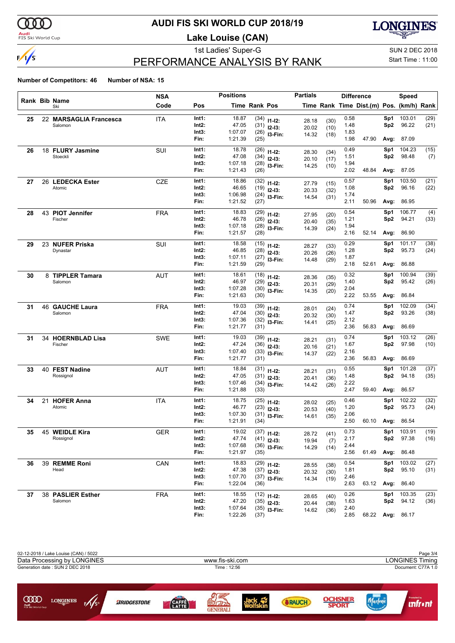

#### **Audi**<br>FIS Ski World Cup

# **AUDI FIS SKI WORLD CUP 2018/19**

**Lake Louise (CAN)**

**LONGINES** 

# PERFORMANCE ANALYSIS BY RANK

1st Ladies' Super-G Super-G SUN 2 DEC 2018 Start Time : 11:00

|    |    |                        | <b>NSA</b> |                | <b>Positions</b>   |                      |                                | <b>Partials</b> |              |              | <b>Difference</b>                        |                 | <b>Speed</b>      |      |
|----|----|------------------------|------------|----------------|--------------------|----------------------|--------------------------------|-----------------|--------------|--------------|------------------------------------------|-----------------|-------------------|------|
|    |    | Rank Bib Name<br>Ski   | Code       | Pos            |                    | <b>Time Rank Pos</b> |                                |                 |              |              | Time Rank Time Dist.(m) Pos. (km/h) Rank |                 |                   |      |
| 25 |    | 22 MARSAGLIA Francesca | <b>ITA</b> | Int1:          | 18.87              |                      | $(34)$ 11-12:                  | 28.18           | (30)         | 0.58         |                                          | Sp1             | 103.01            | (29) |
|    |    | Salomon                |            | Int2:          | 47.05              |                      | $(31)$ 12-13:                  | 20.02           | (10)         | 1.48         |                                          | Sp <sub>2</sub> | 96.22             | (21) |
|    |    |                        |            | Int3:          | 1:07.07            |                      | $(26)$ 13-Fin:                 | 14.32           | (18)         | 1.83         |                                          |                 |                   |      |
|    |    |                        |            | Fin:           | 1:21.39            | (25)                 |                                |                 |              | 1.98         | 47.90                                    | Avg:            | 87.09             |      |
| 26 |    | 18 FLURY Jasmine       | SUI        | Int1:          | 18.78              |                      | $(26)$ 11-12:                  | 28.30           | (34)         | 0.49         |                                          | Sp1             | 104.23            | (15) |
|    |    | Stoeckli               |            | Int2:          | 47.08              |                      | $(34)$ 12-13:                  | 20.10           | (17)         | 1.51         |                                          | Sp <sub>2</sub> | 98.48             | (7)  |
|    |    |                        |            | Int3:<br>Fin:  | 1:07.18<br>1:21.43 | (26)                 | $(28)$ 13-Fin:                 | 14.25           | (10)         | 1.94<br>2.02 | 48.84                                    | Avg:            | 87.05             |      |
|    |    | 26 LEDECKA Ester       | <b>CZE</b> | Int1:          | 18.86              |                      |                                |                 |              | 0.57         |                                          | Sp1             | 103.50            | (21) |
| 27 |    | Atomic                 |            | Int2:          | 46.65              |                      | $(32)$ 11-12:<br>$(19)$ 12-13: | 27.79           | (15)         | 1.08         |                                          | Sp2             | 96.16             | (22) |
|    |    |                        |            | Int3:          | 1:06.98            |                      | $(24)$ 13-Fin:                 | 20.33<br>14.54  | (32)         | 1.74         |                                          |                 |                   |      |
|    |    |                        |            | Fin:           | 1:21.52            | (27)                 |                                |                 | (31)         | 2.11         | 50.96                                    | Avg:            | 86.95             |      |
| 28 |    | 43 PIOT Jennifer       | <b>FRA</b> | Int1:          | 18.83              |                      | $(29)$ 11-12:                  | 27.95           | (20)         | 0.54         |                                          | Sp1             | 106.77            | (4)  |
|    |    | Fischer                |            | Int2:          | 46.78              |                      | $(26)$ 12-13:                  | 20.40           | (35)         | 1.21         |                                          | Sp2             | 94.21             | (33) |
|    |    |                        |            | Int3:          | 1:07.18            |                      | $(28)$ 13-Fin:                 | 14.39           | (24)         | 1.94         |                                          |                 |                   |      |
|    |    |                        |            | Fin:           | 1:21.57            | (28)                 |                                |                 |              | 2.16         | 52.14                                    | Avg:            | 86.90             |      |
| 29 |    | 23 NUFER Priska        | SUI        | Int1:          | 18.58              |                      | $(15)$ 11-12:                  | 28.27           | (33)         | 0.29         |                                          | Sp1             | 101.17            | (38) |
|    |    | Dynastar               |            | Int2:          | 46.85              |                      | $(28)$ 12-13:                  | 20.26           | (26)         | 1.28         |                                          | Sp <sub>2</sub> | 95.73             | (24) |
|    |    |                        |            | Int3:          | 1:07.11            |                      | $(27)$ 13-Fin:                 | 14.48           | (29)         | 1.87         |                                          |                 |                   |      |
|    |    |                        |            | Fin:           | 1:21.59            | (29)                 |                                |                 |              | 2.18         | 52.61                                    | Avg:            | 86.88             |      |
| 30 |    | 8 TIPPLER Tamara       | AUT        | Int1:          | 18.61              |                      | $(18)$ 11-12:                  | 28.36           | (35)         | 0.32         |                                          | Sp1             | 100.94            | (39) |
|    |    | Salomon                |            | Int2:          | 46.97              |                      | $(29)$ 12-13:                  | 20.31           | (29)         | 1.40         |                                          | Sp2             | 95.42             | (26) |
|    |    |                        |            | Int3:<br>Fin:  | 1:07.28<br>1:21.63 | (30)                 | $(30)$ 13-Fin:                 | 14.35           | (20)         | 2.04<br>2.22 | 53.55                                    | Avg:            | 86.84             |      |
|    |    |                        |            |                |                    |                      |                                |                 |              |              |                                          |                 |                   |      |
| 31 |    | 46 GAUCHE Laura        | <b>FRA</b> | Int1:          | 19.03              |                      | $(39)$ 11-12:                  | 28.01           | (24)         | 0.74         |                                          | Sp1             | 102.09            | (34) |
|    |    | Salomon                |            | Int2:<br>Int3: | 47.04<br>1:07.36   |                      | $(30)$ 12-13:                  | 20.32           | (30)         | 1.47<br>2.12 |                                          | Sp <sub>2</sub> | 93.26             | (38) |
|    |    |                        |            | Fin:           | 1:21.77            | (31)                 | $(32)$ 13-Fin:                 | 14.41           | (25)         | 2.36         | 56.83                                    | Avg:            | 86.69             |      |
| 31 |    | 34 HOERNBLAD Lisa      | SWE        | Int1:          | 19.03              |                      | $(39)$ 11-12:                  |                 |              | 0.74         |                                          | Sp1             | 103.12            | (26) |
|    |    | Fischer                |            | Int2:          | 47.24              |                      | $(36)$ 12-13:                  | 28.21           | (31)         | 1.67         |                                          | Sp <sub>2</sub> | 97.98             | (10) |
|    |    |                        |            | Int3:          | 1:07.40            |                      | $(33)$ 13-Fin:                 | 20.16<br>14.37  | (21)<br>(22) | 2.16         |                                          |                 |                   |      |
|    |    |                        |            | Fin:           | 1:21.77            | (31)                 |                                |                 |              | 2.36         | 56.83                                    | Avg:            | 86.69             |      |
| 33 |    | 40 FEST Nadine         | AUT        | Int1:          | 18.84              |                      | $(31)$ 11-12:                  | 28.21           | (31)         | 0.55         |                                          | Sp1             | 101.28            | (37) |
|    |    | Rossignol              |            | Int2:          | 47.05              |                      | $(31)$ 12-13:                  | 20.41           | (36)         | 1.48         |                                          | Sp2             | 94.18             | (35) |
|    |    |                        |            | Int3:          | 1:07.46            |                      | $(34)$ 13-Fin:                 | 14.42           | (26)         | 2.22         |                                          |                 |                   |      |
|    |    |                        |            | Fin:           | 1:21.88            | (33)                 |                                |                 |              | 2.47         | 59.40                                    | Avg:            | 86.57             |      |
| 34 | 21 | <b>HOFER Anna</b>      | <b>ITA</b> | Int1:          | 18.75              |                      | $(25)$ 11-12:                  | 28.02           | (25)         | 0.46         |                                          | Sp1             | 102.22            | (32) |
|    |    | Atomic                 |            | Int2:          | 46.77              |                      | $(23)$ 12-13:                  | 20.53           | (40)         | 1.20         |                                          | Sp2             | 95.73             | (24) |
|    |    |                        |            | Int3:<br>Fin:  | 1:07.30            |                      | $(31)$ 13-Fin:                 | 14.61           | (35)         | 2.06<br>2.50 | 60.10                                    |                 |                   |      |
|    |    |                        |            |                | 1:21.91            | (34)                 |                                |                 |              |              |                                          |                 | Avg: 86.54        |      |
|    |    | 35 45 WEIDLE Kira      | <b>GER</b> | Int1:          | 19.02              |                      | $(37)$ 11-12:                  | 28.72           | (41)         | 0.73         |                                          |                 | Sp1 103.91        | (19) |
|    |    | Rossignol              |            | Int2:<br>Int3: | 47.74<br>1:07.68   |                      | $(41)$ 12-13:                  | 19.94           | (7)          | 2.17<br>2.44 |                                          |                 | Sp2 97.38         | (16) |
|    |    |                        |            | Fin:           | 1:21.97            | (35)                 | $(36)$ 13-Fin:                 | 14.29           | (14)         | 2.56         | 61.49                                    |                 | <b>Avg: 86.48</b> |      |
|    |    | 39 REMME Roni          |            | Int1:          | 18.83              |                      |                                |                 |              | 0.54         |                                          | Sp1             | 103.02            | (27) |
| 36 |    | Head                   | CAN        | Int2:          | 47.38              |                      | $(29)$ 11-12:<br>$(37)$ 12-13: | 28.55           | (38)         | 1.81         |                                          | Sp2             | 95.10             | (31) |
|    |    |                        |            | Int3:          | 1:07.70            |                      | $(37)$ 13-Fin:                 | 20.32           | (30)         | 2.46         |                                          |                 |                   |      |
|    |    |                        |            | Fin:           | 1:22.04            | (36)                 |                                | 14.34           | (19)         | 2.63         |                                          |                 | 63.12 Avg: 86.40  |      |
| 37 |    | 38 PASLIER Esther      | FRA        | Int1:          | 18.55              |                      | $(12)$ 11-12:                  | 28.65           |              | 0.26         |                                          | Sp1             | 103.35            | (23) |
|    |    | Salomon                |            | Int2:          | 47.20              |                      | $(35)$ 12-13:                  | 20.44           | (40)<br>(38) | 1.63         |                                          |                 | Sp2 94.12         | (36) |
|    |    |                        |            | Int3:          | 1:07.64            |                      | $(35)$ 13-Fin:                 | 14.62           | (36)         | 2.40         |                                          |                 |                   |      |
|    |    |                        |            | Fin:           | 1:22.26            | (37)                 |                                |                 |              | 2.85         | 68.22 Avg: 86.17                         |                 |                   |      |

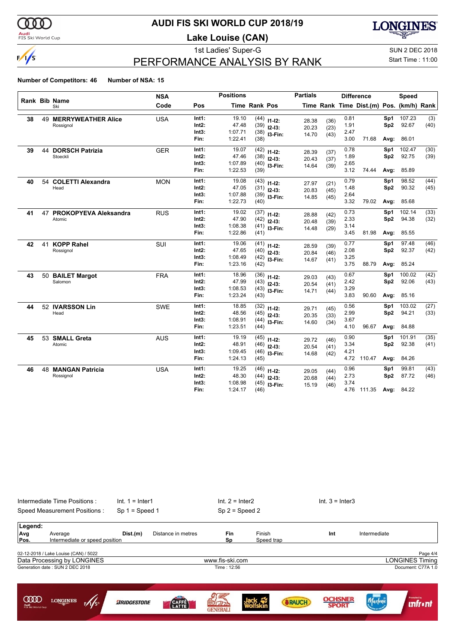

#### **Audi**<br>FIS Ski World Cup

# **AUDI FIS SKI WORLD CUP 2018/19**

**Lake Louise (CAN)**

**LONGINES** 

# PERFORMANCE ANALYSIS BY RANK

#### 1st Ladies' Super-G Super-G SUN 2 DEC 2018 Start Time : 11:00

|    |    |                              | <b>NSA</b> |       | <b>Positions</b> |               |                | <b>Partials</b> |      |      | <b>Difference</b>                        |                 | <b>Speed</b> |      |
|----|----|------------------------------|------------|-------|------------------|---------------|----------------|-----------------|------|------|------------------------------------------|-----------------|--------------|------|
|    |    | <b>Rank Bib Name</b><br>Ski  | Code       | Pos   |                  | Time Rank Pos |                |                 |      |      | Time Rank Time Dist.(m) Pos. (km/h) Rank |                 |              |      |
| 38 |    | <b>49 MERRYWEATHER Alice</b> | <b>USA</b> | Int1: | 19.10            |               | $(44)$ 11-12:  | 28.38           | (36) | 0.81 |                                          | Sp1             | 107.23       | (3)  |
|    |    | Rossignol                    |            | Int2: | 47.48            |               | $(39)$ 12-13:  | 20.23           | (23) | 1.91 |                                          | Sp <sub>2</sub> | 92.67        | (40) |
|    |    |                              |            | Int3: | 1:07.71          |               | $(38)$ 13-Fin: | 14.70           | (43) | 2.47 |                                          |                 |              |      |
|    |    |                              |            | Fin:  | 1:22.41          | (38)          |                |                 |      | 3.00 | 71.68                                    | Avg:            | 86.01        |      |
| 39 |    | <b>44 DORSCH Patrizia</b>    | <b>GER</b> | Int1: | 19.07            |               | $(42)$ 11-12:  | 28.39           | (37) | 0.78 |                                          | Sp1             | 102.47       | (30) |
|    |    | Stoeckli                     |            | Int2: | 47.46            |               | $(38)$ 12-13:  | 20.43           | (37) | 1.89 |                                          | Sp <sub>2</sub> | 92.75        | (39) |
|    |    |                              |            | Int3: | 1:07.89          |               | $(40)$ 13-Fin: | 14.64           | (39) | 2.65 |                                          |                 |              |      |
|    |    |                              |            | Fin:  | 1:22.53          | (39)          |                |                 |      | 3.12 | 74.44                                    | Avg:            | 85.89        |      |
| 40 | 54 | <b>COLETTI Alexandra</b>     | <b>MON</b> | Int1: | 19.08            |               | $(43)$ 11-12:  | 27.97           | (21) | 0.79 |                                          | Sp1             | 98.52        | (44) |
|    |    | Head                         |            | Int2: | 47.05            |               | $(31)$ 12-13:  | 20.83           | (45) | 1.48 |                                          | Sp <sub>2</sub> | 90.32        | (45) |
|    |    |                              |            | Int3: | 1:07.88          |               | $(39)$ 13-Fin: | 14.85           | (45) | 2.64 |                                          |                 |              |      |
|    |    |                              |            | Fin:  | 1:22.73          | (40)          |                |                 |      | 3.32 | 79.02                                    | Avg:            | 85.68        |      |
| 41 | 47 | PROKOPYEVA Aleksandra        | <b>RUS</b> | Int1: | 19.02            |               | $(37)$ 11-12:  | 28.88           | (42) | 0.73 |                                          | Sp1             | 102.14       | (33) |
|    |    | Atomic                       |            | Int2: | 47.90            |               | $(42)$ 12-13:  | 20.48           | (39) | 2.33 |                                          | Sp <sub>2</sub> | 94.38        | (32) |
|    |    |                              |            | Int3: | 1:08.38          |               | $(41)$ 13-Fin: | 14.48           | (29) | 3.14 |                                          |                 |              |      |
|    |    |                              |            | Fin:  | 1:22.86          | (41)          |                |                 |      | 3.45 | 81.98                                    | Avg:            | 85.55        |      |
| 42 | 41 | <b>KOPP Rahel</b>            | SUI        | Int1: | 19.06            |               | $(41)$ 11-12:  | 28.59           | (39) | 0.77 |                                          | Sp1             | 97.48        | (46) |
|    |    | Rossignol                    |            | Int2: | 47.65            |               | $(40)$ 12-13:  | 20.84           | (46) | 2.08 |                                          | Sp <sub>2</sub> | 92.37        | (42) |
|    |    |                              |            | Int3: | 1:08.49          |               | $(42)$ 13-Fin: | 14.67           | (41) | 3.25 |                                          |                 |              |      |
|    |    |                              |            | Fin:  | 1:23.16          | (42)          |                |                 |      | 3.75 | 88.79                                    | Avg:            | 85.24        |      |
| 43 |    | 50 BAILET Margot             | <b>FRA</b> | Int1: | 18.96            |               | $(36)$ 11-12:  | 29.03           | (43) | 0.67 |                                          | Sp1             | 100.02       | (42) |
|    |    | Salomon                      |            | Int2: | 47.99            |               | $(43)$ 12-13:  | 20.54           | (41) | 2.42 |                                          | Sp <sub>2</sub> | 92.06        | (43) |
|    |    |                              |            | Int3: | 1:08.53          |               | $(43)$ 13-Fin: | 14.71           | (44) | 3.29 |                                          |                 |              |      |
|    |    |                              |            | Fin:  | 1:23.24          | (43)          |                |                 |      | 3.83 | 90.60                                    | Avg:            | 85.16        |      |
| 44 |    | 52 IVARSSON Lin              | SWE        | Int1: | 18.85            |               | $(32)$ 11-12:  | 29.71           | (45) | 0.56 |                                          | Sp1             | 103.02       | (27) |
|    |    | Head                         |            | Int2: | 48.56            |               | $(45)$ 12-13:  | 20.35           | (33) | 2.99 |                                          | Sp <sub>2</sub> | 94.21        | (33) |
|    |    |                              |            | Int3: | 1:08.91          |               | $(44)$ 13-Fin: | 14.60           | (34) | 3.67 |                                          |                 |              |      |
|    |    |                              |            | Fin:  | 1:23.51          | (44)          |                |                 |      | 4.10 | 96.67                                    | Avg:            | 84.88        |      |
| 45 |    | 53 SMALL Greta               | <b>AUS</b> | Int1: | 19.19            |               | $(45)$ 11-12:  | 29.72           | (46) | 0.90 |                                          | Sp1             | 101.91       | (35) |
|    |    | Atomic                       |            | Int2: | 48.91            |               | $(46)$ 12-13:  | 20.54           | (41) | 3.34 |                                          | Sp <sub>2</sub> | 92.38        | (41) |
|    |    |                              |            | Int3: | 1:09.45          |               | $(46)$ 13-Fin: | 14.68           | (42) | 4.21 |                                          |                 |              |      |
|    |    |                              |            | Fin:  | 1:24.13          | (45)          |                |                 |      |      | 4.72 110.47                              | Avg:            | 84.26        |      |
| 46 |    | <b>48 MANGAN Patricia</b>    | <b>USA</b> | Int1: | 19.25            |               | $(46)$ 11-12:  | 29.05           | (44) | 0.96 |                                          | Sp1             | 99.81        | (43) |
|    |    | Rossignol                    |            | Int2: | 48.30            |               | $(44)$ 12-13:  | 20.68           | (44) | 2.73 |                                          | Sp <sub>2</sub> | 87.72        | (46) |
|    |    |                              |            | Int3: | 1:08.98          | (45)          | I3-Fin:        | 15.19           | (46) | 3.74 |                                          |                 |              |      |
|    |    |                              |            | Fin:  | 1:24.17          | (46)          |                |                 |      |      | 4.76 111.35                              | Avg:            | 84.22        |      |

|                                          | Intermediate Time Positions:<br>Speed Measurement Positions:                                            | $Int. 1 = Inter1$<br>$Sp 1 = Speed 1$ |                    | $Int. 2 = Inter2$              | $Sp 2 = Speed 2$     |               | $Int. 3 = Inter3$              |              |                                                          |
|------------------------------------------|---------------------------------------------------------------------------------------------------------|---------------------------------------|--------------------|--------------------------------|----------------------|---------------|--------------------------------|--------------|----------------------------------------------------------|
| Legend:<br>Avg<br>Pos.                   | Average<br>Intermediate or speed position                                                               | Dist.(m)                              | Distance in metres | Fin<br>Sp                      | Finish<br>Speed trap |               | Int                            | Intermediate |                                                          |
|                                          | 02-12-2018 / Lake Louise (CAN) / 5022<br>Data Processing by LONGINES<br>Generation date: SUN 2 DEC 2018 |                                       |                    | www.fis-ski.com<br>Time: 12:56 |                      |               |                                |              | Page 4/4<br><b>LONGINES Timing</b><br>Document: C77A 1.0 |
| <b>COOD</b><br>Audi<br>FIS Ski World Cup | $\mathscr{M}_{s^*}$<br><b>LONGINES</b>                                                                  | <b>ARIDGESTONE</b>                    | CAFFÈ              | 93<br><b>GENERALI</b>          |                      | <b>SRAUCH</b> | <b>OCHSNEP</b><br><b>SPORT</b> | Marlene      | Promoted by<br><b>unfront</b>                            |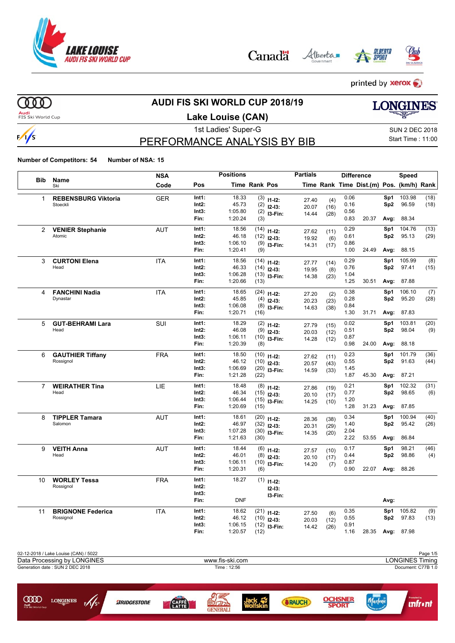

Alberta Canadä





printed by **xerox** 

000

 $\frac{1}{s}$ 

**COOD** 

LONGINES

 $\frac{1}{5}$ 

**BRIDGESTONE** 

## **AUDI FIS SKI WORLD CUP 2018/19**

**Audi**<br>FIS Ski World Cup

### **Lake Louise (CAN)**

1st Ladies' Super-G Super-G SUN 2 DEC 2018

**LONGINES** 

### PERFORMANCE ANALYSIS BY BIB

Start Time : 11:00

**Number of Competitors: 54 Number of NSA: 15**

| <b>Bib</b>     |                                       | <b>NSA</b> |                   | <b>Positions</b>   |                      |                         | <b>Partials</b> |              |              | <b>Difference</b>                        |                 | Speed            |          |
|----------------|---------------------------------------|------------|-------------------|--------------------|----------------------|-------------------------|-----------------|--------------|--------------|------------------------------------------|-----------------|------------------|----------|
|                | <b>Name</b><br>Ski                    | Code       | Pos               |                    | <b>Time Rank Pos</b> |                         |                 |              |              | Time Rank Time Dist.(m) Pos. (km/h) Rank |                 |                  |          |
| 1              | <b>REBENSBURG Viktoria</b>            | <b>GER</b> | Int1:             | 18.33              |                      | $(3)$ 11-12:            | 27.40           | (4)          | 0.06         |                                          | Sp1             | 103.98           | (18)     |
|                | Stoeckli                              |            | Int2:             | 45.73              |                      | $(2)$ 12-13:            | 20.07           | (16)         | 0.16         |                                          | Sp2             | 96.59            | (18)     |
|                |                                       |            | Int3:             | 1:05.80            |                      | $(2)$ 13-Fin:           | 14.44           | (28)         | 0.56         |                                          |                 |                  |          |
|                |                                       |            | Fin:              | 1:20.24            | (3)                  |                         |                 |              | 0.83         | 20.37                                    | Avg:            | 88.34            |          |
| 2              | <b>VENIER Stephanie</b>               | <b>AUT</b> | Int1:             | 18.56              | (14)                 | $11 - 12$ :             | 27.62           | (11)         | 0.29         |                                          | Sp1             | 104.76           | (13)     |
|                | Atomic                                |            | Int2:             | 46.18              | (12)                 | $12 - 13:$              | 19.92           | (6)          | 0.61         |                                          | Sp2             | 95.13            | (29)     |
|                |                                       |            | Int3:<br>Fin:     | 1:06.10<br>1:20.41 | (9)                  | $(9)$ 13-Fin:           | 14.31           | (17)         | 0.86<br>1.00 | 24.49                                    | Avg:            | 88.15            |          |
| 3              | <b>CURTONI Elena</b>                  | <b>ITA</b> | Int1:             | 18.56              | (14)                 |                         |                 |              | 0.29         |                                          | Sp1             | 105.99           | (8)      |
|                | Head                                  |            | Int2:             | 46.33              | (14)                 | $11 - 12$ :<br>$12-13:$ | 27.77<br>19.95  | (14)         | 0.76         |                                          | Sp2             | 97.41            | (15)     |
|                |                                       |            | Int3:             | 1:06.28            |                      | $(13)$ 13-Fin:          | 14.38           | (8)<br>(23)  | 1.04         |                                          |                 |                  |          |
|                |                                       |            | Fin:              | 1:20.66            | (13)                 |                         |                 |              | 1.25         | 30.51                                    | Avg:            | 87.88            |          |
| 4              | <b>FANCHINI Nadia</b>                 | <b>ITA</b> | Int1:             | 18.65              | (24)                 | $11 - 12$ :             | 27.20           | (2)          | 0.38         |                                          | Sp1             | 106.10           | (7)      |
|                | Dynastar                              |            | Int2:             | 45.85              | (4)                  | $12-13:$                | 20.23           | (23)         | 0.28         |                                          | Sp2             | 95.20            | (28)     |
|                |                                       |            | Int3:             | 1:06.08            |                      | $(8)$ 13-Fin:           | 14.63           | (38)         | 0.84         |                                          |                 |                  |          |
|                |                                       |            | Fin:              | 1:20.71            | (16)                 |                         |                 |              | 1.30         | 31.71                                    | Avg:            | 87.83            |          |
| 5              | <b>GUT-BEHRAMI Lara</b>               | SUI        | Int1:             | 18.29              | (2)                  | $11-12:$                | 27.79           | (15)         | 0.02         |                                          | Sp1             | 103.81           | (20)     |
|                | Head                                  |            | $Int2$ :          | 46.08              |                      | $(9)$ 12-13:            | 20.03           | (12)         | 0.51         |                                          | Sp <sub>2</sub> | 98.04            | (9)      |
|                |                                       |            | Int3:             | 1:06.11            |                      | $(10)$ 13-Fin:          | 14.28           | (12)         | 0.87         |                                          |                 |                  |          |
|                |                                       |            | Fin:              | 1:20.39            | (8)                  |                         |                 |              | 0.98         | 24.00                                    | Avg:            | 88.18            |          |
| 6              | <b>GAUTHIER Tiffany</b>               | <b>FRA</b> | Int1:             | 18.50              | (10)                 | $11 - 12$ :             | 27.62           | (11)         | 0.23         |                                          | Sp1             | 101.79           | (36)     |
|                | Rossignol                             |            | $Int2$ :<br>Int3: | 46.12<br>1:06.69   |                      | $(10)$ 12-13:           | 20.57           | (43)         | 0.55         |                                          | Sp2             | 91.63            | (44)     |
|                |                                       |            | Fin:              | 1:21.28            | (22)                 | $(20)$ 13-Fin:          | 14.59           | (33)         | 1.45<br>1.87 | 45.30                                    |                 | 87.21            |          |
|                |                                       |            |                   |                    |                      |                         |                 |              |              |                                          | Avg:            |                  |          |
| $\overline{7}$ | <b>WEIRATHER Tina</b><br>Head         | <b>LIE</b> | Int1:             | 18.48              |                      | $(8)$ 11-12:            | 27.86           | (19)         | 0.21         |                                          | Sp1             | 102.32<br>98.65  | (31)     |
|                |                                       |            | Int2:<br>Int3:    | 46.34<br>1:06.44   |                      | $(15)$ 12-13:           | 20.10           | (17)         | 0.77<br>1.20 |                                          | Sp2             |                  | (6)      |
|                |                                       |            | Fin:              | 1:20.69            | (15)                 | $(15)$ 13-Fin:          | 14.25           | (10)         | 1.28         | 31.23                                    | Avg:            | 87.85            |          |
| 8              | <b>TIPPLER Tamara</b>                 | <b>AUT</b> | Int1:             | 18.61              | (20)                 | $11 - 12$ :             |                 |              | 0.34         |                                          | Sp1             | 100.94           | (40)     |
|                | Salomon                               |            | Int2:             | 46.97              |                      | $(32)$ 12-13:           | 28.36           | (38)         | 1.40         |                                          | Sp <sub>2</sub> | 95.42            | (26)     |
|                |                                       |            | Int3:             | 1:07.28            |                      | $(30)$ 13-Fin:          | 20.31<br>14.35  | (29)<br>(20) | 2.04         |                                          |                 |                  |          |
|                |                                       |            | Fin:              | 1:21.63            | (30)                 |                         |                 |              | 2.22         | 53.55                                    | Avg:            | 86.84            |          |
| 9              | <b>VEITH Anna</b>                     | <b>AUT</b> | Int1:             | 18.44              | (6)                  | $11 - 12$ :             | 27.57           | (10)         | 0.17         |                                          | Sp1             | 98.21            | (46)     |
|                | Head                                  |            | $Int2$ :          | 46.01              |                      | $(8)$ 12-13:            | 20.10           | (17)         | 0.44         |                                          | Sp2             | 98.86            | (4)      |
|                |                                       |            | Int3:             | 1:06.11            |                      | $(10)$ 13-Fin:          | 14.20           | (7)          | 0.87         |                                          |                 |                  |          |
|                |                                       |            | Fin:              | 1:20.31            | (6)                  |                         |                 |              | 0.90         |                                          |                 | 22.07 Avg: 88.26 |          |
| 10             | <b>WORLEY Tessa</b>                   | <b>FRA</b> | Int1:             | 18.27              |                      | $(1)$ 11-12:            |                 |              |              |                                          |                 |                  |          |
|                | Rossignol                             |            | Int2:             |                    |                      | $12-13:$                |                 |              |              |                                          |                 |                  |          |
|                |                                       |            | Int3:<br>Fin:     | <b>DNF</b>         |                      | I3-Fin:                 |                 |              |              |                                          | Avg:            |                  |          |
| 11             | <b>BRIGNONE Federica</b>              | <b>ITA</b> | Int1:             | 18.62              |                      | $(21)$ 11-12:           |                 |              | 0.35         |                                          | Sp1             | 105.82           | (9)      |
|                | Rossignol                             |            | Int2:             | 46.12              |                      | $(10)$ 12-13:           | 27.50           | (6)          | 0.55         |                                          | Sp2             | 97.83            | (13)     |
|                |                                       |            | Int3:             | 1:06.15            | (12)                 | I3-Fin:                 | 20.03<br>14.42  | (12)<br>(26) | 0.91         |                                          |                 |                  |          |
|                |                                       |            | Fin:              | 1:20.57            | (12)                 |                         |                 |              | 1.16         | 28.35                                    |                 | Avg: 87.98       |          |
|                |                                       |            |                   |                    |                      |                         |                 |              |              |                                          |                 |                  |          |
|                |                                       |            |                   |                    |                      |                         |                 |              |              |                                          |                 |                  |          |
|                | 02-12-2018 / Lake Louise (CAN) / 5022 |            |                   |                    |                      |                         |                 |              |              |                                          |                 |                  | Page 1/5 |

*<u>infront</u>* 

Marlene

**SRAUCH** 



**GENERAL** 

**CAFFE**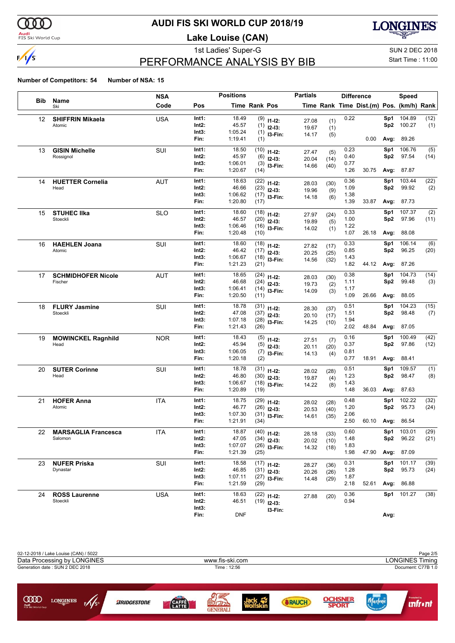

#### **Audi**<br>FIS Ski World Cup

# **AUDI FIS SKI WORLD CUP 2018/19**

**Lake Louise (CAN)**



# PERFORMANCE ANALYSIS BY BIB

1st Ladies' Super-G Super-G SUN 2 DEC 2018 Start Time : 11:00

|                   |                                    | <b>NSA</b> |                | <b>Positions</b>   |                      |                                 | <b>Partials</b> |              | <b>Difference</b> |                                          |                        | <b>Speed</b>    |             |
|-------------------|------------------------------------|------------|----------------|--------------------|----------------------|---------------------------------|-----------------|--------------|-------------------|------------------------------------------|------------------------|-----------------|-------------|
| <b>Bib</b>        | Name<br>Ski                        | Code       | Pos            |                    | <b>Time Rank Pos</b> |                                 |                 |              |                   | Time Rank Time Dist.(m) Pos. (km/h) Rank |                        |                 |             |
| $12 \overline{ }$ | <b>SHIFFRIN Mikaela</b>            | <b>USA</b> | Int1:          | 18.49              |                      | $(9)$ 11-12:                    | 27.08           | (1)          | 0.22              |                                          | Sp1                    | 104.89          | (12)        |
|                   | Atomic                             |            | Int2:          | 45.57              |                      | $(1)$ 12-13:                    | 19.67           | (1)          |                   |                                          | Sp2                    | 100.27          | (1)         |
|                   |                                    |            | Int3:<br>Fin:  | 1:05.24<br>1:19.41 | (1)                  | $(1)$ 13-Fin:                   | 14.17           | (5)          |                   | 0.00                                     | Avg:                   | 89.26           |             |
|                   |                                    |            |                |                    |                      |                                 |                 |              |                   |                                          |                        |                 |             |
| 13                | <b>GISIN Michelle</b><br>Rossignol | SUI        | Int1:<br>Int2: | 18.50<br>45.97     |                      | $(10)$ 11-12:                   | 27.47           | (5)          | 0.23<br>0.40      |                                          | Sp1<br>Sp <sub>2</sub> | 106.76<br>97.54 | (5)<br>(14) |
|                   |                                    |            | Int3:          | 1:06.01            |                      | $(6)$ 12-13:<br>$(3)$ 13-Fin:   | 20.04           | (14)         | 0.77              |                                          |                        |                 |             |
|                   |                                    |            | Fin:           | 1:20.67            | (14)                 |                                 | 14.66           | (40)         | 1.26              | 30.75                                    | Avg:                   | 87.87           |             |
| 14                | <b>HUETTER Cornelia</b>            | AUT        | Int1:          | 18.63              |                      | $(22)$ 11-12:                   | 28.03           | (30)         | 0.36              |                                          | Sp1                    | 103.44          | (22)        |
|                   | Head                               |            | Int2:          | 46.66              |                      | $(23)$ 12-13:                   | 19.96           | (9)          | 1.09              |                                          | Sp2                    | 99.92           | (2)         |
|                   |                                    |            | Int3:          | 1:06.62            |                      | $(17)$ 13-Fin:                  | 14.18           | (6)          | 1.38              |                                          |                        |                 |             |
|                   |                                    |            | Fin:           | 1:20.80            | (17)                 |                                 |                 |              | 1.39              | 33.87                                    | Avg:                   | 87.73           |             |
| 15                | <b>STUHEC IIka</b><br>Stoeckli     | <b>SLO</b> | Int1:<br>Int2: | 18.60<br>46.57     |                      | $(18)$ 11-12:                   | 27.97           | (24)         | 0.33<br>1.00      |                                          | Sp1<br>Sp <sub>2</sub> | 107.37<br>97.96 | (2)         |
|                   |                                    |            | Int3:          | 1:06.46            |                      | $(20)$ 12-13:<br>$(16)$ 13-Fin: | 19.89           | (5)          | 1.22              |                                          |                        |                 | (11)        |
|                   |                                    |            | Fin:           | 1:20.48            | (10)                 |                                 | 14.02           | (1)          | 1.07              | 26.18                                    |                        | Avg: 88.08      |             |
| 16                | <b>HAEHLEN Joana</b>               | SUI        | Int1:          | 18.60              |                      | $(18)$ 11-12:                   | 27.82           | (17)         | 0.33              |                                          | Sp1                    | 106.14          | (6)         |
|                   | Atomic                             |            | Int2:          | 46.42              |                      | $(17)$ 12-13:                   | 20.25           | (25)         | 0.85              |                                          | Sp2                    | 96.25           | (20)        |
|                   |                                    |            | Int3:          | 1:06.67            |                      | $(18)$ 13-Fin:                  | 14.56           | (32)         | 1.43              |                                          |                        |                 |             |
|                   |                                    |            | Fin:           | 1:21.23            | (21)                 |                                 |                 |              | 1.82              | 44.12                                    | Avg:                   | 87.26           |             |
| 17                | <b>SCHMIDHOFER Nicole</b>          | AUT        | Int1:          | 18.65              |                      | $(24)$ 11-12:                   | 28.03           | (30)         | 0.38              |                                          | Sp1                    | 104.73          | (14)        |
|                   | Fischer                            |            | Int2:          | 46.68              |                      | $(24)$ 12-13:                   | 19.73           | (2)          | 1.11              |                                          | Sp <sub>2</sub>        | 99.48           | (3)         |
|                   |                                    |            | Int3:<br>Fin:  | 1:06.41<br>1:20.50 | (11)                 | $(14)$ 13-Fin:                  | 14.09           | (3)          | 1.17<br>1.09      | 26.66                                    | Avg:                   | 88.05           |             |
| 18                | <b>FLURY Jasmine</b>               | <b>SUI</b> | Int1:          | 18.78              |                      | $(31)$ 11-12:                   |                 |              | 0.51              |                                          | Sp1                    | 104.23          | (15)        |
|                   | Stoeckli                           |            | Int2:          | 47.08              |                      | $(37)$ 12-13:                   | 28.30           | (37)         | 1.51              |                                          | Sp <sub>2</sub>        | 98.48           | (7)         |
|                   |                                    |            | Int3:          | 1:07.18            |                      | $(28)$ 13-Fin:                  | 20.10<br>14.25  | (17)<br>(10) | 1.94              |                                          |                        |                 |             |
|                   |                                    |            | Fin:           | 1:21.43            | (26)                 |                                 |                 |              | 2.02              | 48.84                                    | Avg:                   | 87.05           |             |
| 19                | <b>MOWINCKEL Ragnhild</b>          | <b>NOR</b> | Int1:          | 18.43              |                      | $(5)$ 11-12:                    | 27.51           | (7)          | 0.16              |                                          | Sp1                    | 100.49          | (42)        |
|                   | Head                               |            | Int2:          | 45.94              |                      | $(5)$ 12-13:                    | 20.11           | (20)         | 0.37              |                                          | Sp <sub>2</sub>        | 97.86           | (12)        |
|                   |                                    |            | Int3:          | 1:06.05            |                      | $(7)$ 13-Fin:                   | 14.13           | (4)          | 0.81              |                                          |                        |                 |             |
|                   |                                    |            | Fin:           | 1:20.18            | (2)                  |                                 |                 |              | 0.77              | 18.91                                    | Avg:                   | 88.41           |             |
| 20                | <b>SUTER Corinne</b><br>Head       | SUI        | Int1:<br>Int2: | 18.78<br>46.80     |                      | $(31)$ 11-12:                   | 28.02           | (28)         | 0.51<br>1.23      |                                          | Sp1                    | 109.57<br>98.47 | (1)         |
|                   |                                    |            | Int3:          | 1:06.67            |                      | $(30)$ 12-13:<br>$(18)$ 13-Fin: | 19.87           | (4)          | 1.43              |                                          | Sp <sub>2</sub>        |                 | (8)         |
|                   |                                    |            | Fin:           | 1:20.89            | (19)                 |                                 | 14.22           | (8)          | 1.48              | 36.03                                    | Avg:                   | 87.63           |             |
| 21                | <b>HOFER Anna</b>                  | <b>ITA</b> | Int1:          | 18.75              |                      | $(29)$ 11-12:                   | 28.02           | (28)         | 0.48              |                                          | Sp1                    | 102.22          | (32)        |
|                   | Atomic                             |            | Int2:          | 46.77              |                      | $(26)$ 12-13:                   | 20.53           | (40)         | 1.20              |                                          | Sp <sub>2</sub>        | 95.73           | (24)        |
|                   |                                    |            | Int3:          | 1:07.30            |                      | $(31)$ 13-Fin:                  | 14.61           | (35)         | 2.06              |                                          |                        |                 |             |
|                   |                                    |            | Fin:           | 1:21.91            | (34)                 |                                 |                 |              | 2.50              | 60.10                                    |                        | Avg: 86.54      |             |
| 22                | <b>MARSAGLIA Francesca</b>         | <b>ITA</b> | Int1:          | 18.87              |                      | $(40)$ 11-12:                   | 28.18           | (33)         | 0.60              |                                          | Sp1                    | 103.01          | (29)        |
|                   | Salomon                            |            | Int2:          | 47.05              |                      | $(34)$ 12-13:                   | 20.02           | (10)         | 1.48              |                                          | Sp2                    | 96.22           | (21)        |
|                   |                                    |            | Int3:<br>Fin:  | 1:07.07<br>1:21.39 | (25)                 | $(26)$ 13-Fin:                  | 14.32           | (18)         | 1.83<br>1.98      | 47.90                                    |                        | Avg: 87.09      |             |
| 23                | <b>NUFER Priska</b>                | SUI        | Int1:          | 18.58              |                      | $(17)$ 11-12:                   |                 |              | 0.31              |                                          | Sp1                    | 101.17          | (39)        |
|                   | Dynastar                           |            | Int2:          | 46.85              |                      | $(31)$ 12-13:                   | 28.27<br>20.26  | (36)<br>(26) | 1.28              |                                          | Sp2                    | 95.73           | (24)        |
|                   |                                    |            | Int3:          | 1:07.11            |                      | $(27)$ 13-Fin:                  | 14.48           | (29)         | 1.87              |                                          |                        |                 |             |
|                   |                                    |            | Fin:           | 1:21.59            | (29)                 |                                 |                 |              | 2.18              | 52.61                                    |                        | Avg: 86.88      |             |
| 24                | <b>ROSS Laurenne</b>               | <b>USA</b> | Int1:          | 18.63              |                      | $(22)$ 11-12:                   | 27.88           | (20)         | 0.36              |                                          |                        | Sp1 101.27      | (38)        |
|                   | Stoeckli                           |            | Int2:          | 46.51              |                      | $(19)$ 12-13:                   |                 |              | 0.94              |                                          |                        |                 |             |
|                   |                                    |            | Int3:<br>Fin:  | <b>DNF</b>         |                      | I3-Fin:                         |                 |              |                   |                                          | Avg:                   |                 |             |
|                   |                                    |            |                |                    |                      |                                 |                 |              |                   |                                          |                        |                 |             |

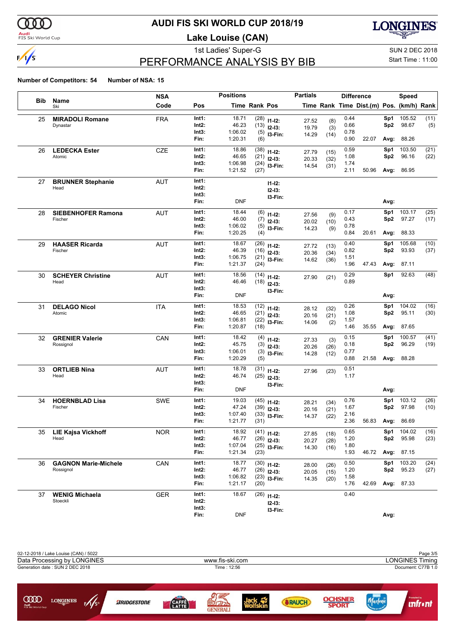

#### **Audi**<br>FIS Ski World Cup

# **AUDI FIS SKI WORLD CUP 2018/19**

**Lake Louise (CAN)**



# PERFORMANCE ANALYSIS BY BIB

1st Ladies' Super-G Super-G SUN 2 DEC 2018

### Start Time : 11:00

|            |                                   | <b>NSA</b> |                | <b>Positions</b>   |                      |                     | <b>Partials</b> |              | <b>Difference</b> |                                          |                        | Speed             |              |
|------------|-----------------------------------|------------|----------------|--------------------|----------------------|---------------------|-----------------|--------------|-------------------|------------------------------------------|------------------------|-------------------|--------------|
| <b>Bib</b> | Name<br>Ski                       | Code       | Pos            |                    | <b>Time Rank Pos</b> |                     |                 |              |                   | Time Rank Time Dist.(m) Pos. (km/h) Rank |                        |                   |              |
| 25         | <b>MIRADOLI Romane</b>            | <b>FRA</b> | Int1:          | 18.71              | (28)                 | $11 - 12$ :         | 27.52           | (8)          | 0.44              |                                          | Sp1                    | 105.52            | (11)         |
|            | Dynastar                          |            | Int2:          | 46.23              |                      | $(13)$ 12-13:       | 19.79           | (3)          | 0.66              |                                          | Sp2                    | 98.67             | (5)          |
|            |                                   |            | Int3:          | 1:06.02            |                      | $(5)$ 13-Fin:       | 14.29           | (14)         | 0.78              |                                          |                        |                   |              |
|            |                                   |            | Fin:           | 1:20.31            | (6)                  |                     |                 |              | 0.90              | 22.07                                    | Avg:                   | 88.26             |              |
| 26         | <b>LEDECKA Ester</b><br>Atomic    | <b>CZE</b> | Int1:<br>Int2: | 18.86<br>46.65     |                      | $(38)$ 11-12:       | 27.79           | (15)         | 0.59<br>1.08      |                                          | Sp1<br>Sp <sub>2</sub> | 103.50<br>96.16   | (21)         |
|            |                                   |            | Int3:          | 1:06.98            |                      | $(21)$ 12-13:       | 20.33           | (32)         | 1.74              |                                          |                        |                   | (22)         |
|            |                                   |            | Fin:           | 1:21.52            | (27)                 | $(24)$ 13-Fin:      | 14.54           | (31)         | 2.11              | 50.96                                    |                        | Avg: 86.95        |              |
| 27         | <b>BRUNNER Stephanie</b>          | AUT        | Int1:          |                    |                      | $11 - 12$ :         |                 |              |                   |                                          |                        |                   |              |
|            | Head                              |            | Int2:          |                    |                      | $12-13:$            |                 |              |                   |                                          |                        |                   |              |
|            |                                   |            | Int3:          |                    |                      | I3-Fin:             |                 |              |                   |                                          |                        |                   |              |
|            |                                   |            | Fin:           | <b>DNF</b>         |                      |                     |                 |              |                   |                                          | Avg:                   |                   |              |
| 28         | <b>SIEBENHOFER Ramona</b>         | AUT        | Int1:          | 18.44              |                      | $(6)$ 11-12:        | 27.56           | (9)          | 0.17              |                                          | Sp1                    | 103.17            | (25)         |
|            | Fischer                           |            | Int2:          | 46.00              |                      | $(7)$ 12-13:        | 20.02           | (10)         | 0.43              |                                          | Sp <sub>2</sub>        | 97.27             | (17)         |
|            |                                   |            | Int3:<br>Fin:  | 1:06.02<br>1:20.25 | (4)                  | $(5)$ 13-Fin:       | 14.23           | (9)          | 0.78<br>0.84      | 20.61                                    | Avg:                   | 88.33             |              |
| 29         | <b>HAASER Ricarda</b>             | <b>AUT</b> | Int1:          | 18.67              |                      | $(26)$ 11-12:       |                 |              | 0.40              |                                          | Sp1                    | 105.68            | (10)         |
|            | Fischer                           |            | Int2:          | 46.39              |                      | $(16)$ 12-13:       | 27.72<br>20.36  | (13)         | 0.82              |                                          | Sp2                    | 93.93             | (37)         |
|            |                                   |            | Int3:          | 1:06.75            |                      | $(21)$ 13-Fin:      | 14.62           | (34)<br>(36) | 1.51              |                                          |                        |                   |              |
|            |                                   |            | Fin:           | 1:21.37            | (24)                 |                     |                 |              | 1.96              | 47.43                                    | Avg:                   | 87.11             |              |
| 30         | <b>SCHEYER Christine</b>          | <b>AUT</b> | Int1:          | 18.56              | (14)                 | $11 - 12$ :         | 27.90           | (21)         | 0.29              |                                          | Sp1                    | 92.63             | (48)         |
|            | Head                              |            | Int2:          | 46.46              |                      | $(18)$ 12-13:       |                 |              | 0.89              |                                          |                        |                   |              |
|            |                                   |            | Int3:          | <b>DNF</b>         |                      | I3-Fin:             |                 |              |                   |                                          |                        |                   |              |
|            |                                   |            | Fin:           |                    |                      |                     |                 |              |                   |                                          | Avg:                   |                   |              |
| 31         | <b>DELAGO Nicol</b><br>Atomic     | <b>ITA</b> | Int1:<br>Int2: | 18.53<br>46.65     |                      | $(12)$ 11-12:       | 28.12           | (32)         | 0.26              |                                          | Sp1                    | 104.02            | (16)         |
|            |                                   |            | Int3:          | 1:06.81            |                      | $(21)$ 12-13:       | 20.16           | (21)         | 1.08<br>1.57      |                                          | Sp2                    | 95.11             | (30)         |
|            |                                   |            | Fin:           | 1:20.87            | (18)                 | $(22)$ 13-Fin:      | 14.06           | (2)          | 1.46              | 35.55                                    | Avg:                   | 87.65             |              |
| 32         | <b>GRENIER Valerie</b>            | CAN        | Int1:          | 18.42              | (4)                  | $11 - 12$ :         | 27.33           |              | 0.15              |                                          | Sp1                    | 100.57            | (41)         |
|            | Rossignol                         |            | Int2:          | 45.75              |                      | $(3)$ 12-13:        | 20.26           | (3)<br>(26)  | 0.18              |                                          | Sp <sub>2</sub>        | 96.29             | (19)         |
|            |                                   |            | Int3:          | 1:06.01            |                      | $(3)$ 13-Fin:       | 14.28           | (12)         | 0.77              |                                          |                        |                   |              |
|            |                                   |            | Fin:           | 1:20.29            | (5)                  |                     |                 |              | 0.88              | 21.58                                    |                        | Avg: 88.28        |              |
| 33         | <b>ORTLIEB Nina</b>               | AUT        | Int1:          | 18.78              | (31)                 | $11 - 12$ :         | 27.96           | (23)         | 0.51              |                                          |                        |                   |              |
|            | Head                              |            | Int2:<br>Int3: | 46.74              |                      | $(25)$ 12-13:       |                 |              | 1.17              |                                          |                        |                   |              |
|            |                                   |            | Fin:           | <b>DNF</b>         |                      | I3-Fin:             |                 |              |                   |                                          | Avg:                   |                   |              |
|            |                                   |            |                |                    |                      |                     |                 |              |                   |                                          |                        |                   |              |
| 34         | <b>HOERNBLAD Lisa</b><br>Fischer  | <b>SWE</b> | Int1:<br>Int2: | 19.03<br>47.24     | (39)                 | $(45)$ 11-12:       | 28.21           | (34)         | 0.76<br>1.67      |                                          | Sp1<br>Sp2             | 103.12<br>97.98   | (26)<br>(10) |
|            |                                   |            | Int3:          | 1:07.40            | (33)                 | $12-13:$<br>I3-Fin: | 20.16           | (21)         | 2.16              |                                          |                        |                   |              |
|            |                                   |            | Fin:           | 1:21.77            | (31)                 |                     | 14.37           | (22)         | 2.36              | 56.83                                    |                        | Avg: 86.69        |              |
|            | 35 LIE Kajsa Vickhoff             | <b>NOR</b> | Int1:          | 18.92              |                      | $(41)$ 11-12:       | 27.85           | (18)         | $0.65\,$          |                                          |                        | Sp1 104.02        | (16)         |
|            | Head                              |            | Int2:          | 46.77              |                      | $(26)$ 12-13:       | 20.27           | (28)         | 1.20              |                                          | Sp2                    | 95.98             | (23)         |
|            |                                   |            | Int3:          | 1:07.04            |                      | $(25)$ 13-Fin:      | 14.30           | (16)         | 1.80              |                                          |                        |                   |              |
|            |                                   |            | Fin:           | 1:21.34            | (23)                 |                     |                 |              | 1.93              | 46.72                                    |                        | <b>Avg: 87.15</b> |              |
| 36         | <b>GAGNON Marie-Michele</b>       | CAN        | Int1:          | 18.77              |                      | $(30)$ 11-12:       | 28.00           | (26)         | 0.50              |                                          | Sp1                    | 103.20            | (24)         |
|            | Rossignol                         |            | Int2:          | 46.77              |                      | $(26)$ 12-13:       | 20.05           | (15)         | 1.20              |                                          | Sp2                    | 95.23             | (27)         |
|            |                                   |            | Int3:<br>Fin:  | 1:06.82<br>1:21.17 | (20)                 | $(23)$ 13-Fin:      | 14.35           | (20)         | 1.58<br>1.76      | 42.69                                    |                        | Avg: 87.33        |              |
|            |                                   |            | Int1:          | 18.67              |                      |                     |                 |              | 0.40              |                                          |                        |                   |              |
| 37         | <b>WENIG Michaela</b><br>Stoeckli | <b>GER</b> | Int2:          |                    |                      | $(26)$ 11-12:       |                 |              |                   |                                          |                        |                   |              |
|            |                                   |            | Int3:          |                    |                      | $12-13:$<br>I3-Fin: |                 |              |                   |                                          |                        |                   |              |
|            |                                   |            | Fin:           | <b>DNF</b>         |                      |                     |                 |              |                   |                                          | Avg:                   |                   |              |

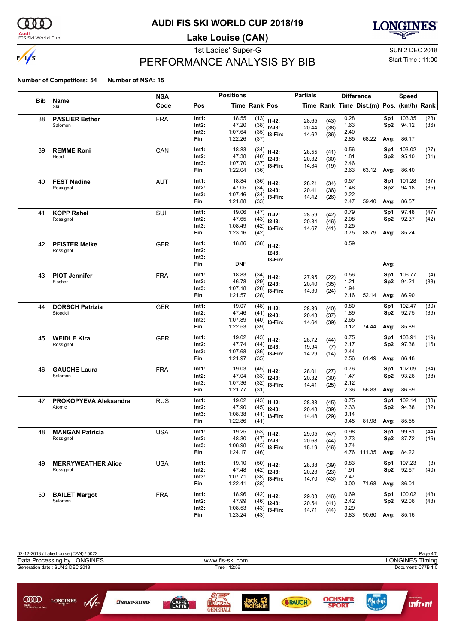

#### **Audi**<br>FIS Ski World Cup

# **AUDI FIS SKI WORLD CUP 2018/19**

**Lake Louise (CAN)**



# PERFORMANCE ANALYSIS BY BIB

1st Ladies' Super-G Super-G SUN 2 DEC 2018

### Start Time : 11:00

|     |                                 | <b>NSA</b> |                | <b>Positions</b>   |                      |                                 | <b>Partials</b> |      | <b>Difference</b> |                                          |            | <b>Speed</b>    |              |
|-----|---------------------------------|------------|----------------|--------------------|----------------------|---------------------------------|-----------------|------|-------------------|------------------------------------------|------------|-----------------|--------------|
| Bib | Name<br>Ski                     | Code       | Pos            |                    | <b>Time Rank Pos</b> |                                 |                 |      |                   | Time Rank Time Dist.(m) Pos. (km/h) Rank |            |                 |              |
| 38  | <b>PASLIER Esther</b>           | <b>FRA</b> | Int1:          | 18.55              |                      | $(13)$ 11-12:                   | 28.65           | (43) | 0.28              |                                          | Sp1        | 103.35          | (23)         |
|     | Salomon                         |            | Int2:          | 47.20              |                      | $(38)$ 12-13:                   | 20.44           | (38) | 1.63              |                                          | Sp2        | 94.12           | (36)         |
|     |                                 |            | Int3:          | 1:07.64            |                      | $(35)$ 13-Fin:                  | 14.62           | (36) | 2.40              |                                          |            |                 |              |
|     |                                 |            | Fin:           | 1:22.26            | (37)                 |                                 |                 |      | 2.85              | 68.22                                    | Avg:       | 86.17           |              |
| 39  | <b>REMME Roni</b>               | CAN        | Int1:          | 18.83              | (34)                 | $11 - 12$ :                     | 28.55           | (41) | 0.56              |                                          | Sp1        | 103.02          | (27)         |
|     | Head                            |            | Int2:          | 47.38              |                      | $(40)$ 12-13:                   | 20.32           | (30) | 1.81              |                                          | Sp2        | 95.10           | (31)         |
|     |                                 |            | Int3:<br>Fin:  | 1:07.70<br>1:22.04 | (36)                 | $(37)$ 13-Fin:                  | 14.34           | (19) | 2.46<br>2.63      | 63.12                                    | Avg:       | 86.40           |              |
| 40  | <b>FEST Nadine</b>              | <b>AUT</b> | Int1:          | 18.84              |                      | $(36)$ 11-12:                   |                 |      | 0.57              |                                          | Sp1        | 101.28          | (37)         |
|     | Rossignol                       |            | Int2:          | 47.05              |                      | $(34)$ 12-13:                   | 28.21           | (34) | 1.48              |                                          | Sp2        | 94.18           | (35)         |
|     |                                 |            | Int3:          | 1:07.46            |                      | $(34)$ 13-Fin:                  | 20.41<br>14.42  | (36) | 2.22              |                                          |            |                 |              |
|     |                                 |            | Fin:           | 1:21.88            | (33)                 |                                 |                 | (26) | 2.47              | 59.40                                    | Avg:       | 86.57           |              |
| 41  | <b>KOPP Rahel</b>               | SUI        | Int1:          | 19.06              | (47)                 | $11 - 12$ :                     | 28.59           | (42) | 0.79              |                                          | Sp1        | 97.48           | (47)         |
|     | Rossignol                       |            | Int2:          | 47.65              |                      | $(43)$ 12-13:                   | 20.84           | (46) | 2.08              |                                          | Sp2        | 92.37           | (42)         |
|     |                                 |            | Int3:          | 1:08.49            |                      | $(42)$ 13-Fin:                  | 14.67           | (41) | 3.25              |                                          |            |                 |              |
|     |                                 |            | Fin:           | 1:23.16            | (42)                 |                                 |                 |      | 3.75              | 88.79                                    | Avg:       | 85.24           |              |
| 42  | <b>PFISTER Meike</b>            | <b>GER</b> | Int1:          | 18.86              | (38)                 | $11 - 12$ :                     |                 |      | 0.59              |                                          |            |                 |              |
|     | Rossignol                       |            | Int2:          |                    |                      | $12-13:$                        |                 |      |                   |                                          |            |                 |              |
|     |                                 |            | Int3:          |                    |                      | I3-Fin:                         |                 |      |                   |                                          |            |                 |              |
|     |                                 |            | Fin:           | <b>DNF</b>         |                      |                                 |                 |      |                   |                                          | Avg:       |                 |              |
| 43  | <b>PIOT Jennifer</b>            | <b>FRA</b> | Int1:          | 18.83              | (34)                 | $11 - 12$ :                     | 27.95           | (22) | 0.56              |                                          | Sp1        | 106.77          | (4)          |
|     | Fischer                         |            | Int2:          | 46.78              | (29)                 | $12 - 13:$                      | 20.40           | (35) | 1.21              |                                          | Sp2        | 94.21           | (33)         |
|     |                                 |            | Int3:          | 1:07.18            |                      | $(28)$ 13-Fin:                  | 14.39           | (24) | 1.94              |                                          |            |                 |              |
|     |                                 |            | Fin:           | 1:21.57            | (28)                 |                                 |                 |      | 2.16              | 52.14                                    | Avg:       | 86.90           |              |
| 44  | <b>DORSCH Patrizia</b>          | GER        | Int1:          | 19.07              | (48)                 | $11 - 12$ :                     | 28.39           | (40) | 0.80              |                                          | Sp1        | 102.47          | (30)         |
|     | Stoeckli                        |            | Int2:          | 47.46              |                      | $(41)$ 12-13:                   | 20.43           | (37) | 1.89              |                                          | Sp2        | 92.75           | (39)         |
|     |                                 |            | Int3:<br>Fin:  | 1:07.89<br>1:22.53 | (39)                 | $(40)$ 13-Fin:                  | 14.64           | (39) | 2.65<br>3.12      | 74.44                                    | Avg:       | 85.89           |              |
|     |                                 |            |                |                    |                      |                                 |                 |      |                   |                                          |            |                 |              |
| 45  | <b>WEIDLE Kira</b>              | GER        | Int1:          | 19.02              |                      | $(43)$ 11-12:                   | 28.72           | (44) | 0.75              |                                          | Sp1        | 103.91          | (19)         |
|     | Rossignol                       |            | Int2:<br>Int3: | 47.74              |                      | $(44)$ 12-13:                   | 19.94           | (7)  | 2.17<br>2.44      |                                          | Sp2        | 97.38           | (16)         |
|     |                                 |            | Fin:           | 1:07.68<br>1:21.97 | (35)                 | $(36)$ 13-Fin:                  | 14.29           | (14) | 2.56              | 61.49                                    | Avg:       | 86.48           |              |
| 46  | <b>GAUCHE Laura</b>             | <b>FRA</b> | Int1:          | 19.03              |                      | $(45)$ 11-12:                   |                 |      | 0.76              |                                          | Sp1        | 102.09          | (34)         |
|     | Salomon                         |            | Int2:          | 47.04              |                      | $(33)$ 12-13:                   | 28.01           | (27) | 1.47              |                                          | Sp2        | 93.26           | (38)         |
|     |                                 |            | Int3:          | 1:07.36            |                      | $(32)$ 13-Fin:                  | 20.32           | (30) | 2.12              |                                          |            |                 |              |
|     |                                 |            | Fin:           | 1:21.77            | (31)                 |                                 | 14.41           | (25) | 2.36              | 56.83                                    | Avg:       | 86.69           |              |
| 47  | PROKOPYEVA Aleksandra           | <b>RUS</b> | Int1:          | 19.02              |                      | $(43)$ 11-12:                   | 28.88           | (45) | 0.75              |                                          | Sp1        | 102.14          | (33)         |
|     | Atomic                          |            | Int2:          | 47.90              |                      | $(45)$ 12-13:                   | 20.48           | (39) | 2.33              |                                          | Sp2        | 94.38           | (32)         |
|     |                                 |            | Int3:          | 1:08.38            |                      | $(41)$ 13-Fin:                  | 14.48           | (29) | 3.14              |                                          |            |                 |              |
|     |                                 |            | Fin:           | 1:22.86            | (41)                 |                                 |                 |      | 3.45              | 81.98                                    | Avg:       | 85.55           |              |
| 48  | <b>MANGAN Patricia</b>          | <b>USA</b> | Int1:          | 19.25              |                      | $(53)$ 11-12:                   | 29.05           | (47) | 0.98              |                                          | Sp1        | 99.81           | (44)         |
|     | Rossignol                       |            | Int2:          | 48.30              |                      | $(47)$ 12-13:                   | 20.68           | (44) | 2.73              |                                          | Sp2        | 87.72           | (46)         |
|     |                                 |            | Int3:          | 1:08.98            |                      | $(45)$ 13-Fin:                  | 15.19           | (46) | 3.74              |                                          |            |                 |              |
|     |                                 |            | Fin:           | 1:24.17            | (46)                 |                                 |                 |      |                   | 4.76 111.35                              |            | Avg: 84.22      |              |
| 49  | <b>MERRYWEATHER Alice</b>       | <b>USA</b> | Int1:          | 19.10              |                      | $(50)$ 11-12:                   | 28.38           | (39) | 0.83              |                                          | Sp1        | 107.23          | (3)          |
|     | Rossignol                       |            | Int2:          | 47.48              |                      | $(42)$ 12-13:                   | 20.23           | (23) | 1.91              |                                          | Sp2        | 92.67           | (40)         |
|     |                                 |            | Int3:<br>Fin:  | 1:07.71<br>1:22.41 | (38)                 | $(38)$ 13-Fin:                  | 14.70           | (43) | 2.47<br>3.00      | 71.68                                    |            | Avg: 86.01      |              |
|     |                                 |            |                |                    |                      |                                 |                 |      |                   |                                          |            |                 |              |
| 50  | <b>BAILET Margot</b><br>Salomon | <b>FRA</b> | Int1:<br>Int2: | 18.96<br>47.99     |                      | $(42)$ 11-12:                   | 29.03           | (46) | 0.69<br>2.42      |                                          | Sp1<br>Sp2 | 100.02<br>92.06 | (43)<br>(43) |
|     |                                 |            | Int3:          | 1:08.53            |                      | $(46)$ 12-13:<br>$(43)$ 13-Fin: | 20.54           | (41) | 3.29              |                                          |            |                 |              |
|     |                                 |            | Fin:           | 1:23.24            | (43)                 |                                 | 14.71           | (44) | 3.83              | 90.60 Avg: 85.16                         |            |                 |              |

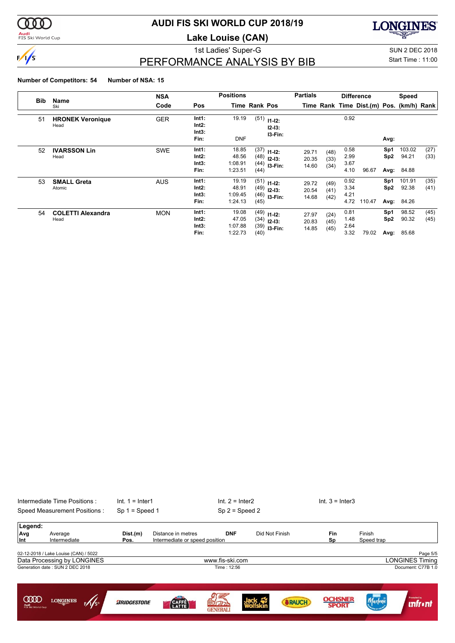

#### **Audi**<br>FIS Ski World Cup

# **AUDI FIS SKI WORLD CUP 2018/19**

**Lake Louise (CAN)**

1st Ladies' Super-G Super-G SUN 2 DEC 2018

**LONGINES** 

# PERFORMANCE ANALYSIS BY BIB

Start Time : 11:00

| <b>Bib</b> |                                  | <b>NSA</b> |                                 | <b>Positions</b>                     |                      |                                                  | <b>Partials</b>         |                      |                              | <b>Difference</b>                        |                    | <b>Speed</b>                  |              |
|------------|----------------------------------|------------|---------------------------------|--------------------------------------|----------------------|--------------------------------------------------|-------------------------|----------------------|------------------------------|------------------------------------------|--------------------|-------------------------------|--------------|
|            | Name<br>Ski                      | Code       | Pos                             |                                      | <b>Time Rank Pos</b> |                                                  |                         |                      |                              | Time Rank Time Dist.(m) Pos. (km/h) Rank |                    |                               |              |
| 51         | <b>HRONEK Veronique</b><br>Head  | <b>GER</b> | Int1:<br>Int2:<br>Int3:<br>Fin: | 19.19<br><b>DNF</b>                  | (51)                 | $11 - 12$ :<br>$12-13:$<br>13-Fin:               |                         |                      | 0.92                         |                                          | Avg:               |                               |              |
| 52         | <b>IVARSSON Lin</b><br>Head      | <b>SWE</b> | Int1:<br>Int2:<br>Int3:<br>Fin: | 18.85<br>48.56<br>1:08.91<br>1:23.51 | (44)                 | $(37)$ 11-12:<br>$(48)$ 12-13:<br>$(44)$ 13-Fin: | 29.71<br>20.35<br>14.60 | (48)<br>(33)<br>(34) | 0.58<br>2.99<br>3.67<br>4.10 | 96.67                                    | Sp1<br>Sp2<br>Avg: | 103.02<br>94.21<br>84.88      | (27)<br>(33) |
| 53         | <b>SMALL Greta</b><br>Atomic     | <b>AUS</b> | Int1:<br>Int2:<br>Int3:<br>Fin: | 19.19<br>48.91<br>1:09.45<br>1:24.13 | (45)                 | $(51)$ 11-12:<br>$(49)$ 12-13:<br>$(46)$ 13-Fin: | 29.72<br>20.54<br>14.68 | (49)<br>(41)<br>(42) | 0.92<br>3.34<br>4.21<br>4.72 | 110.47                                   | Sp1<br>Sp2         | 101.91<br>92.38<br>Avg: 84.26 | (35)<br>(41) |
| 54         | <b>COLETTI Alexandra</b><br>Head | <b>MON</b> | Int1:<br>Int2:<br>Int3:<br>Fin: | 19.08<br>47.05<br>1:07.88<br>1:22.73 | (40)                 | $(49)$ 11-12:<br>$(34)$ 12-13:<br>$(39)$ 13-Fin: | 27.97<br>20.83<br>14.85 | (24)<br>(45)<br>(45) | 0.81<br>1.48<br>2.64<br>3.32 | 79.02                                    | Sp1<br>Sp2<br>Avg: | 98.52<br>90.32<br>85.68       | (45)<br>(45) |

|                                          | Intermediate Time Positions:          | $Int. 1 = Inter1$  |                                | $Int. 2 = Inter2$    |                  |               | $Int. 3 = Inter3$             |            |                               |
|------------------------------------------|---------------------------------------|--------------------|--------------------------------|----------------------|------------------|---------------|-------------------------------|------------|-------------------------------|
|                                          | Speed Measurement Positions:          | $Sp 1 = Speed 1$   |                                |                      | $Sp 2 = Speed 2$ |               |                               |            |                               |
| Legend:                                  |                                       |                    |                                |                      |                  |               |                               |            |                               |
| Avg                                      | Average                               | Dist.(m)           | Distance in metres             | <b>DNF</b>           | Did Not Finish   |               | <b>Fin</b>                    | Finish     |                               |
| Int                                      | Intermediate                          | Pos.               | Intermediate or speed position |                      |                  |               | Sp                            | Speed trap |                               |
|                                          | 02-12-2018 / Lake Louise (CAN) / 5022 |                    |                                |                      |                  |               |                               |            | Page 5/5                      |
|                                          | Data Processing by LONGINES           |                    |                                | www.fis-ski.com      |                  |               |                               |            | LONGINES Timing               |
|                                          | Generation date: SUN 2 DEC 2018       |                    |                                | Time: 12:56          |                  |               |                               |            | Document: C77B 1.0            |
|                                          |                                       |                    |                                |                      |                  |               |                               |            |                               |
| <b>COOD</b><br>Audi<br>FIS Ski World Cup | $\frac{1}{5}$<br><b>LONGINES</b>      | <b>ARIDGESTONE</b> | CAFFÈ                          | 解<br><b>GENERALI</b> | Jack<br>Wolfskir | <b>SRAUCH</b> | <b>OCHSNER</b><br><b>SPOR</b> | Marlen     | Promoted by<br><b>unfront</b> |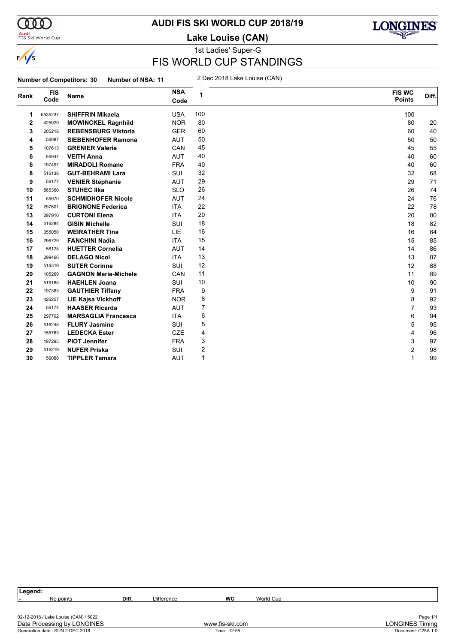

#### **Audi**<br>FIS Ski World Cup

### **AUDI FIS SKI WORLD CUP 2018/19**

**Lake Louise (CAN)**



# 1st Ladies' Super-G FIS WORLD CUP STANDINGS

**Number of Competitors: 30 Number of NSA: 11** 2 Dec 2018 Lake Louise (CAN)

| Rank | <b>FIS</b><br>Code | <b>Name</b>                 | <b>NSA</b><br>Code | 1              | <b>FIS WC</b><br><b>Points</b> | Diff. |
|------|--------------------|-----------------------------|--------------------|----------------|--------------------------------|-------|
| 1    | 6535237            | <b>SHIFFRIN Mikaela</b>     | <b>USA</b>         | 100            | 100                            |       |
| 2    | 425929             | <b>MOWINCKEL Ragnhild</b>   | <b>NOR</b>         | 80             | 80                             | 20    |
| 3    | 205218             | <b>REBENSBURG Viktoria</b>  | <b>GER</b>         | 60             | 60                             | 40    |
| 4    | 56087              | <b>SIEBENHOFER Ramona</b>   | <b>AUT</b>         | 50             | 50                             | 50    |
| 5    | 107613             | <b>GRENIER Valerie</b>      | CAN                | 45             | 45                             | 55    |
| 6    | 55947              | <b>VEITH Anna</b>           | <b>AUT</b>         | 40             | 40                             | 60    |
| 6    | 197497             | <b>MIRADOLI Romane</b>      | <b>FRA</b>         | 40             | 40                             | 60    |
| 8    | 516138             | <b>GUT-BEHRAMI Lara</b>     | SUI                | 32             | 32                             | 68    |
| 9    | 56177              | <b>VENIER Stephanie</b>     | <b>AUT</b>         | 29             | 29                             | 71    |
| 10   | 565360             | <b>STUHEC IIka</b>          | <b>SLO</b>         | 26             | 26                             | 74    |
| 11   | 55970              | <b>SCHMIDHOFER Nicole</b>   | <b>AUT</b>         | 24             | 24                             | 76    |
| 12   | 297601             | <b>BRIGNONE Federica</b>    | <b>ITA</b>         | 22             | 22                             | 78    |
| 13   | 297910             | <b>CURTONI Elena</b>        | <b>ITA</b>         | 20             | 20                             | 80    |
| 14   | 516284             | <b>GISIN Michelle</b>       | <b>SUI</b>         | 18             | 18                             | 82    |
| 15   | 355050             | <b>WEIRATHER Tina</b>       | LIE                | 16             | 16                             | 84    |
| 16   | 296729             | <b>FANCHINI Nadia</b>       | <b>ITA</b>         | 15             | 15                             | 85    |
| 17   | 56128              | <b>HUETTER Cornelia</b>     | <b>AUT</b>         | 14             | 14                             | 86    |
| 18   | 299466             | <b>DELAGO Nicol</b>         | <b>ITA</b>         | 13             | 13                             | 87    |
| 19   | 516319             | <b>SUTER Corinne</b>        | SUI                | 12             | 12                             | 88    |
| 20   | 105269             | <b>GAGNON Marie-Michele</b> | CAN                | 11             | 11                             | 89    |
| 21   | 516185             | <b>HAEHLEN Joana</b>        | SUI                | 10             | 10                             | 90    |
| 22   | 197383             | <b>GAUTHIER Tiffany</b>     | <b>FRA</b>         | 9              | 9                              | 91    |
| 23   | 426257             | <b>LIE Kajsa Vickhoff</b>   | <b>NOR</b>         | 8              | 8                              | 92    |
| 24   | 56174              | <b>HAASER Ricarda</b>       | <b>AUT</b>         | $\overline{7}$ | 7                              | 93    |
| 25   | 297702             | <b>MARSAGLIA Francesca</b>  | <b>ITA</b>         | 6              | 6                              | 94    |
| 26   | 516248             | <b>FLURY Jasmine</b>        | <b>SUI</b>         | 5              | 5                              | 95    |
| 27   | 155763             | <b>LEDECKA Ester</b>        | <b>CZE</b>         | 4              | 4                              | 96    |
| 28   | 197295             | <b>PIOT Jennifer</b>        | <b>FRA</b>         | 3              | 3                              | 97    |
| 29   | 516219             | <b>NUFER Priska</b>         | SUI                | 2              | 2                              | 98    |
| 30   | 56088              | <b>TIPPLER Tamara</b>       | <b>AUT</b>         | $\mathbf{1}$   | 1                              | 99    |
|      |                    |                             |                    |                |                                |       |

| Legend:                               |       |                   |                 |           |                        |
|---------------------------------------|-------|-------------------|-----------------|-----------|------------------------|
| No points<br>. .                      | Diff. | <b>Difference</b> | <b>WC</b>       | World Cup |                        |
|                                       |       |                   |                 |           |                        |
| 02-12-2018 / Lake Louise (CAN) / 5022 |       |                   |                 |           | Page 1/1               |
| Data Processing by LONGINES           |       |                   | www.fis-ski.com |           | <b>LONGINES Timing</b> |
| Generation date : SUN 2 DEC 2018      |       |                   | Time: 12:55     |           | Document: C25A 1.0     |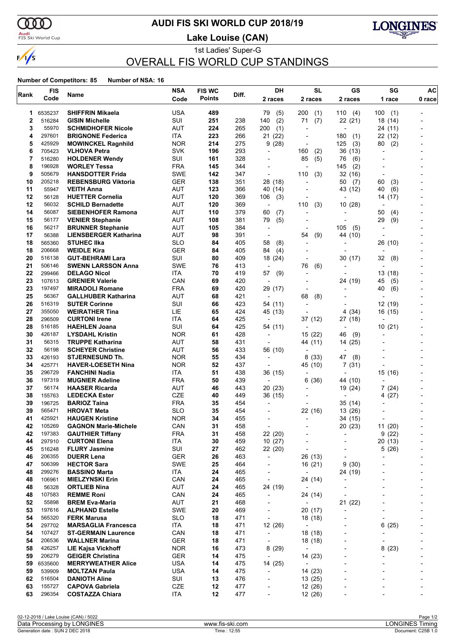

#### **Audi**<br>FIS Ski World Cup

# **AUDI FIS SKI WORLD CUP 2018/19**

**Lake Louise (CAN)**



1st Ladies' Super-G OVERALL FIS WORLD CUP STANDINGS

| Rank     | <b>FIS</b>       |                                                       | <b>NSA</b>               | <b>FIS WC</b> | Diff.      | DH                       | <b>SL</b>                | <b>GS</b>                | SG                       | AC     |
|----------|------------------|-------------------------------------------------------|--------------------------|---------------|------------|--------------------------|--------------------------|--------------------------|--------------------------|--------|
|          | Code             | Name                                                  | Code                     | <b>Points</b> |            | 2 races                  | 2 races                  | 2 races                  | 1 race                   | 0 race |
| 1        | 6535237          | SHIFFRIN Mikaela                                      | <b>USA</b>               | 489           |            | 79<br>(5)                | 200<br>(1)               | 110<br>(4)               | 100<br>(1)               |        |
| 2        | 516284           | <b>GISIN Michelle</b>                                 | SUI                      | 251           | 238        | 140<br>(2)               | 71<br>(7)                | 22 (21)                  | 18 (14)                  |        |
| 3        | 55970            | <b>SCHMIDHOFER Nicole</b>                             | <b>AUT</b>               | 224           | 265        | 200<br>(1)               | $\overline{a}$           |                          | 24 (11)                  |        |
| 4        | 297601           | <b>BRIGNONE Federica</b>                              | <b>ITA</b>               | 223           | 266        | 21 (22)                  | $\overline{a}$           | 180<br>(1)               | 22 (12)                  |        |
| 5        | 425929           | <b>MOWINCKEL Ragnhild</b>                             | <b>NOR</b>               | 214           | 275        | 9(28)                    | $\overline{a}$           | 125<br>(3)               | 80<br>(2)                |        |
| 6        | 705423           | <b>VLHOVA Petra</b>                                   | <b>SVK</b>               | 196           | 293        | $\overline{a}$           | 160<br>(2)               | 36 (13)                  | L,                       |        |
| 7        | 516280           | <b>HOLDENER Wendy</b>                                 | SUI                      | 161           | 328        |                          | (5)<br>85                | (6)<br>76                |                          |        |
| 8        | 196928           | <b>WORLEY Tessa</b>                                   | <b>FRA</b>               | 145           | 344        | $\overline{a}$           | $\overline{\phantom{a}}$ | 145<br>(2)               |                          |        |
| 9        | 505679           | <b>HANSDOTTER Frida</b>                               | SWE                      | 142           | 347        | $\overline{a}$           | (3)<br>110               | 32 (16)                  | $\overline{a}$           |        |
| 10       | 205218           | <b>REBENSBURG Viktoria</b>                            | <b>GER</b>               | 138           | 351        | 28 (18)                  |                          | 50<br>(7)                | 60<br>(3)                |        |
| 11       | 55947            | <b>VEITH Anna</b>                                     | AUT                      | 123           | 366        | 40 (14)                  |                          | 43 (12)                  | 40<br>(6)                |        |
| 12       | 56128            | <b>HUETTER Cornelia</b>                               | <b>AUT</b>               | 120           | 369        | 106<br>(3)               | $\blacksquare$           |                          | (17)<br>14               |        |
| 12       | 56032            | <b>SCHILD Bernadette</b>                              | <b>AUT</b>               | 120           | 369        | $\overline{\phantom{a}}$ | (3)<br>110               | 10(28)                   |                          |        |
| 14       | 56087            | <b>SIEBENHOFER Ramona</b>                             | AUT                      | 110           | 379        | 60<br>(7)                | $\overline{a}$           |                          | 50<br>(4)                |        |
| 15       | 56177            | <b>VENIER Stephanie</b>                               | AUT                      | 108           | 381        | 79<br>(5)                | $\blacksquare$           | $\overline{\phantom{a}}$ | 29<br>(9)                |        |
| 16       | 56217            | <b>BRUNNER Stephanie</b>                              | <b>AUT</b>               | 105           | 384        | $\overline{a}$           |                          | 105<br>(5)               |                          |        |
| 17       | 56388            | <b>LIENSBERGER Katharina</b>                          | AUT                      | 98            | 391        | $\overline{\phantom{a}}$ | (9)<br>54                | 44 (10)                  | ٠                        |        |
| 18       | 565360           | <b>STUHEC IIka</b>                                    | <b>SLO</b>               | 84            | 405        | 58<br>(8)                | $\overline{\phantom{a}}$ |                          | 26 (10)                  |        |
| 18       | 206668           | <b>WEIDLE Kira</b>                                    | <b>GER</b>               | 84            | 405        | 84<br>(4)                | $\blacksquare$           |                          | $\overline{\phantom{a}}$ |        |
| 20       | 516138           | <b>GUT-BEHRAMI Lara</b>                               | SUI                      | 80            | 409        | 18 (24)                  | $\overline{a}$           | 30 (17)                  | 32<br>(8)                |        |
| 21       | 506146           | <b>SWENN LARSSON Anna</b>                             | SWE                      | 76            | 413        | $\overline{\phantom{a}}$ | 76<br>(6)                |                          |                          |        |
| 22       | 299466           | <b>DELAGO Nicol</b>                                   | <b>ITA</b>               | 70            | 419        | 57<br>(9)                | -                        |                          | 13(18)                   |        |
| 23       | 107613           | <b>GRENIER Valerie</b>                                | CAN                      | 69            | 420        | $\overline{\phantom{a}}$ | $\overline{a}$           | 24 (19)                  | 45<br>(5)                |        |
| 23       | 197497           | <b>MIRADOLI Romane</b>                                | <b>FRA</b>               | 69            | 420        | 29 (17)                  | $\overline{\phantom{a}}$ |                          | 40<br>(6)                |        |
| 25       | 56367            | <b>GALLHUBER Katharina</b>                            | <b>AUT</b>               | 68            | 421        | $\overline{\phantom{a}}$ | 68<br>(8)                |                          |                          |        |
| 26       | 516319           | <b>SUTER Corinne</b>                                  | SUI                      | 66            | 423        | 54 (11)                  | $\blacksquare$           |                          | 12 (19)                  |        |
| 27       | 355050           | <b>WEIRATHER Tina</b>                                 | LIE                      | 65            | 424        | 45 (13)                  | $\blacksquare$           | 4(34)                    | 16 (15)                  |        |
| 28       | 296509           | <b>CURTONI Irene</b>                                  | <b>ITA</b>               | 64            | 425        | $\overline{\phantom{a}}$ | 37 (12)                  | 27 (18)                  |                          |        |
| 28       | 516185           | <b>HAEHLEN Joana</b>                                  | SUI                      | 64            | 425        | 54 (11)                  | $\overline{\phantom{a}}$ |                          | 10(21)                   |        |
| 30       | 426187           | <b>LYSDAHL Kristin</b>                                | <b>NOR</b>               | 61            | 428        | $\overline{\phantom{a}}$ | 15(22)                   | 46<br>(9)                | L,                       |        |
| 31       | 56315            | <b>TRUPPE Katharina</b>                               | <b>AUT</b>               | 58            | 431        |                          | 44 (11)                  | 14 (25)                  |                          |        |
| 32       | 56198            | <b>SCHEYER Christine</b>                              | AUT                      | 56            | 433        | 56 (10)                  | $\overline{a}$           |                          |                          |        |
| 33       | 426193           | <b>STJERNESUND Th.</b>                                | <b>NOR</b>               | 55            | 434        | $\overline{\phantom{a}}$ | 8<br>(33)                | 47<br>(8)                |                          |        |
| 34       | 425771           | <b>HAVER-LOESETH Nina</b>                             | <b>NOR</b>               | 52            | 437        |                          | 45 (10)                  | 7(31)                    |                          |        |
| 35       | 296729           | <b>FANCHINI Nadia</b>                                 | ITA.                     | 51            | 438        | 36 (15)                  | $\overline{\phantom{0}}$ |                          | 15 (16)                  |        |
| 36       | 197319           | <b>MUGNIER Adeline</b>                                | <b>FRA</b>               | 50            | 439        | $\overline{\phantom{a}}$ | 6<br>(36)                | 44 (10)                  | L,                       |        |
| 37       | 56174            | <b>HAASER Ricarda</b>                                 | <b>AUT</b>               | 46            | 443        | 20(23)                   | $\overline{a}$           | 19 (24)                  | 7 (24)                   |        |
| 38       | 155763           | <b>LEDECKA Ester</b>                                  | CZE                      | 40            | 449        | 36 (15)                  | $\overline{\phantom{0}}$ |                          | 4 (27)                   |        |
| 39       | 196725           | <b>BARIOZ Taina</b>                                   | <b>FRA</b>               | 35<br>35      | 454        | $\overline{\phantom{a}}$ | $\overline{a}$           | 35 (14)                  | $\blacksquare$           |        |
| 39<br>41 | 565471<br>425921 | <b>HROVAT Meta</b>                                    | <b>SLO</b><br><b>NOR</b> | 34            | 454<br>455 | ÷                        | 22 (16)<br>÷             | 13 (26)                  |                          |        |
| 42       | 105269           | <b>HAUGEN Kristine</b><br><b>GAGNON Marie-Michele</b> | CAN                      | 31            | 458        |                          |                          | 34 (15)<br>20 (23)       | 11 (20)                  |        |
| 42       | 197383           | <b>GAUTHIER Tiffany</b>                               | <b>FRA</b>               | 31            | 458        | 22 (20)                  | -                        |                          | 9(22)                    |        |
| 44       | 297910           | <b>CURTONI Elena</b>                                  | ITA                      | 30            | 459        | 10(27)                   |                          |                          | 20 (13)                  |        |
| 45       | 516248           | <b>FLURY Jasmine</b>                                  | SUI                      | 27            | 462        | 22 (20)                  | $\overline{a}$           |                          | 5(26)                    |        |
| 46       | 206355           | <b>DUERR Lena</b>                                     | <b>GER</b>               | 26            | 463        | $\overline{\phantom{a}}$ | 26 (13)                  |                          |                          |        |
| 47       | 506399           | <b>HECTOR Sara</b>                                    | SWE                      | 25            | 464        | $\overline{\phantom{a}}$ | 16 (21)                  | 9(30)                    |                          |        |
| 48       | 299276           | <b>BASSINO Marta</b>                                  | ITA                      | 24            | 465        | $\overline{\phantom{a}}$ | $\overline{\phantom{a}}$ | 24 (19)                  |                          |        |
| 48       | 106961           | <b>MIELZYNSKI Erin</b>                                | CAN                      | 24            | 465        | $\overline{\phantom{a}}$ | 24 (14)                  |                          |                          |        |
| 48       | 56328            | <b>ORTLIEB Nina</b>                                   | <b>AUT</b>               | 24            | 465        | 24 (19)                  | $\overline{\phantom{a}}$ |                          |                          |        |
| 48       | 107583           | <b>REMME Roni</b>                                     | CAN                      | 24            | 465        | $\blacksquare$           | 24 (14)                  |                          |                          |        |
| 52       | 55898            | <b>BREM Eva-Maria</b>                                 | AUT                      | 21            | 468        | $\overline{\phantom{a}}$ | $\overline{\phantom{a}}$ | 21 (22)                  |                          |        |
| 53       | 197616           | <b>ALPHAND Estelle</b>                                | SWE                      | 20            | 469        | $\overline{\phantom{a}}$ | 20(17)                   | ÷,                       |                          |        |
| 54       | 565320           | <b>FERK Marusa</b>                                    | <b>SLO</b>               | 18            | 471        | $\overline{\phantom{a}}$ | 18 (18)                  |                          | $\overline{\phantom{a}}$ |        |
| 54       | 297702           | <b>MARSAGLIA Francesca</b>                            | ITA                      | 18            | 471        | 12 (26)                  | $\overline{\phantom{a}}$ |                          | 6(25)                    |        |
| 54       | 107427           | <b>ST-GERMAIN Laurence</b>                            | CAN                      | 18            | 471        | $\blacksquare$           | 18 (18)                  |                          | ÷                        |        |
| 54       | 206536           | <b>WALLNER Marina</b>                                 | GER                      | 18            | 471        | $\overline{\phantom{a}}$ | 18 (18)                  |                          | $\overline{a}$           |        |
| 58       | 426257           | <b>LIE Kajsa Vickhoff</b>                             | <b>NOR</b>               | 16            | 473        | 8(29)                    | $\overline{\phantom{a}}$ |                          | 8(23)                    |        |
| 59       | 206279           | <b>GEIGER Christina</b>                               | <b>GER</b>               | 14            | 475        | $\overline{\phantom{a}}$ | 14 (23)                  |                          |                          |        |
| 59       | 6535600          | <b>MERRYWEATHER Alice</b>                             | <b>USA</b>               | 14            | 475        | 14 (25)                  | $\overline{\phantom{a}}$ |                          |                          |        |
| 59       | 539909           | <b>MOLTZAN Paula</b>                                  | <b>USA</b>               | 14            | 475        | $\overline{a}$           | 14 (23)                  |                          |                          |        |
| 62       | 516504           | <b>DANIOTH Aline</b>                                  | SUI                      | 13            | 476        | $\overline{\phantom{a}}$ | 13(25)                   |                          |                          |        |
| 63       | 155727           | <b>CAPOVA Gabriela</b>                                | CZE                      | 12            | 477        | $\overline{\phantom{a}}$ | 12 (26)                  |                          |                          |        |
| 63       | 296354           | <b>COSTAZZA Chiara</b>                                | ITA                      | 12            | 477        |                          | 12 (26)                  |                          |                          |        |
|          |                  |                                                       |                          |               |            |                          |                          |                          |                          |        |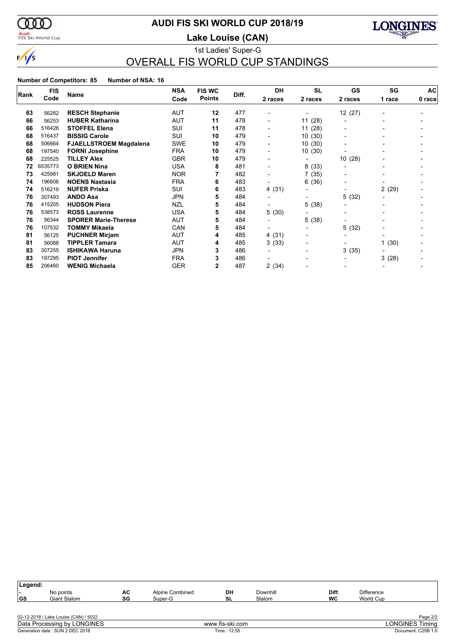

### <mark>Audi</mark><br>FIS Ski World Cup

# **AUDI FIS SKI WORLD CUP 2018/19**

**Lake Louise (CAN)**



1st Ladies' Super-G OVERALL FIS WORLD CUP STANDINGS

|      | <b>FIS</b> | <b>Name</b>                   | <b>NSA</b> | <b>FIS WC</b> | Diff. | <b>DH</b>                | <b>SL</b>                | <b>GS</b>                | SG     | AC     |
|------|------------|-------------------------------|------------|---------------|-------|--------------------------|--------------------------|--------------------------|--------|--------|
| Rank | Code       |                               | Code       | <b>Points</b> |       | 2 races                  | 2 races                  | 2 races                  | 1 race | 0 race |
| 63   | 56282      | <b>RESCH Stephanie</b>        | <b>AUT</b> | 12            | 477   | $\overline{\phantom{a}}$ | $\overline{\phantom{0}}$ | 12 (27)                  |        |        |
| 66   | 56253      | <b>HUBER Katharina</b>        | <b>AUT</b> | 11            | 478   | $\overline{\phantom{a}}$ | 11(28)                   | -                        |        |        |
| 66   | 516426     | <b>STOFFEL Elena</b>          | SUI        | 11            | 478   | $\overline{\phantom{a}}$ | 11(28)                   | $\blacksquare$           |        |        |
| 68   | 516437     | <b>BISSIG Carole</b>          | SUI        | 10            | 479   | $\overline{\phantom{0}}$ | 10(30)                   | -                        |        |        |
| 68   | 506664     | <b>FJAELLSTROEM Magdalena</b> | <b>SWE</b> | 10            | 479   |                          | 10(30)                   |                          |        |        |
| 68   | 197540     | <b>FORNI Josephine</b>        | <b>FRA</b> | 10            | 479   | $\overline{\phantom{a}}$ | 10(30)                   |                          |        |        |
| 68   | 225525     | <b>TILLEY Alex</b>            | <b>GBR</b> | 10            | 479   | $\overline{\phantom{a}}$ |                          | 10(28)                   |        |        |
| 72   | 6535773    | <b>O BRIEN Nina</b>           | <b>USA</b> | 8             | 481   | $\overline{\phantom{0}}$ | 8<br>(33)                |                          |        |        |
| 73   | 425981     | <b>SKJOELD Maren</b>          | <b>NOR</b> |               | 482   |                          | 7<br>(35)                |                          |        |        |
| 74   | 196806     | <b>NOENS Nastasia</b>         | <b>FRA</b> | 6             | 483   | $\overline{\phantom{a}}$ | 6.<br>(36)               | $\overline{\phantom{a}}$ |        |        |
| 74   | 516219     | <b>NUFER Priska</b>           | SUI        | 6             | 483   | 4 (31)                   | $\overline{\phantom{a}}$ | $\blacksquare$           | 2(29)  |        |
| 76   | 307493     | <b>ANDO Asa</b>               | <b>JPN</b> | 5             | 484   | $\overline{\phantom{0}}$ | $\overline{\phantom{0}}$ | 5(32)                    |        |        |
| 76   | 415205     | <b>HUDSON Piera</b>           | <b>NZL</b> | 5             | 484   |                          | 5<br>(38)                | -                        |        |        |
| 76   | 538573     | <b>ROSS Laurenne</b>          | <b>USA</b> | 5             | 484   | 5(30)                    |                          |                          |        |        |
| 76   | 56344      | <b>SPORER Marie-Therese</b>   | AUT        | 5             | 484   | $\overline{\phantom{0}}$ | 5 (38)                   | $\blacksquare$           |        |        |
| 76   | 107532     | <b>TOMMY Mikaela</b>          | CAN        | 5             | 484   |                          |                          | 5(32)                    |        |        |
| 81   | 56125      | <b>PUCHNER Mirjam</b>         | AUT        | 4             | 485   | 4 (31)                   | $\overline{\phantom{a}}$ | $\overline{\phantom{0}}$ |        |        |
| 81   | 56088      | <b>TIPPLER Tamara</b>         | <b>AUT</b> | 4             | 485   | 3(33)                    | $\blacksquare$           |                          | 1(30)  |        |
| 83   | 307255     | <b>ISHIKAWA Haruna</b>        | <b>JPN</b> | 3             | 486   |                          | $\overline{\phantom{0}}$ | 3(35)                    |        |        |
| 83   | 197295     | <b>PIOT Jennifer</b>          | <b>FRA</b> |               | 486   |                          | -                        | -                        | 3(28)  |        |
| 85   | 206460     | <b>WENIG Michaela</b>         | <b>GER</b> | 2             | 487   | 2(34)                    |                          | -                        |        |        |

| Legend:                         |                                       |          |                            |                 |                    |             |                                |                        |
|---------------------------------|---------------------------------------|----------|----------------------------|-----------------|--------------------|-------------|--------------------------------|------------------------|
| ı –<br><b>GS</b>                | No points<br>Giant Slalom             | АC<br>SG | Alpine Combined<br>Super-G | DH<br>SL        | Downhill<br>Slalom | Diff.<br>WC | <b>Difference</b><br>World Cup |                        |
|                                 |                                       |          |                            |                 |                    |             |                                |                        |
|                                 | 02-12-2018 / Lake Louise (CAN) / 5022 |          |                            |                 |                    |             |                                | Page 2/2               |
| Data Processing by LONGINES     |                                       |          |                            | www.fis-ski.com |                    |             |                                | <b>LONGINES Timing</b> |
| Generation date: SUN 2 DEC 2018 |                                       |          | Time: 12:55                |                 |                    |             | Document: C25B 1.0             |                        |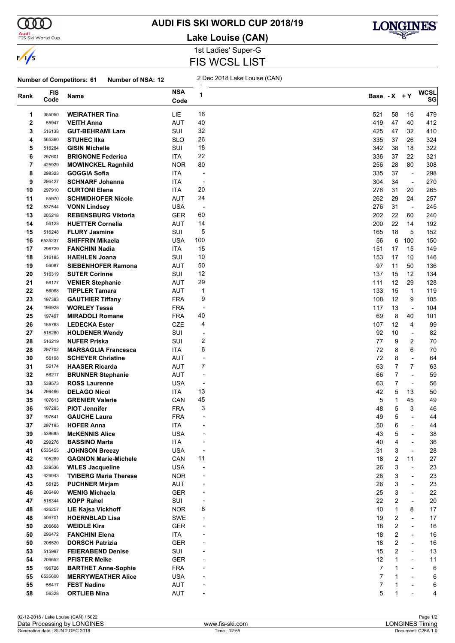

#### **Audi**<br>FIS Ski World Cup

# **AUDI FIS SKI WORLD CUP 2018/19**

**Lake Louise (CAN)**



1st Ladies' Super-G FIS WCSL LIST

**Number of Competitors: 61 Number of NSA: 12** 2 Dec 2018 Lake Louise (CAN)

| Rank     | <b>FIS</b><br>Code | Name                                             | <b>NSA</b><br>Code | 1                        | Base - X + Y |                                  |                                | <b>WCSL</b><br>SG |
|----------|--------------------|--------------------------------------------------|--------------------|--------------------------|--------------|----------------------------------|--------------------------------|-------------------|
| 1        | 355050             | <b>WEIRATHER Tina</b>                            | LIE                | 16                       | 521          | 58                               | 16                             | 479               |
| 2        | 55947              | <b>VEITH Anna</b>                                | AUT                | 40                       | 419          | 47                               | 40                             | 412               |
| 3        | 516138             | <b>GUT-BEHRAMI Lara</b>                          | SUI                | 32                       | 425          | 47                               | 32                             | 410               |
| 4        | 565360             | <b>STUHEC IIka</b>                               | <b>SLO</b>         | 26                       | 335          | 37                               | 26                             | 324               |
| 5        | 516284             | <b>GISIN Michelle</b>                            | SUI                | 18                       | 342          | 38                               | 18                             | 322               |
| 6        | 297601             | <b>BRIGNONE Federica</b>                         | <b>ITA</b>         | 22                       | 336          | 37                               | 22                             | 321               |
| 7        | 425929             | <b>MOWINCKEL Ragnhild</b>                        | <b>NOR</b>         | 80                       | 256          | 28                               | 80                             | 308               |
| 8        | 298323             | <b>GOGGIA Sofia</b>                              | ITA                | $\overline{\phantom{a}}$ | 335          | 37                               | $\overline{\phantom{a}}$       | 298               |
| 9        | 296427             | <b>SCHNARF Johanna</b>                           | ITA                | ÷,                       | 304          | 34                               | $\mathbf{v}$                   | 270               |
| 10       | 297910             | <b>CURTONI Elena</b>                             | ITA                | 20                       | 276          | 31                               | 20                             | 265               |
| 11       | 55970              | <b>SCHMIDHOFER Nicole</b>                        | AUT                | 24                       | 262          | 29                               | 24                             | 257               |
| 12       | 537544             | <b>VONN Lindsey</b>                              | <b>USA</b>         | $\overline{\phantom{a}}$ | 276          | 31                               | $\overline{\phantom{a}}$       | 245               |
| 13       | 205218             | <b>REBENSBURG Viktoria</b>                       | GER                | 60                       | 202          | 22                               | 60                             | 240               |
| 14       | 56128              | <b>HUETTER Cornelia</b>                          | AUT                | 14                       | 200          | 22                               | 14                             | 192               |
| 15       | 516248             | <b>FLURY Jasmine</b>                             | SUI                | 5                        | 165          | 18                               | 5                              | 152               |
| 16       | 6535237            | <b>SHIFFRIN Mikaela</b>                          | <b>USA</b>         | 100                      | 56           | 6                                | 100                            | 150               |
| 17       | 296729             | <b>FANCHINI Nadia</b>                            | ITA                | 15                       | 151          | 17                               | 15                             | 149               |
| 18       | 516185             | <b>HAEHLEN Joana</b>                             | SUI                | 10                       | 153          | 17                               | 10                             | 146               |
| 19       | 56087              | <b>SIEBENHOFER Ramona</b>                        | AUT                | 50                       | 97           | 11                               | 50                             | 136               |
| 20       | 516319             | <b>SUTER Corinne</b>                             | SUI                | 12                       | 137          | 15                               | 12                             | 134               |
| 21       | 56177              | <b>VENIER Stephanie</b>                          | <b>AUT</b>         | 29                       | 111          | 12                               | 29                             | 128               |
| 22       | 56088              | <b>TIPPLER Tamara</b>                            | AUT                | 1                        | 133          | 15                               | $\mathbf{1}$                   | 119               |
| 23       | 197383             | <b>GAUTHIER Tiffany</b>                          | <b>FRA</b>         | 9                        | 108          | 12                               | 9                              | 105               |
| 24       | 196928             | <b>WORLEY Tessa</b>                              | <b>FRA</b>         | $\overline{a}$           | 117          | 13                               | $\overline{\phantom{a}}$       | 104               |
| 25       | 197497             | <b>MIRADOLI Romane</b>                           | <b>FRA</b>         | 40                       | 69           | 8                                | 40                             | 101               |
| 26       | 155763             | <b>LEDECKA Ester</b>                             | <b>CZE</b>         | 4                        | 107          | 12                               | 4                              | 99                |
| 27       | 516280             | <b>HOLDENER Wendy</b>                            | SUI                | $\overline{\phantom{a}}$ | 92           | 10                               | $\blacksquare$                 | 82                |
| 28       | 516219             | <b>NUFER Priska</b>                              | SUI                | 2                        | 77           | 9                                | 2                              | 70                |
| 28       | 297702             | <b>MARSAGLIA Francesca</b>                       | ITA                | 6                        | 72           | 8                                | 6                              | 70                |
| 30       | 56198              | <b>SCHEYER Christine</b>                         | <b>AUT</b>         | $\overline{\phantom{a}}$ | 72           | 8                                | $\blacksquare$                 | 64                |
| 31       | 56174              | <b>HAASER Ricarda</b>                            | AUT                | 7                        | 63           | $\overline{7}$<br>$\overline{7}$ | $\overline{7}$<br>$\mathbf{r}$ | 63                |
| 32<br>33 | 56217<br>538573    | <b>BRUNNER Stephanie</b><br><b>ROSS Laurenne</b> | AUT<br><b>USA</b>  | ÷,<br>$\overline{a}$     | 66<br>63     | $\overline{7}$                   | $\blacksquare$                 | 59<br>56          |
| 34       | 299466             | <b>DELAGO Nicol</b>                              | ITA.               | 13                       | 42           | 5                                | 13                             | 50                |
| 35       | 107613             | <b>GRENIER Valerie</b>                           | CAN                | 45                       | 5            | 1                                | 45                             | 49                |
| 36       | 197295             | <b>PIOT Jennifer</b>                             | <b>FRA</b>         | 3                        | 48           | 5                                | 3                              | 46                |
| 37       | 197641             | <b>GAUCHE Laura</b>                              | <b>FRA</b>         |                          | 49           | 5                                | $\blacksquare$                 | 44                |
| 37       | 297195             | <b>HOFER Anna</b>                                | <b>ITA</b>         | $\overline{a}$           | 50           | 6                                | $\overline{\phantom{a}}$       | 44                |
| 39       | 538685             | <b>McKENNIS Alice</b>                            | <b>USA</b>         |                          | 43           | 5                                |                                | 38                |
| 40       | 299276             | <b>BASSINO Marta</b>                             | <b>ITA</b>         |                          | 40           | 4                                | $\overline{\phantom{a}}$       | 36                |
| 41       | 6535455            | <b>JOHNSON Breezy</b>                            | <b>USA</b>         | $\overline{a}$           | 31           | 3                                | $\overline{\phantom{a}}$       | 28                |
| 42       | 105269             | <b>GAGNON Marie-Michele</b>                      | CAN                | 11                       | 18           | 2                                | 11                             | 27                |
| 43       | 539536             | <b>WILES Jacqueline</b>                          | <b>USA</b>         |                          | 26           | 3                                | $\overline{\phantom{a}}$       | 23                |
| 43       | 426043             | <b>TVIBERG Maria Therese</b>                     | <b>NOR</b>         | $\overline{a}$           | 26           | 3                                | $\overline{\phantom{a}}$       | 23                |
| 43       | 56125              | <b>PUCHNER Mirjam</b>                            | AUT                |                          | 26           | 3                                | $\blacksquare$                 | 23                |
| 46       | 206460             | <b>WENIG Michaela</b>                            | <b>GER</b>         | $\blacksquare$           | 25           | 3                                | $\overline{\phantom{a}}$       | 22                |
| 47       | 516344             | <b>KOPP Rahel</b>                                | SUI                | $\overline{a}$           | 22           | 2                                | $\overline{\phantom{a}}$       | 20                |
| 48       | 426257             | <b>LIE Kajsa Vickhoff</b>                        | <b>NOR</b>         | 8                        | 10           | $\mathbf{1}$                     | 8                              | 17                |
| 48       | 506701             | <b>HOERNBLAD Lisa</b>                            | SWE                | $\overline{a}$           | 19           | 2                                | $\overline{\phantom{a}}$       | 17                |
| 50       | 206668             | <b>WEIDLE Kira</b>                               | <b>GER</b>         |                          | 18           | 2                                | $\blacksquare$                 | $16\,$            |
| 50       | 296472             | <b>FANCHINI Elena</b>                            | ITA                |                          | 18           | 2                                | $\blacksquare$                 | $16\,$            |
| 50       | 206520             | <b>DORSCH Patrizia</b>                           | <b>GER</b>         |                          | 18           | 2                                | $\overline{\phantom{a}}$       | $16$              |
| 53       | 515997             | <b>FEIERABEND Denise</b>                         | SUI                |                          | 15           | 2                                | $\overline{\phantom{a}}$       | 13                |
| 54       | 206652             | <b>PFISTER Meike</b>                             | <b>GER</b>         |                          | 12           | 1                                | $\blacksquare$                 | 11                |
| 55       | 196726             | <b>BARTHET Anne-Sophie</b>                       | <b>FRA</b>         |                          | 7            | 1                                | $\blacksquare$                 | 6                 |
| 55       | 6535600            | <b>MERRYWEATHER Alice</b>                        | <b>USA</b>         | $\blacksquare$           | 7            | 1                                | $\overline{\phantom{a}}$       | 6                 |
| 55       | 56417              | <b>FEST Nadine</b>                               | AUT                |                          | 7            | 1                                | $\blacksquare$                 | 6                 |
| 58       | 56328              | <b>ORTLIEB Nina</b>                              | AUT                | $\overline{\phantom{a}}$ | 5            | $\mathbf{1}$                     | $\overline{\phantom{a}}$       | 4                 |

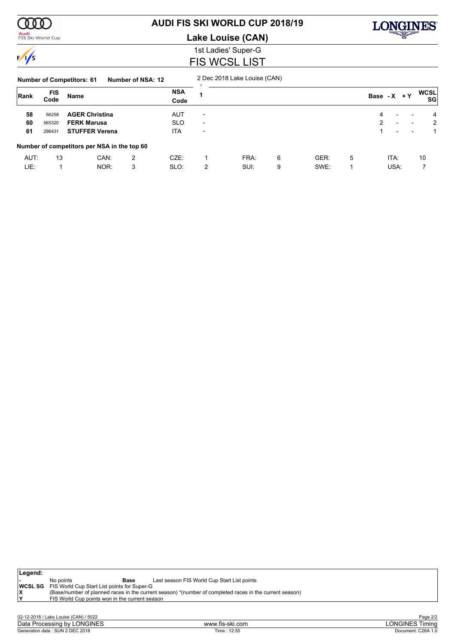

#### **Audi**<br>FIS Ski World Cup

# **AUDI FIS SKI WORLD CUP 2018/19**

**Lake Louise (CAN)**



### 1st Ladies' Super-G FIS WCSL LIST

#### **Number of Competitors: 61 Number of NSA: 12** 2 Dec 2018 Lake Louise (CAN)

| Rank | <b>FIS</b> | Name                                        |      | <b>NSA</b> |                          |      |   |      |   | Base - $X + Y$ |                          |                | <b>WCSL</b>    |
|------|------------|---------------------------------------------|------|------------|--------------------------|------|---|------|---|----------------|--------------------------|----------------|----------------|
|      | Code       |                                             | Code |            |                          |      |   |      |   |                |                          | SG             |                |
| 58   | 56258      | <b>AGER Christina</b>                       |      | AUT        | $\overline{\phantom{0}}$ |      |   |      |   | 4              |                          | $\overline{a}$ | $\overline{4}$ |
| 60   | 565320     | <b>FERK Marusa</b>                          |      | <b>SLO</b> | $\overline{\phantom{a}}$ |      |   |      |   | $\mathcal{P}$  | $\overline{\phantom{a}}$ |                | 2              |
| 61   | 296431     | <b>STUFFER Verena</b>                       |      | <b>ITA</b> | $\overline{\phantom{a}}$ |      |   |      |   |                | $\overline{\phantom{0}}$ |                |                |
|      |            | Number of competitors per NSA in the top 60 |      |            |                          |      |   |      |   |                |                          |                |                |
| AUT: | 13         | CAN:                                        | 2    | CZE:       |                          | FRA: | 6 | GER: | 5 |                | ITA:                     |                | 10             |
| LIE: |            | NOR:                                        | 3    | SLO:       | 2                        | SUI: | 9 | SWE: |   |                | USA:                     |                |                |

| $\vert$ Legend: |                                                            |                                                                                                         |
|-----------------|------------------------------------------------------------|---------------------------------------------------------------------------------------------------------|
|                 | No points<br>Base                                          | Last season FIS World Cup Start List points                                                             |
|                 | <b>WCSL SG</b> FIS World Cup Start List points for Super-G |                                                                                                         |
|                 |                                                            | (Base/number of planned races in the current season) *(number of completed races in the current season) |
|                 | FIS World Cup points won in the current season             |                                                                                                         |
|                 |                                                            |                                                                                                         |
|                 |                                                            |                                                                                                         |

| 02-12-2018<br>/ Lake Louise (CAN) / 5022 |                 | $\sim$<br>Page $2/z$         |
|------------------------------------------|-----------------|------------------------------|
| Data Processing<br>_ONGINES<br>' bv      | www.fis-ski.com | <b>LONGINES T</b><br>l iminc |
| : SUN 2 DEC 2018<br>Generation date:     | 12:55<br>Time   | C26A 1.0<br>Document:        |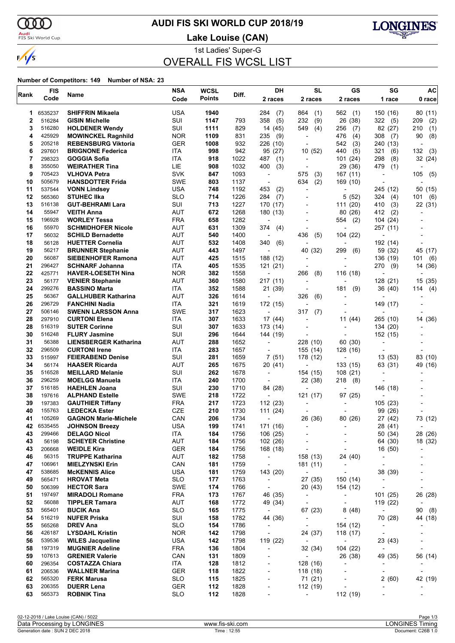ത്ത

 $\sqrt{s}$ 

### **Audi**<br>FIS Ski World Cup

# **AUDI FIS SKI WORLD CUP 2018/19**

**Lake Louise (CAN)**



1st Ladies' Super-G

# OVERALL FIS WCSL LIST

| Rank        | <b>FIS</b><br>Code | Name                                                 | NSA<br>Code       | <b>WCSL</b><br><b>Points</b> | Diff.        | DH<br>2 races                              | <b>SL</b><br>2 races                 | GS<br>2 races                              | SG<br>1 race                                         | AC<br>0 race             |
|-------------|--------------------|------------------------------------------------------|-------------------|------------------------------|--------------|--------------------------------------------|--------------------------------------|--------------------------------------------|------------------------------------------------------|--------------------------|
| 1           | 6535237            | <b>SHIFFRIN Mikaela</b>                              | <b>USA</b>        | 1940                         |              | 284<br>(7)                                 | 864<br>(1)                           | 562<br>(1)                                 | 150 (16)                                             | 80(11)                   |
| $\mathbf 2$ | 516284             | <b>GISIN Michelle</b>                                | SUI               | 1147                         | 793          | 358<br>(5)                                 | 232<br>(9)                           | 26 (38)                                    | 322<br>(5)                                           | (2)<br>209               |
| 3           | 516280             | <b>HOLDENER Wendy</b>                                | SUI               | 1111                         | 829          | 14 (45)                                    | 549<br>(4)                           | 256<br>(7)                                 | 82 (27)                                              | (1)<br>210               |
| 4           | 425929             | <b>MOWINCKEL Ragnhild</b>                            | <b>NOR</b>        | 1109                         | 831          | 235<br>(9)                                 |                                      | 476<br>(4)                                 | 308<br>(7)                                           | 90<br>(8)                |
| 5           | 205218             | <b>REBENSBURG Viktoria</b>                           | <b>GER</b>        | 1008                         | 932          | 226 (10)                                   |                                      | 542<br>(3)                                 | 240 (13)                                             |                          |
| 6           | 297601             | <b>BRIGNONE Federica</b>                             | ITA               | 998                          | 942          | 95 (27)                                    | 10(52)                               | 440<br>(5)                                 | 321<br>(6)                                           | 132<br>(3)               |
| 7           | 298323             | <b>GOGGIA Sofia</b>                                  | ITA               | 918                          | 1022         | 487<br>(1)                                 |                                      | 101(24)                                    | 298<br>(8)                                           | 32 (24)                  |
| 8           | 355050             | <b>WEIRATHER Tina</b>                                | LIE               | 908                          | 1032         | 400<br>(3)                                 | $\overline{\phantom{a}}$             | 29 (36)                                    | 479<br>(1)                                           |                          |
| 9           | 705423             | <b>VLHOVA Petra</b>                                  | SVK               | 847                          | 1093         |                                            | 575<br>(3)                           | 167 (11)                                   | $\overline{a}$                                       | 105<br>(5)               |
| 10          | 505679             | <b>HANSDOTTER Frida</b>                              | SWE               | 803                          | 1137         | ٠                                          | 634<br>(2)                           | 169 (10)                                   | ٠                                                    |                          |
| 11          | 537544             | <b>VONN Lindsey</b><br><b>STUHEC IIka</b>            | <b>USA</b>        | 748                          | 1192         | (2)<br>453                                 | $\overline{\phantom{a}}$             |                                            | 245 (12)                                             | 50 (15)                  |
| 12<br>13    | 565360<br>516138   | <b>GUT-BEHRAMI Lara</b>                              | SLO<br>SUI        | 714<br>713                   | 1226<br>1227 | 284<br>(7)<br>170 (17)                     |                                      | 5 (52)<br>111(20)                          | 324<br>(4)<br>410<br>(3)                             | (6)<br>101               |
| 14          | 55947              | <b>VEITH Anna</b>                                    | AUT               | 672                          | 1268         | 180 (13)                                   |                                      | 80 (26)                                    | 412<br>(2)                                           | 22 (31)                  |
| 15          | 196928             | <b>WORLEY Tessa</b>                                  | <b>FRA</b>        | 658                          | 1282         |                                            |                                      | (2)<br>554                                 | 104 (24)                                             |                          |
| 16          | 55970              | <b>SCHMIDHOFER Nicole</b>                            | AUT               | 631                          | 1309         | 374<br>(4)                                 |                                      |                                            | 257 (11)                                             |                          |
| 17          | 56032              | <b>SCHILD Bernadette</b>                             | <b>AUT</b>        | 540                          | 1400         |                                            | 436<br>(5)                           | 104 (22)                                   | L,                                                   |                          |
| 18          | 56128              | <b>HUETTER Cornelia</b>                              | AUT               | 532                          | 1408         | 340<br>(6)                                 |                                      |                                            | 192 (14)                                             |                          |
| 19          | 56217              | <b>BRUNNER Stephanie</b>                             | AUT               | 443                          | 1497         | $\blacksquare$                             | 40 (32)                              | 299<br>(6)                                 | 59 (32)                                              | 45 (17)                  |
| 20          | 56087              | <b>SIEBENHOFER Ramona</b>                            | <b>AUT</b>        | 425                          | 1515         | 188 (12)                                   |                                      |                                            | 136 (19)                                             | (6)<br>101               |
| 21          | 296427             | <b>SCHNARF Johanna</b>                               | ITA               | 405                          | 1535         | 121(21)                                    |                                      |                                            | 270<br>(9)                                           | 14 (36)                  |
| 22          | 425771             | <b>HAVER-LOESETH Nina</b>                            | <b>NOR</b>        | 382                          | 1558         |                                            | 266<br>(8)                           | 116 (18)                                   |                                                      |                          |
| 23          | 56177              | <b>VENIER Stephanie</b>                              | <b>AUT</b>        | 360                          | 1580         | 217(11)                                    | ÷,                                   |                                            | 128 (21)                                             | 15 (35)                  |
| 24          | 299276             | <b>BASSINO Marta</b>                                 | ITA               | 352                          | 1588         | 21 (39)                                    | -                                    | 181<br>(9)                                 | 36 (40)                                              | (4)<br>114               |
| 25          | 56367              | <b>GALLHUBER Katharina</b>                           | AUT               | 326                          | 1614         | $\blacksquare$                             | 326<br>(6)                           |                                            | $\overline{\phantom{0}}$                             |                          |
| 26          | 296729             | <b>FANCHINI Nadia</b>                                | ITA               | 321                          | 1619         | 172 (15)                                   | ÷,                                   |                                            | 149 (17)                                             |                          |
| 27          | 506146             | <b>SWENN LARSSON Anna</b>                            | SWE               | 317                          | 1623         |                                            | 317<br>(7)                           |                                            |                                                      |                          |
| 28          | 297910             | <b>CURTONI Elena</b>                                 | <b>ITA</b>        | 307                          | 1633         | 17 (44)                                    |                                      | 11 (44)                                    | 265 (10)                                             | 14 (36)                  |
| 28<br>30    | 516319<br>516248   | <b>SUTER Corinne</b>                                 | SUI               | 307                          | 1633         | 173 (14)                                   |                                      | $\blacksquare$                             | 134 (20)                                             |                          |
| 31          | 56388              | <b>FLURY Jasmine</b><br><b>LIENSBERGER Katharina</b> | SUI<br>AUT        | 296<br>288                   | 1644<br>1652 | 144 (19)<br>$\blacksquare$                 | 228 (10)                             | 60 (30)                                    | 152 (15)<br>$\overline{a}$                           |                          |
| 32          | 296509             | <b>CURTONI Irene</b>                                 | ITA               | 283                          | 1657         | $\overline{\phantom{a}}$                   | 155 (14)                             | 128 (16)                                   |                                                      |                          |
| 33          | 515997             | <b>FEIERABEND Denise</b>                             | SUI               | 281                          | 1659         | 7 (51)                                     | 178 (12)                             |                                            | 13(53)                                               | 83 (10)                  |
| 34          | 56174              | <b>HAASER Ricarda</b>                                | AUT               | 265                          | 1675         | 20 (41)                                    |                                      | 133 (15)                                   | 63 (31)                                              | 49 (16)                  |
| 35          | 516528             | <b>MEILLARD Melanie</b>                              | SUI               | 262                          | 1678         | $\overline{\phantom{a}}$                   | 154 (15)                             | 108 (21)                                   | L,                                                   |                          |
| 36          | 296259             | <b>MOELGG Manuela</b>                                | ITA               | 240                          | 1700         | $\overline{\phantom{a}}$                   | 22 (38)                              | 218<br>(8)                                 |                                                      |                          |
| 37          | 516185             | <b>HAEHLEN Joana</b>                                 | SUI               | 230                          | 1710         | 84 (28)                                    | $\overline{\phantom{a}}$             |                                            | 146 (18)                                             |                          |
| 38          | 197616             | <b>ALPHAND Estelle</b>                               | SWE               | 218                          | 1722         |                                            | 121 (17)                             | 97 (25)                                    |                                                      |                          |
| 39          | 197383             | <b>GAUTHIER Tiffany</b>                              | <b>FRA</b>        | 217                          | 1723         | 112 (23)                                   |                                      |                                            | 105 (23)                                             |                          |
| 40          | 155763             | <b>LEDECKA Ester</b>                                 | <b>CZE</b>        | 210                          | 1730         | 111(24)                                    |                                      |                                            | 99 (26)                                              |                          |
| 41          | 105269             | <b>GAGNON Marie-Michele</b>                          | CAN               | 206                          | 1734         | ٠                                          | 26 (36)                              | 80 (26)                                    | 27 (42)                                              | 73 (12)                  |
| 42          | 6535455            | <b>JOHNSON Breezy</b>                                | <b>USA</b>        | 199                          | 1741         | 171 (16)                                   | $\qquad \qquad \blacksquare$         |                                            | 28 (41)                                              |                          |
| 43          | 299466             | <b>DELAGO Nicol</b>                                  | ITA               | 184                          | 1756         | 106 (25)                                   |                                      |                                            | 50 (34)                                              | 28 (26)                  |
| 43          | 56198              | <b>SCHEYER Christine</b>                             | <b>AUT</b>        | 184                          | 1756         | 102 (26)                                   | $\overline{a}$                       | $\overline{a}$                             | 64 (30)                                              | 18 (32)                  |
| 43<br>46    | 206668<br>56315    | <b>WEIDLE Kira</b><br><b>TRUPPE Katharina</b>        | GER<br><b>AUT</b> | 184<br>182                   | 1756<br>1758 | 168 (18)                                   | $\overline{a}$                       | $\overline{\phantom{a}}$                   | 16 (50)                                              |                          |
| 47          | 106961             | <b>MIELZYNSKI Erin</b>                               | CAN               | 181                          | 1759         | $\blacksquare$<br>$\overline{\phantom{a}}$ | 158 (13)<br>181 (11)                 | 24 (40)                                    | $\overline{\phantom{a}}$<br>$\overline{\phantom{a}}$ |                          |
| 47          | 538685             | <b>McKENNIS Alice</b>                                | USA               | 181                          | 1759         | 143 (20)                                   | $\overline{\phantom{a}}$             | $\blacksquare$<br>$\overline{\phantom{a}}$ | 38 (39)                                              | -                        |
| 49          | 565471             | <b>HROVAT Meta</b>                                   | <b>SLO</b>        | 177                          | 1763         | $\overline{\phantom{a}}$                   | 27 (35)                              | 150 (14)                                   | $\overline{\phantom{a}}$                             |                          |
| 50          | 506399             | <b>HECTOR Sara</b>                                   | <b>SWE</b>        | 174                          | 1766         | $\overline{\phantom{a}}$                   | 20(43)                               | 154 (12)                                   | $\overline{\phantom{a}}$                             | $\overline{\phantom{a}}$ |
| 51          | 197497             | <b>MIRADOLI Romane</b>                               | <b>FRA</b>        | 173                          | 1767         | 46 (35)                                    | $\blacksquare$                       | $\sim$                                     | 101(25)                                              | 26 (28)                  |
| 52          | 56088              | <b>TIPPLER Tamara</b>                                | <b>AUT</b>        | 168                          | 1772         | 49 (34)                                    | $\blacksquare$                       | $\sim$                                     | 119 (22)                                             | $\blacksquare$           |
| 53          | 565401             | <b>BUCIK Ana</b>                                     | <b>SLO</b>        | 165                          | 1775         | $\sim$                                     | 67 (23)                              | 8(48)                                      | $\sim$                                               | 90(8)                    |
| 54          | 516219             | <b>NUFER Priska</b>                                  | SUI               | 158                          | 1782         | 44 (36)                                    | $\blacksquare$                       | $\sim$                                     | 70 (28)                                              | 44 (18)                  |
| 55          | 565268             | DREV Ana                                             | <b>SLO</b>        | 154                          | 1786         | $\overline{\phantom{a}}$                   | $\sim$                               | 154 (12)                                   | $\overline{\phantom{a}}$                             |                          |
| 56          | 426187             | <b>LYSDAHL Kristin</b>                               | <b>NOR</b>        | 142                          | 1798         | $\overline{\phantom{a}}$                   | 24 (37)                              | 118 (17)                                   | $\blacksquare$                                       | $\overline{a}$           |
| 56          | 539536             | <b>WILES Jacqueline</b>                              | USA               | 142                          | 1798         | 119 (22)                                   | $\sim 100$                           | $\sim 100$                                 | 23 (43)                                              |                          |
| 58          | 197319             | <b>MUGNIER Adeline</b>                               | <b>FRA</b>        | 136                          | 1804         | $\overline{\phantom{a}}$                   | 32 (34)                              | 104 (22)                                   | $\blacksquare$                                       |                          |
| 59          | 107613             | <b>GRENIER Valerie</b>                               | CAN               | 131                          | 1809         | $\overline{\phantom{a}}$                   | $\sim$                               | 26 (38)                                    | 49 (35)                                              | 56 (14)                  |
| 60          | 296354             | <b>COSTAZZA Chiara</b>                               | ITA               | 128                          | 1812         | $\overline{\phantom{a}}$                   | 128 (16)                             | $\overline{\phantom{a}}$                   | $\overline{\phantom{a}}$                             |                          |
| 61          | 206536             | <b>WALLNER Marina</b>                                | <b>GER</b>        | 118                          | 1822         | $\overline{\phantom{a}}$                   | 118 (18)                             |                                            | $\overline{\phantom{a}}$                             | $\overline{\phantom{a}}$ |
| 62          | 565320             | <b>FERK Marusa</b>                                   | <b>SLO</b>        | 115                          | 1825         | $\frac{1}{2}$                              | 71 (21)                              | $\overline{\phantom{a}}$                   | 2(60)                                                | 42 (19)                  |
| 63<br>63    | 206355<br>565373   | <b>DUERR Lena</b><br><b>ROBNIK Tina</b>              | GER<br><b>SLO</b> | 112<br>112                   | 1828<br>1828 | $\overline{\phantom{a}}$                   | 112 (19)<br>$\overline{\phantom{a}}$ | $\overline{\phantom{a}}$<br>112 (19)       | $\overline{\phantom{a}}$                             | $\overline{a}$           |
|             |                    |                                                      |                   |                              |              |                                            |                                      |                                            |                                                      |                          |
|             |                    |                                                      |                   |                              |              |                                            |                                      |                                            |                                                      |                          |

| 02-12-2018 / Lake Louise (CAN) / 5022 |                 | Page 1/3            |
|---------------------------------------|-----------------|---------------------|
| Data Processing by LONGINES           | www.fis-ski.com | LONGINES<br>l imina |
| Generation date: SUN 2 DEC 2018       | Time: 12:55     | Document: C26B 1.0  |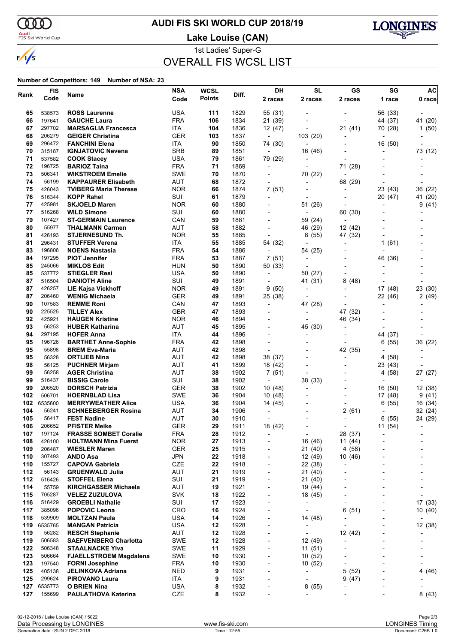

# **AUDI FIS SKI WORLD CUP 2018/19**

**Audi**<br>FIS Ski World Cup

**Lake Louise (CAN)**



1st Ladies' Super-G OVERALL FIS WCSL LIST

| Code<br>538573<br>197641<br>297702<br>206279<br>296472<br>315187<br>537582<br>196725 | Name<br><b>ROSS Laurenne</b><br><b>GAUCHE Laura</b><br><b>MARSAGLIA Francesca</b><br><b>GEIGER Christina</b>                                                                                                                                                                                                 | Code<br><b>USA</b><br><b>FRA</b><br>ITA                                                                                                                                                                                                                                                                                                                                                                                                                                                                                                                                                                                                                                                                                                                                                                                                  | Points<br>111<br>106                                                                                                                                                                                                                                                                                                                                                     | Diff.<br>1829                                                                                                                                                                                | 2 races<br>55 (31)                                                                                                                                                                                                                                                                   | 2 races                                                                                                                                                                                                                                                                                                                                                                             | 2 races                                                                                                                                                                                                       | 1 race<br>56 (33)                                                                                                                 | 0 race                                                                                                                                                                                                                          |
|--------------------------------------------------------------------------------------|--------------------------------------------------------------------------------------------------------------------------------------------------------------------------------------------------------------------------------------------------------------------------------------------------------------|------------------------------------------------------------------------------------------------------------------------------------------------------------------------------------------------------------------------------------------------------------------------------------------------------------------------------------------------------------------------------------------------------------------------------------------------------------------------------------------------------------------------------------------------------------------------------------------------------------------------------------------------------------------------------------------------------------------------------------------------------------------------------------------------------------------------------------------|--------------------------------------------------------------------------------------------------------------------------------------------------------------------------------------------------------------------------------------------------------------------------------------------------------------------------------------------------------------------------|----------------------------------------------------------------------------------------------------------------------------------------------------------------------------------------------|--------------------------------------------------------------------------------------------------------------------------------------------------------------------------------------------------------------------------------------------------------------------------------------|-------------------------------------------------------------------------------------------------------------------------------------------------------------------------------------------------------------------------------------------------------------------------------------------------------------------------------------------------------------------------------------|---------------------------------------------------------------------------------------------------------------------------------------------------------------------------------------------------------------|-----------------------------------------------------------------------------------------------------------------------------------|---------------------------------------------------------------------------------------------------------------------------------------------------------------------------------------------------------------------------------|
|                                                                                      |                                                                                                                                                                                                                                                                                                              |                                                                                                                                                                                                                                                                                                                                                                                                                                                                                                                                                                                                                                                                                                                                                                                                                                          |                                                                                                                                                                                                                                                                                                                                                                          |                                                                                                                                                                                              |                                                                                                                                                                                                                                                                                      |                                                                                                                                                                                                                                                                                                                                                                                     |                                                                                                                                                                                                               |                                                                                                                                   |                                                                                                                                                                                                                                 |
|                                                                                      |                                                                                                                                                                                                                                                                                                              |                                                                                                                                                                                                                                                                                                                                                                                                                                                                                                                                                                                                                                                                                                                                                                                                                                          |                                                                                                                                                                                                                                                                                                                                                                          |                                                                                                                                                                                              |                                                                                                                                                                                                                                                                                      |                                                                                                                                                                                                                                                                                                                                                                                     |                                                                                                                                                                                                               |                                                                                                                                   |                                                                                                                                                                                                                                 |
|                                                                                      |                                                                                                                                                                                                                                                                                                              |                                                                                                                                                                                                                                                                                                                                                                                                                                                                                                                                                                                                                                                                                                                                                                                                                                          |                                                                                                                                                                                                                                                                                                                                                                          | 1834                                                                                                                                                                                         | 21 (39)                                                                                                                                                                                                                                                                              | $\overline{a}$                                                                                                                                                                                                                                                                                                                                                                      |                                                                                                                                                                                                               | 44 (37)                                                                                                                           | 41 (20)                                                                                                                                                                                                                         |
|                                                                                      |                                                                                                                                                                                                                                                                                                              |                                                                                                                                                                                                                                                                                                                                                                                                                                                                                                                                                                                                                                                                                                                                                                                                                                          | 104                                                                                                                                                                                                                                                                                                                                                                      | 1836                                                                                                                                                                                         | 12 (47)                                                                                                                                                                                                                                                                              | $\overline{a}$                                                                                                                                                                                                                                                                                                                                                                      | 21 (41)                                                                                                                                                                                                       | 70 (28)                                                                                                                           | 1(50)                                                                                                                                                                                                                           |
|                                                                                      |                                                                                                                                                                                                                                                                                                              | <b>GER</b>                                                                                                                                                                                                                                                                                                                                                                                                                                                                                                                                                                                                                                                                                                                                                                                                                               | 103                                                                                                                                                                                                                                                                                                                                                                      | 1837                                                                                                                                                                                         | $\blacksquare$                                                                                                                                                                                                                                                                       | 103 (20)                                                                                                                                                                                                                                                                                                                                                                            |                                                                                                                                                                                                               | $\blacksquare$                                                                                                                    |                                                                                                                                                                                                                                 |
|                                                                                      | <b>FANCHINI Elena</b>                                                                                                                                                                                                                                                                                        | ITA                                                                                                                                                                                                                                                                                                                                                                                                                                                                                                                                                                                                                                                                                                                                                                                                                                      | 90                                                                                                                                                                                                                                                                                                                                                                       | 1850                                                                                                                                                                                         | 74 (30)                                                                                                                                                                                                                                                                              | $\overline{\phantom{a}}$                                                                                                                                                                                                                                                                                                                                                            |                                                                                                                                                                                                               | 16 (50)                                                                                                                           |                                                                                                                                                                                                                                 |
|                                                                                      | <b>IGNJATOVIC Nevena</b>                                                                                                                                                                                                                                                                                     | <b>SRB</b>                                                                                                                                                                                                                                                                                                                                                                                                                                                                                                                                                                                                                                                                                                                                                                                                                               | 89                                                                                                                                                                                                                                                                                                                                                                       | 1851                                                                                                                                                                                         | $\overline{\phantom{a}}$                                                                                                                                                                                                                                                             | 16 (46)                                                                                                                                                                                                                                                                                                                                                                             |                                                                                                                                                                                                               |                                                                                                                                   | 73 (12)                                                                                                                                                                                                                         |
|                                                                                      | <b>COOK Stacey</b>                                                                                                                                                                                                                                                                                           | <b>USA</b>                                                                                                                                                                                                                                                                                                                                                                                                                                                                                                                                                                                                                                                                                                                                                                                                                               | 79                                                                                                                                                                                                                                                                                                                                                                       | 1861                                                                                                                                                                                         | 79 (29)                                                                                                                                                                                                                                                                              |                                                                                                                                                                                                                                                                                                                                                                                     |                                                                                                                                                                                                               |                                                                                                                                   |                                                                                                                                                                                                                                 |
|                                                                                      | <b>BARIOZ Taina</b>                                                                                                                                                                                                                                                                                          | <b>FRA</b>                                                                                                                                                                                                                                                                                                                                                                                                                                                                                                                                                                                                                                                                                                                                                                                                                               | 71                                                                                                                                                                                                                                                                                                                                                                       | 1869                                                                                                                                                                                         | $\overline{\phantom{a}}$                                                                                                                                                                                                                                                             | $\overline{a}$                                                                                                                                                                                                                                                                                                                                                                      | 71 (28)                                                                                                                                                                                                       |                                                                                                                                   |                                                                                                                                                                                                                                 |
| 506341                                                                               | <b>WIKSTROEM Emelie</b>                                                                                                                                                                                                                                                                                      | SWE                                                                                                                                                                                                                                                                                                                                                                                                                                                                                                                                                                                                                                                                                                                                                                                                                                      | 70                                                                                                                                                                                                                                                                                                                                                                       | 1870                                                                                                                                                                                         | $\overline{\phantom{a}}$                                                                                                                                                                                                                                                             | 70 (22)                                                                                                                                                                                                                                                                                                                                                                             |                                                                                                                                                                                                               |                                                                                                                                   |                                                                                                                                                                                                                                 |
| 56199                                                                                | <b>KAPPAURER Elisabeth</b>                                                                                                                                                                                                                                                                                   | AUT                                                                                                                                                                                                                                                                                                                                                                                                                                                                                                                                                                                                                                                                                                                                                                                                                                      | 68                                                                                                                                                                                                                                                                                                                                                                       |                                                                                                                                                                                              |                                                                                                                                                                                                                                                                                      | $\overline{\phantom{a}}$                                                                                                                                                                                                                                                                                                                                                            | 68 (29)                                                                                                                                                                                                       |                                                                                                                                   |                                                                                                                                                                                                                                 |
|                                                                                      |                                                                                                                                                                                                                                                                                                              |                                                                                                                                                                                                                                                                                                                                                                                                                                                                                                                                                                                                                                                                                                                                                                                                                                          |                                                                                                                                                                                                                                                                                                                                                                          |                                                                                                                                                                                              |                                                                                                                                                                                                                                                                                      |                                                                                                                                                                                                                                                                                                                                                                                     | $\overline{a}$                                                                                                                                                                                                | 23 (43)                                                                                                                           | 36 (22)                                                                                                                                                                                                                         |
|                                                                                      |                                                                                                                                                                                                                                                                                                              |                                                                                                                                                                                                                                                                                                                                                                                                                                                                                                                                                                                                                                                                                                                                                                                                                                          |                                                                                                                                                                                                                                                                                                                                                                          |                                                                                                                                                                                              | $\overline{a}$                                                                                                                                                                                                                                                                       | $\overline{\phantom{a}}$                                                                                                                                                                                                                                                                                                                                                            |                                                                                                                                                                                                               |                                                                                                                                   | 41 (20)                                                                                                                                                                                                                         |
|                                                                                      |                                                                                                                                                                                                                                                                                                              |                                                                                                                                                                                                                                                                                                                                                                                                                                                                                                                                                                                                                                                                                                                                                                                                                                          |                                                                                                                                                                                                                                                                                                                                                                          |                                                                                                                                                                                              |                                                                                                                                                                                                                                                                                      |                                                                                                                                                                                                                                                                                                                                                                                     |                                                                                                                                                                                                               |                                                                                                                                   | (41)<br>9                                                                                                                                                                                                                       |
|                                                                                      |                                                                                                                                                                                                                                                                                                              |                                                                                                                                                                                                                                                                                                                                                                                                                                                                                                                                                                                                                                                                                                                                                                                                                                          |                                                                                                                                                                                                                                                                                                                                                                          |                                                                                                                                                                                              | ÷                                                                                                                                                                                                                                                                                    |                                                                                                                                                                                                                                                                                                                                                                                     |                                                                                                                                                                                                               |                                                                                                                                   |                                                                                                                                                                                                                                 |
|                                                                                      |                                                                                                                                                                                                                                                                                                              |                                                                                                                                                                                                                                                                                                                                                                                                                                                                                                                                                                                                                                                                                                                                                                                                                                          |                                                                                                                                                                                                                                                                                                                                                                          |                                                                                                                                                                                              |                                                                                                                                                                                                                                                                                      |                                                                                                                                                                                                                                                                                                                                                                                     |                                                                                                                                                                                                               |                                                                                                                                   |                                                                                                                                                                                                                                 |
|                                                                                      |                                                                                                                                                                                                                                                                                                              |                                                                                                                                                                                                                                                                                                                                                                                                                                                                                                                                                                                                                                                                                                                                                                                                                                          |                                                                                                                                                                                                                                                                                                                                                                          |                                                                                                                                                                                              | $\blacksquare$                                                                                                                                                                                                                                                                       |                                                                                                                                                                                                                                                                                                                                                                                     |                                                                                                                                                                                                               |                                                                                                                                   |                                                                                                                                                                                                                                 |
|                                                                                      |                                                                                                                                                                                                                                                                                                              |                                                                                                                                                                                                                                                                                                                                                                                                                                                                                                                                                                                                                                                                                                                                                                                                                                          |                                                                                                                                                                                                                                                                                                                                                                          |                                                                                                                                                                                              |                                                                                                                                                                                                                                                                                      |                                                                                                                                                                                                                                                                                                                                                                                     |                                                                                                                                                                                                               |                                                                                                                                   |                                                                                                                                                                                                                                 |
|                                                                                      |                                                                                                                                                                                                                                                                                                              |                                                                                                                                                                                                                                                                                                                                                                                                                                                                                                                                                                                                                                                                                                                                                                                                                                          |                                                                                                                                                                                                                                                                                                                                                                          |                                                                                                                                                                                              |                                                                                                                                                                                                                                                                                      | $\overline{\phantom{a}}$                                                                                                                                                                                                                                                                                                                                                            |                                                                                                                                                                                                               |                                                                                                                                   |                                                                                                                                                                                                                                 |
|                                                                                      |                                                                                                                                                                                                                                                                                                              |                                                                                                                                                                                                                                                                                                                                                                                                                                                                                                                                                                                                                                                                                                                                                                                                                                          |                                                                                                                                                                                                                                                                                                                                                                          |                                                                                                                                                                                              |                                                                                                                                                                                                                                                                                      |                                                                                                                                                                                                                                                                                                                                                                                     |                                                                                                                                                                                                               |                                                                                                                                   |                                                                                                                                                                                                                                 |
|                                                                                      |                                                                                                                                                                                                                                                                                                              |                                                                                                                                                                                                                                                                                                                                                                                                                                                                                                                                                                                                                                                                                                                                                                                                                                          |                                                                                                                                                                                                                                                                                                                                                                          |                                                                                                                                                                                              |                                                                                                                                                                                                                                                                                      |                                                                                                                                                                                                                                                                                                                                                                                     |                                                                                                                                                                                                               |                                                                                                                                   |                                                                                                                                                                                                                                 |
|                                                                                      |                                                                                                                                                                                                                                                                                                              |                                                                                                                                                                                                                                                                                                                                                                                                                                                                                                                                                                                                                                                                                                                                                                                                                                          |                                                                                                                                                                                                                                                                                                                                                                          |                                                                                                                                                                                              |                                                                                                                                                                                                                                                                                      |                                                                                                                                                                                                                                                                                                                                                                                     |                                                                                                                                                                                                               |                                                                                                                                   |                                                                                                                                                                                                                                 |
|                                                                                      |                                                                                                                                                                                                                                                                                                              |                                                                                                                                                                                                                                                                                                                                                                                                                                                                                                                                                                                                                                                                                                                                                                                                                                          |                                                                                                                                                                                                                                                                                                                                                                          |                                                                                                                                                                                              |                                                                                                                                                                                                                                                                                      |                                                                                                                                                                                                                                                                                                                                                                                     |                                                                                                                                                                                                               |                                                                                                                                   |                                                                                                                                                                                                                                 |
|                                                                                      |                                                                                                                                                                                                                                                                                                              |                                                                                                                                                                                                                                                                                                                                                                                                                                                                                                                                                                                                                                                                                                                                                                                                                                          |                                                                                                                                                                                                                                                                                                                                                                          |                                                                                                                                                                                              |                                                                                                                                                                                                                                                                                      |                                                                                                                                                                                                                                                                                                                                                                                     |                                                                                                                                                                                                               |                                                                                                                                   |                                                                                                                                                                                                                                 |
|                                                                                      |                                                                                                                                                                                                                                                                                                              |                                                                                                                                                                                                                                                                                                                                                                                                                                                                                                                                                                                                                                                                                                                                                                                                                                          |                                                                                                                                                                                                                                                                                                                                                                          |                                                                                                                                                                                              |                                                                                                                                                                                                                                                                                      |                                                                                                                                                                                                                                                                                                                                                                                     |                                                                                                                                                                                                               |                                                                                                                                   | 23 (30)                                                                                                                                                                                                                         |
|                                                                                      |                                                                                                                                                                                                                                                                                                              |                                                                                                                                                                                                                                                                                                                                                                                                                                                                                                                                                                                                                                                                                                                                                                                                                                          |                                                                                                                                                                                                                                                                                                                                                                          |                                                                                                                                                                                              |                                                                                                                                                                                                                                                                                      |                                                                                                                                                                                                                                                                                                                                                                                     |                                                                                                                                                                                                               |                                                                                                                                   | 2(49)                                                                                                                                                                                                                           |
|                                                                                      |                                                                                                                                                                                                                                                                                                              |                                                                                                                                                                                                                                                                                                                                                                                                                                                                                                                                                                                                                                                                                                                                                                                                                                          |                                                                                                                                                                                                                                                                                                                                                                          |                                                                                                                                                                                              |                                                                                                                                                                                                                                                                                      |                                                                                                                                                                                                                                                                                                                                                                                     |                                                                                                                                                                                                               |                                                                                                                                   |                                                                                                                                                                                                                                 |
|                                                                                      |                                                                                                                                                                                                                                                                                                              |                                                                                                                                                                                                                                                                                                                                                                                                                                                                                                                                                                                                                                                                                                                                                                                                                                          |                                                                                                                                                                                                                                                                                                                                                                          |                                                                                                                                                                                              |                                                                                                                                                                                                                                                                                      |                                                                                                                                                                                                                                                                                                                                                                                     |                                                                                                                                                                                                               |                                                                                                                                   |                                                                                                                                                                                                                                 |
|                                                                                      |                                                                                                                                                                                                                                                                                                              |                                                                                                                                                                                                                                                                                                                                                                                                                                                                                                                                                                                                                                                                                                                                                                                                                                          |                                                                                                                                                                                                                                                                                                                                                                          |                                                                                                                                                                                              |                                                                                                                                                                                                                                                                                      |                                                                                                                                                                                                                                                                                                                                                                                     |                                                                                                                                                                                                               |                                                                                                                                   |                                                                                                                                                                                                                                 |
|                                                                                      |                                                                                                                                                                                                                                                                                                              |                                                                                                                                                                                                                                                                                                                                                                                                                                                                                                                                                                                                                                                                                                                                                                                                                                          |                                                                                                                                                                                                                                                                                                                                                                          |                                                                                                                                                                                              |                                                                                                                                                                                                                                                                                      |                                                                                                                                                                                                                                                                                                                                                                                     |                                                                                                                                                                                                               |                                                                                                                                   |                                                                                                                                                                                                                                 |
|                                                                                      |                                                                                                                                                                                                                                                                                                              |                                                                                                                                                                                                                                                                                                                                                                                                                                                                                                                                                                                                                                                                                                                                                                                                                                          |                                                                                                                                                                                                                                                                                                                                                                          |                                                                                                                                                                                              |                                                                                                                                                                                                                                                                                      |                                                                                                                                                                                                                                                                                                                                                                                     |                                                                                                                                                                                                               |                                                                                                                                   | 36 (22)                                                                                                                                                                                                                         |
|                                                                                      |                                                                                                                                                                                                                                                                                                              |                                                                                                                                                                                                                                                                                                                                                                                                                                                                                                                                                                                                                                                                                                                                                                                                                                          |                                                                                                                                                                                                                                                                                                                                                                          |                                                                                                                                                                                              |                                                                                                                                                                                                                                                                                      |                                                                                                                                                                                                                                                                                                                                                                                     |                                                                                                                                                                                                               |                                                                                                                                   |                                                                                                                                                                                                                                 |
|                                                                                      |                                                                                                                                                                                                                                                                                                              |                                                                                                                                                                                                                                                                                                                                                                                                                                                                                                                                                                                                                                                                                                                                                                                                                                          |                                                                                                                                                                                                                                                                                                                                                                          |                                                                                                                                                                                              |                                                                                                                                                                                                                                                                                      |                                                                                                                                                                                                                                                                                                                                                                                     |                                                                                                                                                                                                               |                                                                                                                                   |                                                                                                                                                                                                                                 |
|                                                                                      |                                                                                                                                                                                                                                                                                                              |                                                                                                                                                                                                                                                                                                                                                                                                                                                                                                                                                                                                                                                                                                                                                                                                                                          |                                                                                                                                                                                                                                                                                                                                                                          |                                                                                                                                                                                              |                                                                                                                                                                                                                                                                                      |                                                                                                                                                                                                                                                                                                                                                                                     |                                                                                                                                                                                                               |                                                                                                                                   |                                                                                                                                                                                                                                 |
|                                                                                      |                                                                                                                                                                                                                                                                                                              |                                                                                                                                                                                                                                                                                                                                                                                                                                                                                                                                                                                                                                                                                                                                                                                                                                          |                                                                                                                                                                                                                                                                                                                                                                          |                                                                                                                                                                                              |                                                                                                                                                                                                                                                                                      |                                                                                                                                                                                                                                                                                                                                                                                     |                                                                                                                                                                                                               |                                                                                                                                   | 27 (27)                                                                                                                                                                                                                         |
|                                                                                      |                                                                                                                                                                                                                                                                                                              |                                                                                                                                                                                                                                                                                                                                                                                                                                                                                                                                                                                                                                                                                                                                                                                                                                          |                                                                                                                                                                                                                                                                                                                                                                          |                                                                                                                                                                                              |                                                                                                                                                                                                                                                                                      |                                                                                                                                                                                                                                                                                                                                                                                     |                                                                                                                                                                                                               | $\blacksquare$                                                                                                                    |                                                                                                                                                                                                                                 |
|                                                                                      |                                                                                                                                                                                                                                                                                                              |                                                                                                                                                                                                                                                                                                                                                                                                                                                                                                                                                                                                                                                                                                                                                                                                                                          |                                                                                                                                                                                                                                                                                                                                                                          |                                                                                                                                                                                              |                                                                                                                                                                                                                                                                                      | $\blacksquare$                                                                                                                                                                                                                                                                                                                                                                      |                                                                                                                                                                                                               |                                                                                                                                   | 12 (38)                                                                                                                                                                                                                         |
|                                                                                      |                                                                                                                                                                                                                                                                                                              |                                                                                                                                                                                                                                                                                                                                                                                                                                                                                                                                                                                                                                                                                                                                                                                                                                          |                                                                                                                                                                                                                                                                                                                                                                          |                                                                                                                                                                                              |                                                                                                                                                                                                                                                                                      |                                                                                                                                                                                                                                                                                                                                                                                     |                                                                                                                                                                                                               |                                                                                                                                   | 9(41)                                                                                                                                                                                                                           |
|                                                                                      |                                                                                                                                                                                                                                                                                                              |                                                                                                                                                                                                                                                                                                                                                                                                                                                                                                                                                                                                                                                                                                                                                                                                                                          |                                                                                                                                                                                                                                                                                                                                                                          |                                                                                                                                                                                              |                                                                                                                                                                                                                                                                                      |                                                                                                                                                                                                                                                                                                                                                                                     | -                                                                                                                                                                                                             |                                                                                                                                   | 16 (34)                                                                                                                                                                                                                         |
|                                                                                      |                                                                                                                                                                                                                                                                                                              |                                                                                                                                                                                                                                                                                                                                                                                                                                                                                                                                                                                                                                                                                                                                                                                                                                          |                                                                                                                                                                                                                                                                                                                                                                          |                                                                                                                                                                                              | $\blacksquare$                                                                                                                                                                                                                                                                       |                                                                                                                                                                                                                                                                                                                                                                                     |                                                                                                                                                                                                               |                                                                                                                                   | 32 (24)                                                                                                                                                                                                                         |
| 56417                                                                                | <b>FEST Nadine</b>                                                                                                                                                                                                                                                                                           |                                                                                                                                                                                                                                                                                                                                                                                                                                                                                                                                                                                                                                                                                                                                                                                                                                          | 30                                                                                                                                                                                                                                                                                                                                                                       |                                                                                                                                                                                              | $\blacksquare$                                                                                                                                                                                                                                                                       |                                                                                                                                                                                                                                                                                                                                                                                     | $\overline{\phantom{0}}$                                                                                                                                                                                      |                                                                                                                                   | 24 (29)                                                                                                                                                                                                                         |
| 206652                                                                               |                                                                                                                                                                                                                                                                                                              | GER                                                                                                                                                                                                                                                                                                                                                                                                                                                                                                                                                                                                                                                                                                                                                                                                                                      | 29                                                                                                                                                                                                                                                                                                                                                                       | 1911                                                                                                                                                                                         |                                                                                                                                                                                                                                                                                      |                                                                                                                                                                                                                                                                                                                                                                                     |                                                                                                                                                                                                               |                                                                                                                                   | $\blacksquare$                                                                                                                                                                                                                  |
|                                                                                      | <b>FRASSE SOMBET Coralie</b>                                                                                                                                                                                                                                                                                 |                                                                                                                                                                                                                                                                                                                                                                                                                                                                                                                                                                                                                                                                                                                                                                                                                                          |                                                                                                                                                                                                                                                                                                                                                                          |                                                                                                                                                                                              | $\overline{\phantom{a}}$                                                                                                                                                                                                                                                             | $\overline{a}$                                                                                                                                                                                                                                                                                                                                                                      |                                                                                                                                                                                                               |                                                                                                                                   |                                                                                                                                                                                                                                 |
| 426100                                                                               |                                                                                                                                                                                                                                                                                                              |                                                                                                                                                                                                                                                                                                                                                                                                                                                                                                                                                                                                                                                                                                                                                                                                                                          |                                                                                                                                                                                                                                                                                                                                                                          |                                                                                                                                                                                              | $\overline{\phantom{a}}$                                                                                                                                                                                                                                                             |                                                                                                                                                                                                                                                                                                                                                                                     |                                                                                                                                                                                                               |                                                                                                                                   |                                                                                                                                                                                                                                 |
| 206487                                                                               | <b>WIESLER Maren</b>                                                                                                                                                                                                                                                                                         | GER                                                                                                                                                                                                                                                                                                                                                                                                                                                                                                                                                                                                                                                                                                                                                                                                                                      | 25                                                                                                                                                                                                                                                                                                                                                                       |                                                                                                                                                                                              | $\qquad \qquad \blacksquare$                                                                                                                                                                                                                                                         |                                                                                                                                                                                                                                                                                                                                                                                     |                                                                                                                                                                                                               |                                                                                                                                   |                                                                                                                                                                                                                                 |
| 307493                                                                               | ANDO Asa                                                                                                                                                                                                                                                                                                     | <b>JPN</b>                                                                                                                                                                                                                                                                                                                                                                                                                                                                                                                                                                                                                                                                                                                                                                                                                               | 22                                                                                                                                                                                                                                                                                                                                                                       | 1918                                                                                                                                                                                         | $\overline{a}$                                                                                                                                                                                                                                                                       | 12 (49)                                                                                                                                                                                                                                                                                                                                                                             | 10 (46)                                                                                                                                                                                                       |                                                                                                                                   |                                                                                                                                                                                                                                 |
| 155727                                                                               | <b>CAPOVA Gabriela</b>                                                                                                                                                                                                                                                                                       | <b>CZE</b>                                                                                                                                                                                                                                                                                                                                                                                                                                                                                                                                                                                                                                                                                                                                                                                                                               | 22                                                                                                                                                                                                                                                                                                                                                                       | 1918                                                                                                                                                                                         | $\overline{a}$                                                                                                                                                                                                                                                                       |                                                                                                                                                                                                                                                                                                                                                                                     | ٠                                                                                                                                                                                                             |                                                                                                                                   |                                                                                                                                                                                                                                 |
| 56143                                                                                | <b>GRUENWALD Julia</b>                                                                                                                                                                                                                                                                                       | AUT                                                                                                                                                                                                                                                                                                                                                                                                                                                                                                                                                                                                                                                                                                                                                                                                                                      | 21                                                                                                                                                                                                                                                                                                                                                                       | 1919                                                                                                                                                                                         | $\overline{a}$                                                                                                                                                                                                                                                                       | 21 (40)                                                                                                                                                                                                                                                                                                                                                                             | -                                                                                                                                                                                                             |                                                                                                                                   | -                                                                                                                                                                                                                               |
| 516426                                                                               | <b>STOFFEL Elena</b>                                                                                                                                                                                                                                                                                         | SUI                                                                                                                                                                                                                                                                                                                                                                                                                                                                                                                                                                                                                                                                                                                                                                                                                                      | 21                                                                                                                                                                                                                                                                                                                                                                       | 1919                                                                                                                                                                                         | $\overline{\phantom{a}}$                                                                                                                                                                                                                                                             | 21 (40)                                                                                                                                                                                                                                                                                                                                                                             |                                                                                                                                                                                                               |                                                                                                                                   | $\overline{a}$                                                                                                                                                                                                                  |
| 55759                                                                                | <b>KIRCHGASSER Michaela</b>                                                                                                                                                                                                                                                                                  | AUT                                                                                                                                                                                                                                                                                                                                                                                                                                                                                                                                                                                                                                                                                                                                                                                                                                      | 19                                                                                                                                                                                                                                                                                                                                                                       | 1921                                                                                                                                                                                         | ÷                                                                                                                                                                                                                                                                                    | 19 (44)                                                                                                                                                                                                                                                                                                                                                                             |                                                                                                                                                                                                               |                                                                                                                                   |                                                                                                                                                                                                                                 |
| 705287                                                                               | <b>VELEZ ZUZULOVA</b>                                                                                                                                                                                                                                                                                        | SVK                                                                                                                                                                                                                                                                                                                                                                                                                                                                                                                                                                                                                                                                                                                                                                                                                                      | 18                                                                                                                                                                                                                                                                                                                                                                       | 1922                                                                                                                                                                                         | -                                                                                                                                                                                                                                                                                    | 18 (45)                                                                                                                                                                                                                                                                                                                                                                             |                                                                                                                                                                                                               |                                                                                                                                   | -                                                                                                                                                                                                                               |
| 516429                                                                               | <b>GROEBLI Nathalie</b>                                                                                                                                                                                                                                                                                      | SUI                                                                                                                                                                                                                                                                                                                                                                                                                                                                                                                                                                                                                                                                                                                                                                                                                                      | 17                                                                                                                                                                                                                                                                                                                                                                       | 1923                                                                                                                                                                                         | ÷                                                                                                                                                                                                                                                                                    | $\overline{\phantom{a}}$                                                                                                                                                                                                                                                                                                                                                            |                                                                                                                                                                                                               |                                                                                                                                   | 17 (33)                                                                                                                                                                                                                         |
| 385096                                                                               | <b>POPOVIC Leona</b>                                                                                                                                                                                                                                                                                         | <b>CRO</b>                                                                                                                                                                                                                                                                                                                                                                                                                                                                                                                                                                                                                                                                                                                                                                                                                               | 16                                                                                                                                                                                                                                                                                                                                                                       | 1924                                                                                                                                                                                         | ÷                                                                                                                                                                                                                                                                                    | $\overline{a}$                                                                                                                                                                                                                                                                                                                                                                      | 6(51)                                                                                                                                                                                                         | ÷                                                                                                                                 | 10(40)                                                                                                                                                                                                                          |
| 539909                                                                               | <b>MOLTZAN Paula</b>                                                                                                                                                                                                                                                                                         | USA                                                                                                                                                                                                                                                                                                                                                                                                                                                                                                                                                                                                                                                                                                                                                                                                                                      | 14                                                                                                                                                                                                                                                                                                                                                                       | 1926                                                                                                                                                                                         | $\overline{a}$                                                                                                                                                                                                                                                                       | 14 (48)                                                                                                                                                                                                                                                                                                                                                                             |                                                                                                                                                                                                               |                                                                                                                                   |                                                                                                                                                                                                                                 |
| 6535765                                                                              | <b>MANGAN Patricia</b>                                                                                                                                                                                                                                                                                       | <b>USA</b>                                                                                                                                                                                                                                                                                                                                                                                                                                                                                                                                                                                                                                                                                                                                                                                                                               | 12                                                                                                                                                                                                                                                                                                                                                                       | 1928                                                                                                                                                                                         | $\overline{\phantom{a}}$                                                                                                                                                                                                                                                             |                                                                                                                                                                                                                                                                                                                                                                                     |                                                                                                                                                                                                               | L,                                                                                                                                | 12 (38)                                                                                                                                                                                                                         |
| 56282                                                                                | <b>RESCH Stephanie</b>                                                                                                                                                                                                                                                                                       | AUT                                                                                                                                                                                                                                                                                                                                                                                                                                                                                                                                                                                                                                                                                                                                                                                                                                      | 12                                                                                                                                                                                                                                                                                                                                                                       | 1928                                                                                                                                                                                         | ÷                                                                                                                                                                                                                                                                                    | ÷,                                                                                                                                                                                                                                                                                                                                                                                  | 12 (42)                                                                                                                                                                                                       | ÷                                                                                                                                 | -                                                                                                                                                                                                                               |
| 506583                                                                               | <b>SAEFVENBERG Charlotta</b>                                                                                                                                                                                                                                                                                 | SWE                                                                                                                                                                                                                                                                                                                                                                                                                                                                                                                                                                                                                                                                                                                                                                                                                                      | 12                                                                                                                                                                                                                                                                                                                                                                       | 1928                                                                                                                                                                                         | ÷                                                                                                                                                                                                                                                                                    | 12 (49)                                                                                                                                                                                                                                                                                                                                                                             | $\overline{\phantom{0}}$                                                                                                                                                                                      | $\overline{a}$                                                                                                                    |                                                                                                                                                                                                                                 |
| 506348                                                                               | <b>STAALNACKE YIva</b>                                                                                                                                                                                                                                                                                       | SWE                                                                                                                                                                                                                                                                                                                                                                                                                                                                                                                                                                                                                                                                                                                                                                                                                                      | 11                                                                                                                                                                                                                                                                                                                                                                       | 1929                                                                                                                                                                                         | $\overline{\phantom{a}}$                                                                                                                                                                                                                                                             | 11(51)                                                                                                                                                                                                                                                                                                                                                                              |                                                                                                                                                                                                               | L,                                                                                                                                |                                                                                                                                                                                                                                 |
| 506664                                                                               | <b>FJAELLSTROEM Magdalena</b>                                                                                                                                                                                                                                                                                | <b>SWE</b>                                                                                                                                                                                                                                                                                                                                                                                                                                                                                                                                                                                                                                                                                                                                                                                                                               | 10                                                                                                                                                                                                                                                                                                                                                                       | 1930                                                                                                                                                                                         | ÷                                                                                                                                                                                                                                                                                    | 10(52)                                                                                                                                                                                                                                                                                                                                                                              |                                                                                                                                                                                                               | ÷                                                                                                                                 | -                                                                                                                                                                                                                               |
| 197540                                                                               | <b>FORNI Josephine</b>                                                                                                                                                                                                                                                                                       | FRA                                                                                                                                                                                                                                                                                                                                                                                                                                                                                                                                                                                                                                                                                                                                                                                                                                      | 10                                                                                                                                                                                                                                                                                                                                                                       | 1930                                                                                                                                                                                         | $\overline{a}$                                                                                                                                                                                                                                                                       | 10(52)                                                                                                                                                                                                                                                                                                                                                                              | -                                                                                                                                                                                                             | -                                                                                                                                 | -                                                                                                                                                                                                                               |
| 405138                                                                               | JELINKOVA Adriana                                                                                                                                                                                                                                                                                            | <b>NED</b>                                                                                                                                                                                                                                                                                                                                                                                                                                                                                                                                                                                                                                                                                                                                                                                                                               | 9                                                                                                                                                                                                                                                                                                                                                                        | 1931                                                                                                                                                                                         | $\overline{\phantom{a}}$                                                                                                                                                                                                                                                             |                                                                                                                                                                                                                                                                                                                                                                                     | 5(52)                                                                                                                                                                                                         |                                                                                                                                   | 4 (46)                                                                                                                                                                                                                          |
| 299624                                                                               | <b>PIROVANO Laura</b>                                                                                                                                                                                                                                                                                        | ITA                                                                                                                                                                                                                                                                                                                                                                                                                                                                                                                                                                                                                                                                                                                                                                                                                                      | 9                                                                                                                                                                                                                                                                                                                                                                        | 1931                                                                                                                                                                                         | $\overline{\phantom{a}}$                                                                                                                                                                                                                                                             |                                                                                                                                                                                                                                                                                                                                                                                     | 9(47)                                                                                                                                                                                                         | ÷                                                                                                                                 |                                                                                                                                                                                                                                 |
| 6535773                                                                              | <b>O BRIEN Nina</b>                                                                                                                                                                                                                                                                                          | USA                                                                                                                                                                                                                                                                                                                                                                                                                                                                                                                                                                                                                                                                                                                                                                                                                                      | 8                                                                                                                                                                                                                                                                                                                                                                        | 1932                                                                                                                                                                                         | $\overline{a}$                                                                                                                                                                                                                                                                       | 8(55)                                                                                                                                                                                                                                                                                                                                                                               | $\overline{\phantom{a}}$                                                                                                                                                                                      | $\overline{a}$                                                                                                                    |                                                                                                                                                                                                                                 |
| 155699                                                                               | <b>PAULATHOVA Katerina</b>                                                                                                                                                                                                                                                                                   |                                                                                                                                                                                                                                                                                                                                                                                                                                                                                                                                                                                                                                                                                                                                                                                                                                          | 8                                                                                                                                                                                                                                                                                                                                                                        | 1932                                                                                                                                                                                         | ÷                                                                                                                                                                                                                                                                                    |                                                                                                                                                                                                                                                                                                                                                                                     | $\overline{a}$                                                                                                                                                                                                | L,                                                                                                                                | 8(43)                                                                                                                                                                                                                           |
|                                                                                      | 426043<br>516344<br>425981<br>516268<br>107427<br>55977<br>426193<br>296431<br>196806<br>197295<br>245066<br>537772<br>516504<br>426257<br>206460<br>107583<br>225525<br>425921<br>56253<br>297195<br>196726<br>55898<br>56328<br>56125<br>56258<br>516437<br>206520<br>506701<br>6535600<br>56241<br>197124 | <b>TVIBERG Maria Therese</b><br><b>KOPP Rahel</b><br><b>SKJOELD Maren</b><br><b>WILD Simone</b><br><b>ST-GERMAIN Laurence</b><br><b>THALMANN Carmen</b><br><b>STJERNESUND Th.</b><br><b>STUFFER Verena</b><br><b>NOENS Nastasia</b><br><b>PIOT Jennifer</b><br><b>MIKLOS Edit</b><br><b>STIEGLER Resi</b><br><b>DANIOTH Aline</b><br><b>LIE Kajsa Vickhoff</b><br><b>WENIG Michaela</b><br><b>REMME Roni</b><br><b>TILLEY Alex</b><br><b>HAUGEN Kristine</b><br><b>HUBER Katharina</b><br><b>HOFER Anna</b><br><b>BARTHET Anne-Sophie</b><br><b>BREM Eva-Maria</b><br><b>ORTLIEB Nina</b><br><b>PUCHNER Mirjam</b><br><b>AGER Christina</b><br><b>BISSIG Carole</b><br><b>DORSCH Patrizia</b><br><b>HOERNBLAD Lisa</b><br><b>MERRYWEATHER Alice</b><br><b>SCHNEEBERGER Rosina</b><br><b>PFISTER Meike</b><br><b>HOLTMANN Mina Fuerst</b> | <b>NOR</b><br>SUI<br><b>NOR</b><br>SUI<br>CAN<br>AUT<br><b>NOR</b><br>ITA<br><b>FRA</b><br><b>FRA</b><br>HUN<br><b>USA</b><br>SUI<br><b>NOR</b><br>GER<br>CAN<br>GBR<br><b>NOR</b><br><b>AUT</b><br>ITA<br><b>FRA</b><br><b>AUT</b><br>AUT<br><b>AUT</b><br><b>AUT</b><br>SUI<br>GER<br>SWE<br><b>USA</b><br><b>AUT</b><br><b>AUT</b><br><b>FRA</b><br><b>NOR</b><br>CZE | 66<br>61<br>60<br>60<br>59<br>58<br>55<br>55<br>54<br>53<br>50<br>50<br>49<br>49<br>49<br>47<br>47<br>46<br>45<br>44<br>42<br>42<br>42<br>41<br>38<br>38<br>38<br>36<br>36<br>34<br>28<br>27 | 1872<br>1874<br>1879<br>1880<br>1880<br>1881<br>1882<br>1885<br>1885<br>1886<br>1887<br>1890<br>1890<br>1891<br>1891<br>1891<br>1893<br>1893<br>1894<br>1895<br>1896<br>1898<br>1898<br>1898<br>1899<br>1902<br>1902<br>1902<br>1904<br>1904<br>1906<br>1910<br>1912<br>1913<br>1915 | 7(51)<br>$\overline{\phantom{a}}$<br>54 (32)<br>$\blacksquare$<br>7(51)<br>50 (33)<br>$\overline{\phantom{a}}$<br>$\overline{\phantom{a}}$<br>9 (50)<br>25 (38)<br>$\overline{\phantom{a}}$<br>$\overline{a}$<br>$\overline{a}$<br>$\overline{a}$<br>$\overline{\phantom{a}}$<br>38 (37)<br>18 (42)<br>7(51)<br>$\overline{\phantom{a}}$<br>10 (48)<br>10(48)<br>14 (45)<br>18 (42) | 51 (26)<br>59 (24)<br>46 (29)<br>8<br>(55)<br>54 (25)<br>50 (27)<br>41 (31)<br>$\overline{\phantom{a}}$<br>47 (28)<br>45 (30)<br>$\overline{a}$<br>$\overline{a}$<br>38 (33)<br>16 (46)<br>21 (40)<br>22 (38) | 60 (30)<br>12 (42)<br>47 (32)<br>8 (48)<br>$\blacksquare$<br>47 (32)<br>46 (34)<br>42 (35)<br>2(61)<br>28 (37)<br>11(44)<br>4(58) | 20 (47)<br>$\blacksquare$<br>1 (61)<br>46 (36)<br>17 (48)<br>22 (46)<br>$\blacksquare$<br>$\overline{a}$<br>44 (37)<br>6 (55)<br>$\overline{a}$<br>4(58)<br>23 (43)<br>4 (58)<br>16 (50)<br>17 (48)<br>6(55)<br>6(55)<br>11(54) |

| 02-12-2018 / Lake Louise (CAN) / 5022 |                 | Page 2/3           |
|---------------------------------------|-----------------|--------------------|
| Data Processing by LONGINES           | www.fis-ski.com | LONGINES<br>iming  |
| Generation date : SUN 2 DEC 2018      | Time: 12:55     | Document: C26B 1.0 |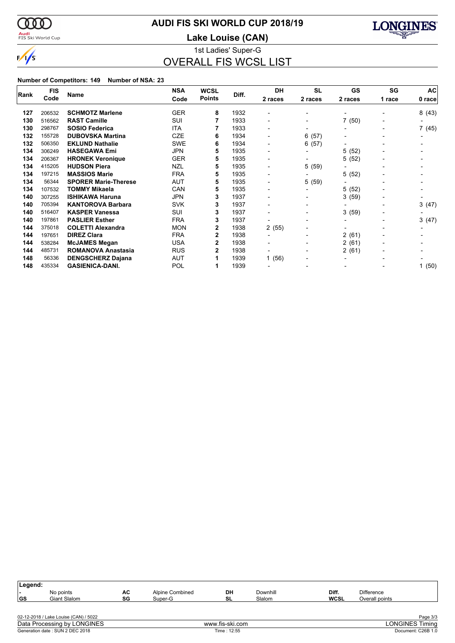

# **AUDI FIS SKI WORLD CUP 2018/19**

<mark>Audi</mark><br>FIS Ski World Cup

**Lake Louise (CAN)**



1st Ladies' Super-G OVERALL FIS WCSL LIST

| <b>FIS</b><br>Rank |        |                             | <b>NSA</b> | <b>WCSL</b>   |       | DH                       | <b>SL</b>                | GS      | SG     | <b>AC</b> |
|--------------------|--------|-----------------------------|------------|---------------|-------|--------------------------|--------------------------|---------|--------|-----------|
|                    | Code   | Name                        | Code       | <b>Points</b> | Diff. | 2 races                  | 2 races                  | 2 races | 1 race | 0 race    |
| 127                | 206532 | <b>SCHMOTZ Marlene</b>      | <b>GER</b> | 8             | 1932  |                          | $\overline{\phantom{0}}$ |         |        | 8(43)     |
| 130                | 516562 | <b>RAST Camille</b>         | SUI        |               | 1933  |                          | $\overline{\phantom{0}}$ | 7(50)   |        |           |
| 130                | 298767 | <b>SOSIO Federica</b>       | <b>ITA</b> |               | 1933  | $\overline{\phantom{0}}$ | -                        |         |        | 7 (45)    |
| 132                | 155728 | <b>DUBOVSKA Martina</b>     | <b>CZE</b> | 6             | 1934  |                          | 6<br>(57)                | -       |        |           |
| 132                | 506350 | <b>EKLUND Nathalie</b>      | <b>SWE</b> | 6             | 1934  |                          | (57)<br>6                | -       |        |           |
| 134                | 306249 | <b>HASEGAWA Emi</b>         | JPN        | 5             | 1935  |                          | $\overline{\phantom{0}}$ | 5(52)   |        |           |
| 134                | 206367 | <b>HRONEK Veronique</b>     | <b>GER</b> | 5             | 1935  | $\overline{\phantom{0}}$ | -                        | 5(52)   |        |           |
| 134                | 415205 | <b>HUDSON Piera</b>         | <b>NZL</b> | 5             | 1935  |                          | 5<br>(59)                | -       |        |           |
| 134                | 197215 | <b>MASSIOS Marie</b>        | <b>FRA</b> | 5             | 1935  |                          |                          | 5(52)   |        |           |
| 134                | 56344  | <b>SPORER Marie-Therese</b> | <b>AUT</b> | 5             | 1935  |                          | 5 (59)                   |         |        |           |
| 134                | 107532 | <b>TOMMY Mikaela</b>        | CAN        | 5             | 1935  |                          | ٠                        | 5(52)   |        |           |
| 140                | 307255 | <b>ISHIKAWA Haruna</b>      | <b>JPN</b> | 3             | 1937  |                          | -                        | 3(59)   |        |           |
| 140                | 705394 | <b>KANTOROVA Barbara</b>    | <b>SVK</b> | 3             | 1937  | $\overline{\phantom{a}}$ | -                        | -       |        | 3(47)     |
| 140                | 516407 | <b>KASPER Vanessa</b>       | SUI        | 3             | 1937  | $\overline{\phantom{0}}$ | -                        | 3(59)   |        |           |
| 140                | 197861 | <b>PASLIER Esther</b>       | <b>FRA</b> | 3             | 1937  |                          | -                        |         |        | 3(47)     |
| 144                | 375018 | <b>COLETTI Alexandra</b>    | <b>MON</b> | 2             | 1938  | 2(55)                    | $\overline{\phantom{0}}$ |         |        |           |
| 144                | 197651 | <b>DIREZ Clara</b>          | <b>FRA</b> | 2             | 1938  |                          | -                        | 2(61)   |        |           |
| 144                | 538284 | <b>McJAMES Megan</b>        | <b>USA</b> | 2             | 1938  |                          | $\overline{\phantom{0}}$ | 2(61)   |        |           |
| 144                | 485731 | <b>ROMANOVA Anastasia</b>   | <b>RUS</b> | 2             | 1938  |                          | $\blacksquare$           | 2(61)   |        |           |
| 148                | 56336  | <b>DENGSCHERZ Dajana</b>    | AUT        |               | 1939  | 1(56)                    |                          |         |        |           |
| 148                | 435334 | <b>GASIENICA-DANI.</b>      | POL        |               | 1939  |                          |                          |         |        | 1(50)     |

| Legend:   |                                                                                                         |          |                            |                 |                    |                      |                                     |                        |
|-----------|---------------------------------------------------------------------------------------------------------|----------|----------------------------|-----------------|--------------------|----------------------|-------------------------------------|------------------------|
| ۰.<br>∣GS | No points<br>Giant Slalom                                                                               | АC<br>SG | Alpine Combined<br>Super-G | DH<br>SL        | Downhill<br>Slalom | Diff.<br><b>WCSL</b> | <b>Difference</b><br>Overall points |                        |
|           |                                                                                                         |          |                            |                 |                    |                      |                                     |                        |
|           |                                                                                                         |          |                            |                 |                    |                      |                                     | Page 3/3               |
|           | 02-12-2018 / Lake Louise (CAN) / 5022<br>Data Processing by LONGINES<br>Generation date: SUN 2 DEC 2018 |          |                            | www.fis-ski.com |                    |                      |                                     | <b>LONGINES Timing</b> |
|           |                                                                                                         |          |                            | Time: 12:55     |                    |                      |                                     | Document: C26B 1.0     |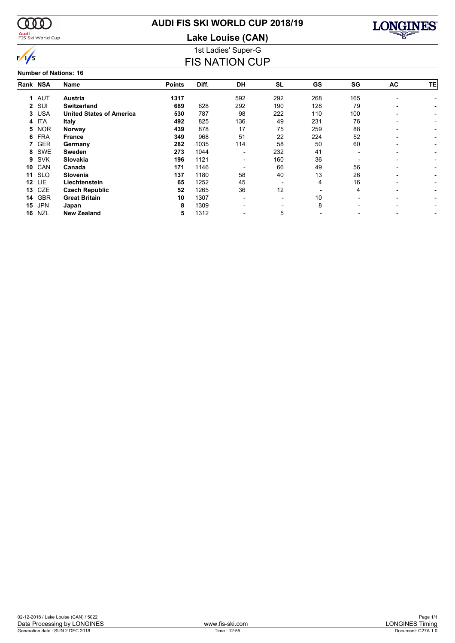

# **AUDI FIS SKI WORLD CUP 2018/19**

1st Ladies' Super-G **Lake Louise (CAN)**

FIS NATION CUP



| <b>MILLE</b> | <b>MAI</b> | - F N I. |  |
|--------------|------------|----------|--|

|          |            | <b>Number of Nations: 16</b>    |               |       |                          |           |           |     |                          |                          |
|----------|------------|---------------------------------|---------------|-------|--------------------------|-----------|-----------|-----|--------------------------|--------------------------|
| Rank NSA |            | Name                            | <b>Points</b> | Diff. | DH                       | <b>SL</b> | <b>GS</b> | SG  | AC                       | TE <sub>I</sub>          |
|          | 1 AUT      | Austria                         | 1317          |       | 592                      | 292       | 268       | 165 | $\overline{\phantom{0}}$ |                          |
|          | 2 SUI      | <b>Switzerland</b>              | 689           | 628   | 292                      | 190       | 128       | 79  |                          |                          |
|          | 3 USA      | <b>United States of America</b> | 530           | 787   | 98                       | 222       | 110       | 100 | -                        |                          |
|          | 4 ITA      | <b>Italy</b>                    | 492           | 825   | 136                      | 49        | 231       | 76  | -                        | $\sim$                   |
|          | 5 NOR      | Norway                          | 439           | 878   | 17                       | 75        | 259       | 88  | $\overline{\phantom{0}}$ | $\sim$                   |
|          | 6 FRA      | <b>France</b>                   | 349           | 968   | 51                       | 22        | 224       | 52  | $\overline{\phantom{0}}$ |                          |
|          | 7 GER      | Germany                         | 282           | 1035  | 114                      | 58        | 50        | 60  | $\overline{\phantom{0}}$ |                          |
|          | 8 SWE      | Sweden                          | 273           | 1044  | -                        | 232       | 41        |     | $\overline{\phantom{0}}$ |                          |
| 9        | <b>SVK</b> | Slovakia                        | 196           | 1121  | $\overline{\phantom{a}}$ | 160       | 36        |     | $\overline{\phantom{a}}$ | Ξ.                       |
| 10       | CAN        | Canada                          | 171           | 1146  | -                        | 66        | 49        | 56  | $\overline{\phantom{a}}$ | -                        |
| 11       | <b>SLO</b> | Slovenia                        | 137           | 1180  | 58                       | 40        | 13        | 26  | $\overline{\phantom{0}}$ |                          |
| 12       | LIE.       | Liechtenstein                   | 65            | 1252  | 45                       |           | 4         | 16  | $\overline{\phantom{0}}$ |                          |
| 13       | CZE        | <b>Czech Republic</b>           | 52            | 1265  | 36                       | 12        |           | 4   | $\overline{\phantom{0}}$ | $\overline{\phantom{0}}$ |
| 14       | <b>GBR</b> | <b>Great Britain</b>            | 10            | 1307  | $\blacksquare$           |           | 10        |     | $\overline{\phantom{0}}$ |                          |
| 15       | <b>JPN</b> | Japan                           | 8             | 1309  | -                        |           | 8         |     | $\overline{\phantom{0}}$ | -                        |
| 16       | <b>NZL</b> | <b>New Zealand</b>              | 5             | 1312  | -                        | 5         |           |     | -                        | -                        |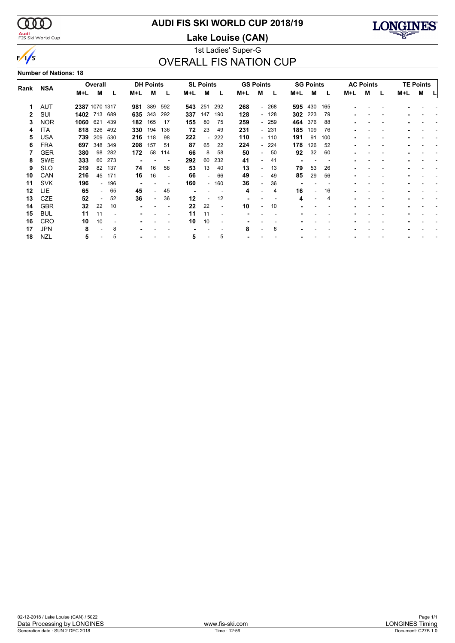

### **Audi**<br>FIS Ski World Cup

# **AUDI FIS SKI WORLD CUP 2018/19**

**Lake Louise (CAN)**



### 1st Ladies' Super-G OVERALL FIS NATION CUP

#### **Number of Nations: 18**

|      |            |                | Overall |       |     | <b>DH Points</b>         |     |                | <b>SL Points</b>         |                          | <b>GS Points</b> |                          |     |     | <b>SG Points</b> |     |     | <b>AC Points</b> |   |     | <b>TE Points</b> |  |
|------|------------|----------------|---------|-------|-----|--------------------------|-----|----------------|--------------------------|--------------------------|------------------|--------------------------|-----|-----|------------------|-----|-----|------------------|---|-----|------------------|--|
| Rank | <b>NSA</b> | M+L            | М       |       | M+L | м                        | L   | M+L            | м                        | L                        | M+L              | М                        | L   | M+L | м                |     | M+L | М                | L | M+L | М                |  |
|      | AUT        | 2387 1070 1317 |         |       | 981 | 389                      | 592 | 543            | 251                      | 292                      | 268              | $\overline{\phantom{a}}$ | 268 | 595 | 430              | 165 |     |                  |   |     |                  |  |
| 2    | SUI        | 1402 713 689   |         |       | 635 | 343                      | 292 | 337            | 147                      | 190                      | 128              | $\sim$                   | 128 | 302 | 223              | 79  |     |                  |   |     |                  |  |
| 3    | <b>NOR</b> | 1060           | 621     | 439   | 182 | 165                      | -17 | 155            | 80                       | 75                       | 259              | $\overline{\phantom{0}}$ | 259 | 464 | 376              | 88  |     |                  |   |     |                  |  |
| 4    | ITA        | 818            | 326     | 492   | 330 | 194                      | 136 | 72             | 23                       | 49                       | 231              | $\overline{\phantom{0}}$ | 231 | 185 | 109              | 76  |     |                  |   |     |                  |  |
| 5    | USA        | 739            | 209     | 530   | 216 | 118                      | 98  | 222            |                          | 222                      | 110              | $\sim$                   | 110 | 191 | -91              | 100 |     |                  |   |     |                  |  |
| 6    | <b>FRA</b> | 697            | 348     | 349   | 208 | 157                      | 51  | 87             | 65                       | 22                       | 224              | $\overline{\phantom{0}}$ | 224 | 178 | 126              | 52  |     |                  |   |     |                  |  |
|      | GER        | 380            | 98      | 282   | 172 | 58                       | 114 | 66             | 8                        | 58                       | 50               | ۰                        | 50  | 92  | 32               | 60  |     |                  |   |     |                  |  |
| 8    | SWE        | 333            | 60      | 273   |     |                          |     | 292            | 60                       | 232                      | 41               | ۰                        | 41  |     |                  |     |     |                  |   |     |                  |  |
| 9    | <b>SLO</b> | 219            | 82      | 137   | 74  | 16                       | 58  | 53             | 13                       | 40                       | 13               | ۰                        | 13  | 79  | 53               | 26  |     |                  |   |     |                  |  |
| 10   | CAN        | 216            | 45      | 171   | 16  | 16                       |     | 66             | $\overline{\phantom{0}}$ | 66                       | 49               | $\overline{\phantom{a}}$ | 49  | 85  | 29               | 56  |     |                  |   |     |                  |  |
| 11   | <b>SVK</b> | 196            |         | - 196 |     |                          |     | 160            |                          | $-160$                   | 36               |                          | 36  |     |                  |     |     |                  |   |     |                  |  |
| 12   | <b>LIE</b> | 65             | $\sim$  | 65    | 45  | $\overline{\phantom{0}}$ | 45  | $\blacksquare$ |                          |                          | 4                |                          | 4   | 16  |                  | 16  |     |                  |   |     |                  |  |
| 13   | CZE        | 52             |         | 52    | 36  | $\overline{\phantom{a}}$ | 36  | 12             |                          | 12                       |                  |                          |     | 4   |                  | 4   |     |                  |   |     |                  |  |
| 14   | <b>GBR</b> | 32             | 22      | 10    |     |                          |     | 22             | 22                       | $\overline{\phantom{a}}$ | 10               |                          | 10  |     |                  |     |     |                  |   |     |                  |  |
| 15   | <b>BUL</b> | 11             | 11      |       |     |                          |     | 11             | 11                       |                          |                  |                          |     |     |                  |     |     |                  |   |     |                  |  |
| 16   | CRO        | 10             | 10      |       |     |                          |     | 10             | 10                       |                          |                  |                          |     |     |                  |     |     |                  |   |     |                  |  |
| 17   | <b>JPN</b> | 8              |         | 8     |     |                          |     |                |                          |                          | 8                |                          | 8   |     |                  |     |     |                  |   |     |                  |  |
| 18   | NZL        | 5              |         | 5     |     |                          |     | 5              |                          | 5                        |                  |                          |     |     |                  |     |     |                  |   |     |                  |  |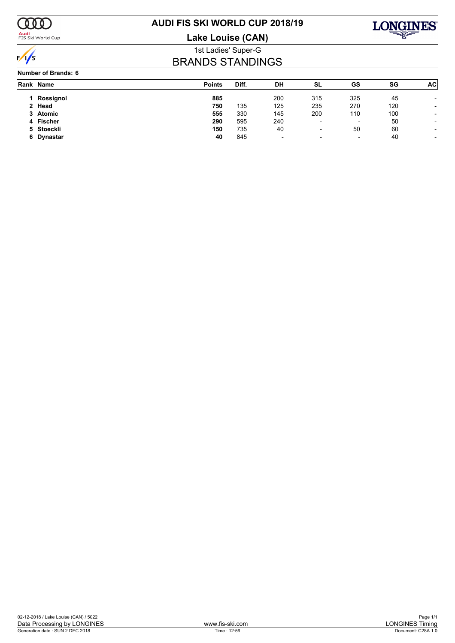

### **Audi**<br>FIS Ski World Cup

# **AUDI FIS SKI WORLD CUP 2018/19**

**Lake Louise (CAN)**



1st Ladies' Super-G BRANDS STANDINGS

#### **Number of Brands: 6**

|    | Rank Name  | <b>Points</b> | Diff. | DH                       | SL                       | GS  | SG  | AC <sup>1</sup>          |
|----|------------|---------------|-------|--------------------------|--------------------------|-----|-----|--------------------------|
|    | Rossignol  | 885           |       | 200                      | 315                      | 325 | 45  |                          |
|    | 2 Head     | 750           | 135   | 125                      | 235                      | 270 | 120 |                          |
|    | 3 Atomic   | 555           | 330   | 145                      | 200                      | 110 | 100 | ۰                        |
|    | 4 Fischer  | 290           | 595   | 240                      | $\overline{\phantom{0}}$ |     | 50  |                          |
|    | 5 Stoeckli | 150           | 735   | 40                       | $\overline{\phantom{0}}$ | 50  | 60  | -                        |
| 6. | Dynastar   | 40            | 845   | $\overline{\phantom{0}}$ | $\overline{\phantom{a}}$ | ۰   | 40  | $\overline{\phantom{a}}$ |
|    |            |               |       |                          |                          |     |     |                          |